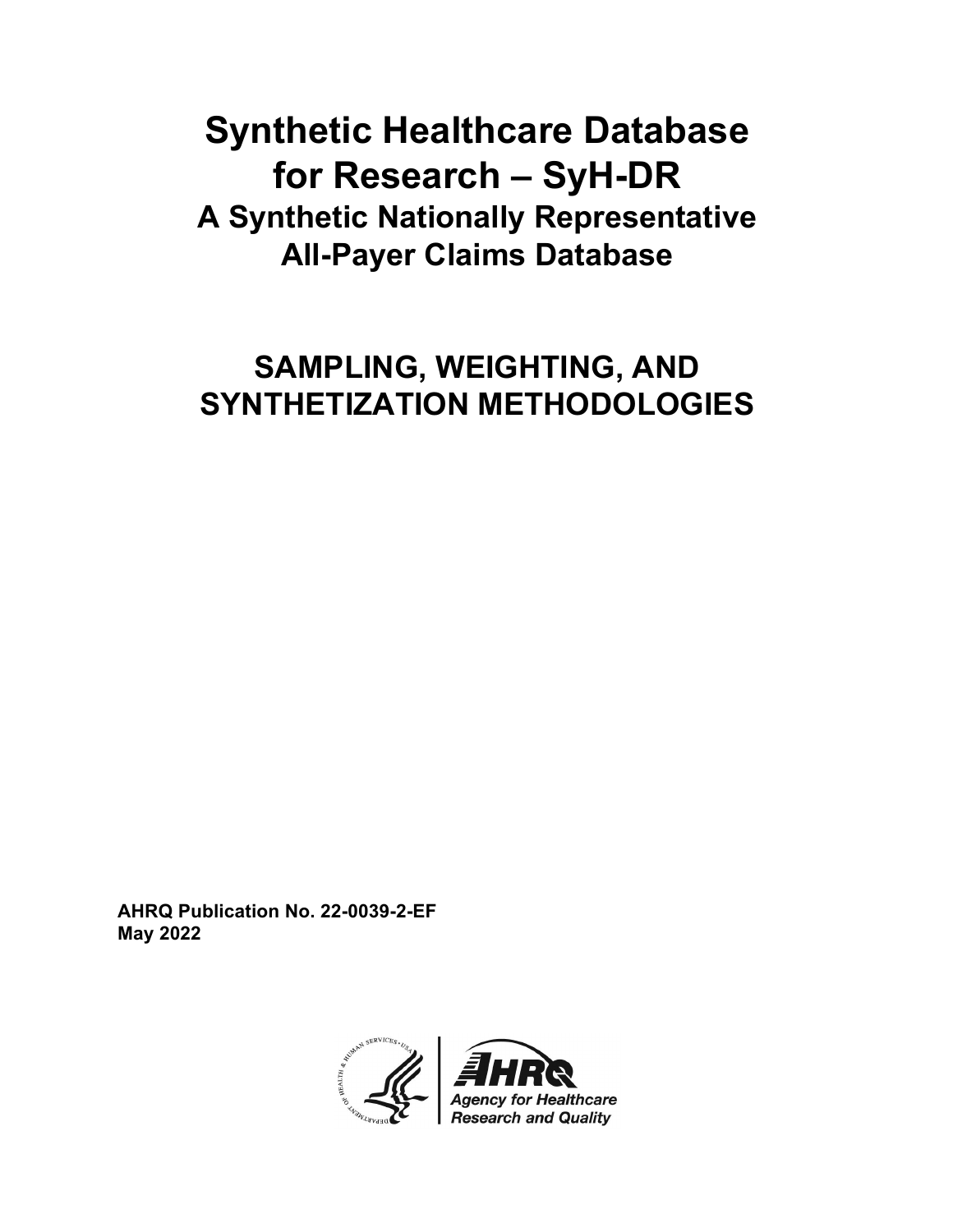# **Synthetic Healthcare Database for Research – SyH-DR A Synthetic Nationally Representative All-Payer Claims Database**

# **SAMPLING, WEIGHTING, AND SYNTHETIZATION METHODOLOGIES**

**AHRQ Publication No. 22-0039-2-EF May 2022**

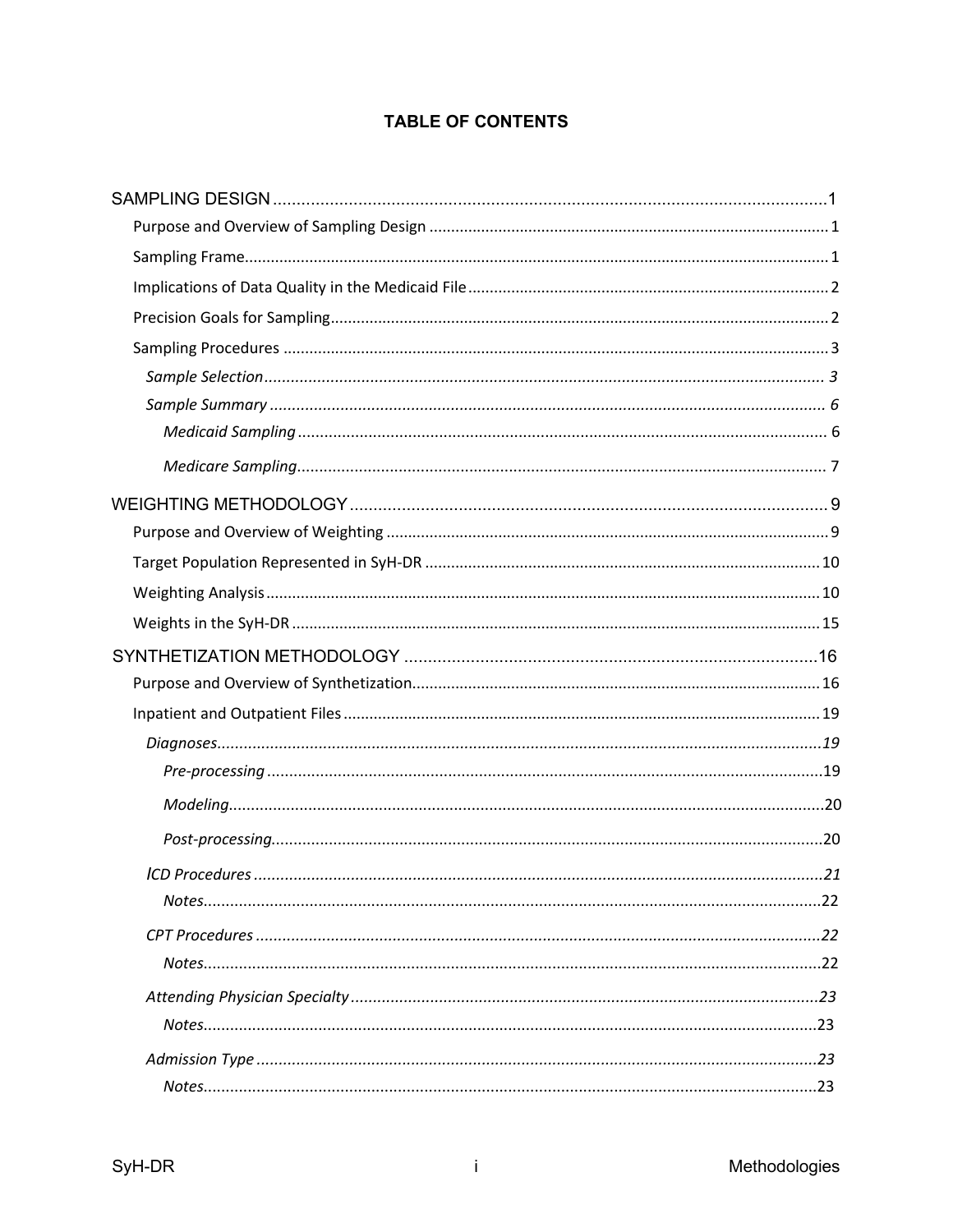## **TABLE OF CONTENTS**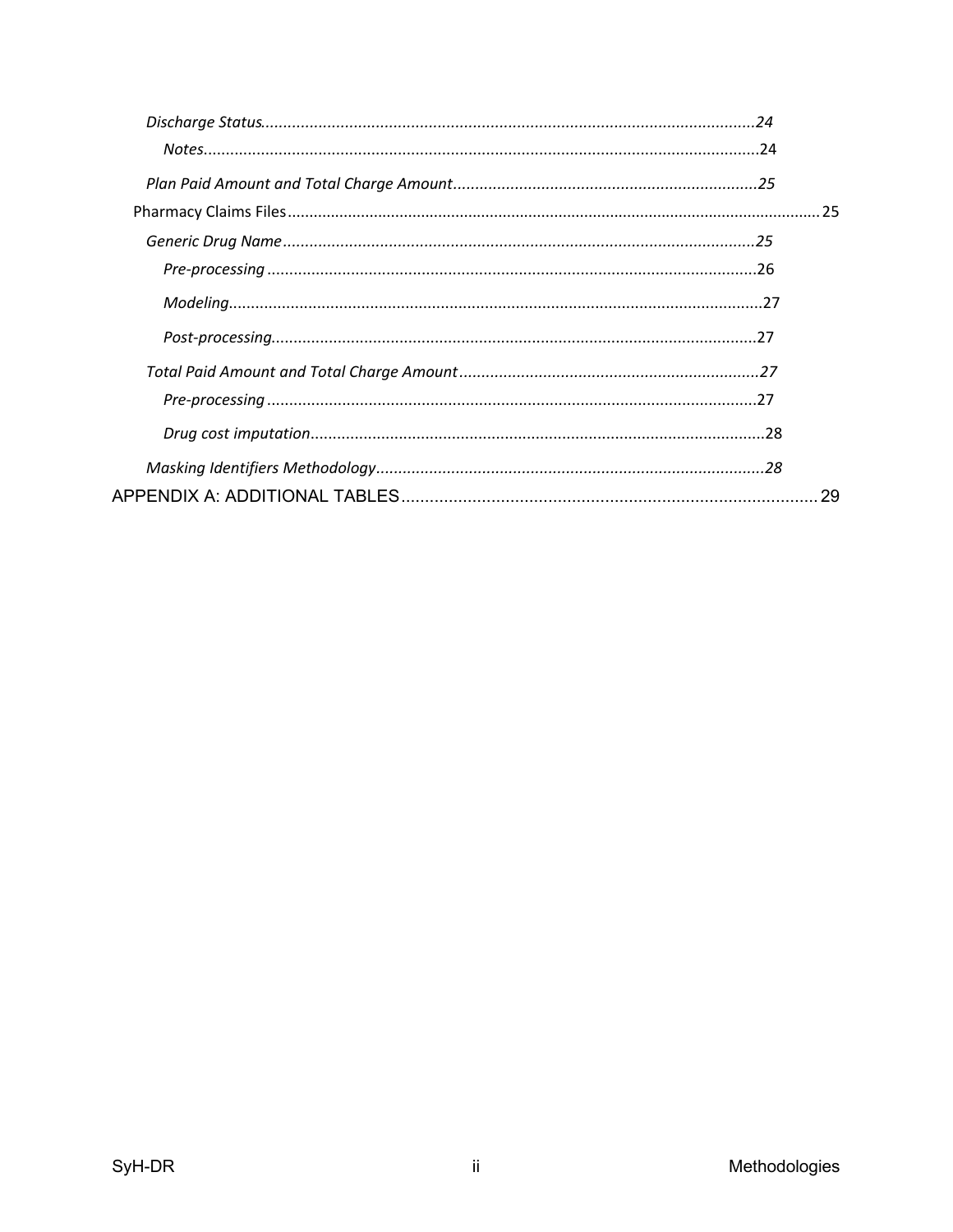| -29 |
|-----|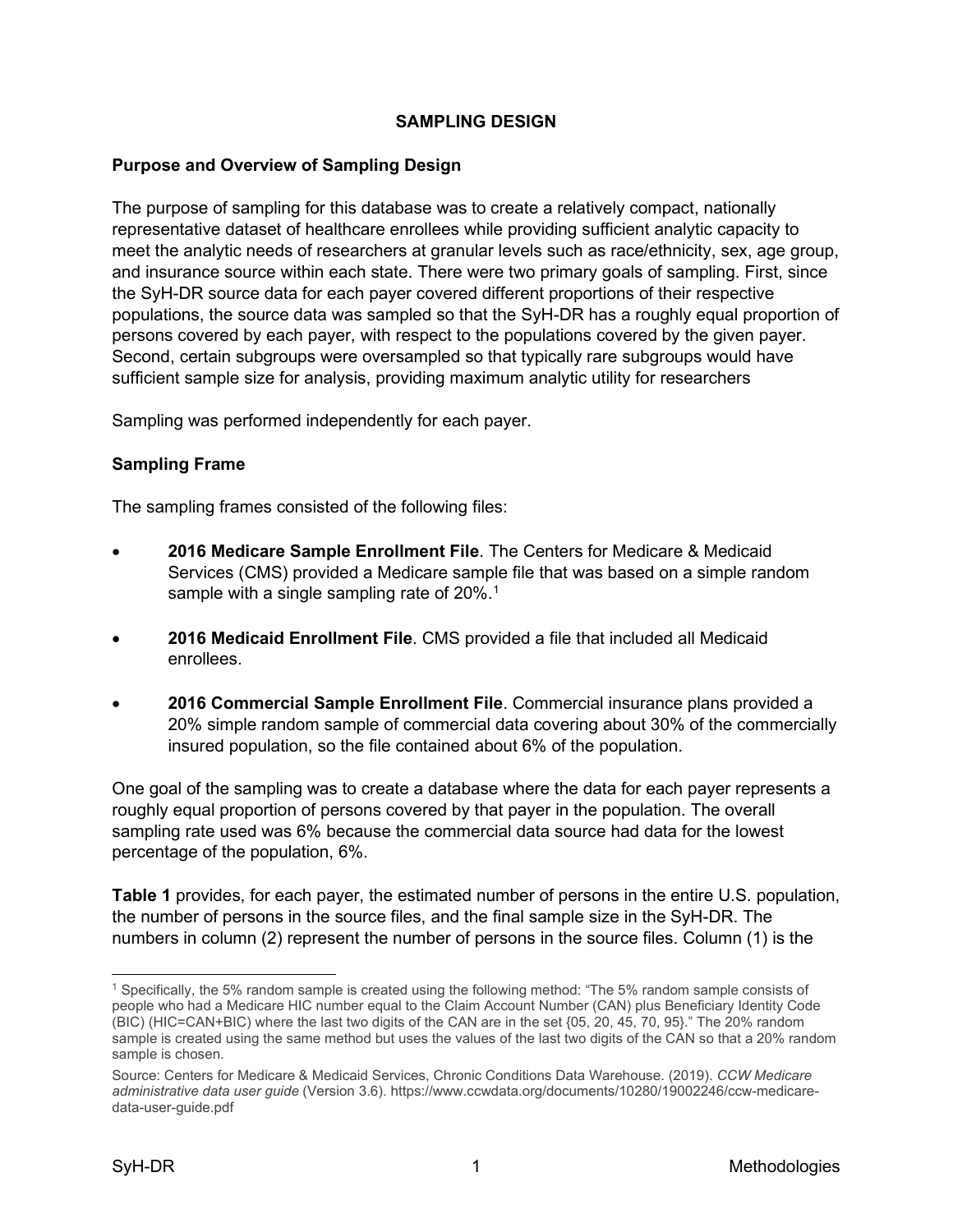## **SAMPLING DESIGN**

## <span id="page-3-1"></span><span id="page-3-0"></span>**Purpose and Overview of Sampling Design**

The purpose of sampling for this database was to create a relatively compact, nationally representative dataset of healthcare enrollees while providing sufficient analytic capacity to meet the analytic needs of researchers at granular levels such as race/ethnicity, sex, age group, and insurance source within each state. There were two primary goals of sampling. First, since the SyH-DR source data for each payer covered different proportions of their respective populations, the source data was sampled so that the SyH-DR has a roughly equal proportion of persons covered by each payer, with respect to the populations covered by the given payer. Second, certain subgroups were oversampled so that typically rare subgroups would have sufficient sample size for analysis, providing maximum analytic utility for researchers

Sampling was performed independently for each payer.

#### <span id="page-3-2"></span>**Sampling Frame**

The sampling frames consisted of the following files:

- **2016 Medicare Sample Enrollment File**. The Centers for Medicare & Medicaid Services (CMS) provided a Medicare sample file that was based on a simple random sample with a single sampling rate of  $20\%$ .<sup>[1](#page-3-3)</sup>
- **2016 Medicaid Enrollment File**. CMS provided a file that included all Medicaid enrollees.
- **2016 Commercial Sample Enrollment File**. Commercial insurance plans provided a 20% simple random sample of commercial data covering about 30% of the commercially insured population, so the file contained about 6% of the population.

One goal of the sampling was to create a database where the data for each payer represents a roughly equal proportion of persons covered by that payer in the population. The overall sampling rate used was 6% because the commercial data source had data for the lowest percentage of the population, 6%.

**Table 1** provides, for each payer, the estimated number of persons in the entire U.S. population, the number of persons in the source files, and the final sample size in the SyH-DR. The numbers in column (2) represent the number of persons in the source files. Column (1) is the

<span id="page-3-3"></span><sup>1</sup> Specifically, the 5% random sample is created using the following method: "The 5% random sample consists of people who had a Medicare HIC number equal to the Claim Account Number (CAN) plus Beneficiary Identity Code (BIC) (HIC=CAN+BIC) where the last two digits of the CAN are in the set {05, 20, 45, 70, 95}." The 20% random sample is created using the same method but uses the values of the last two digits of the CAN so that a 20% random sample is chosen.

Source: Centers for Medicare & Medicaid Services, Chronic Conditions Data Warehouse. (2019). *CCW Medicare administrative data user guide* (Version 3.6). https://www.ccwdata.org/documents/10280/19002246/ccw-medicaredata-user-guide.pdf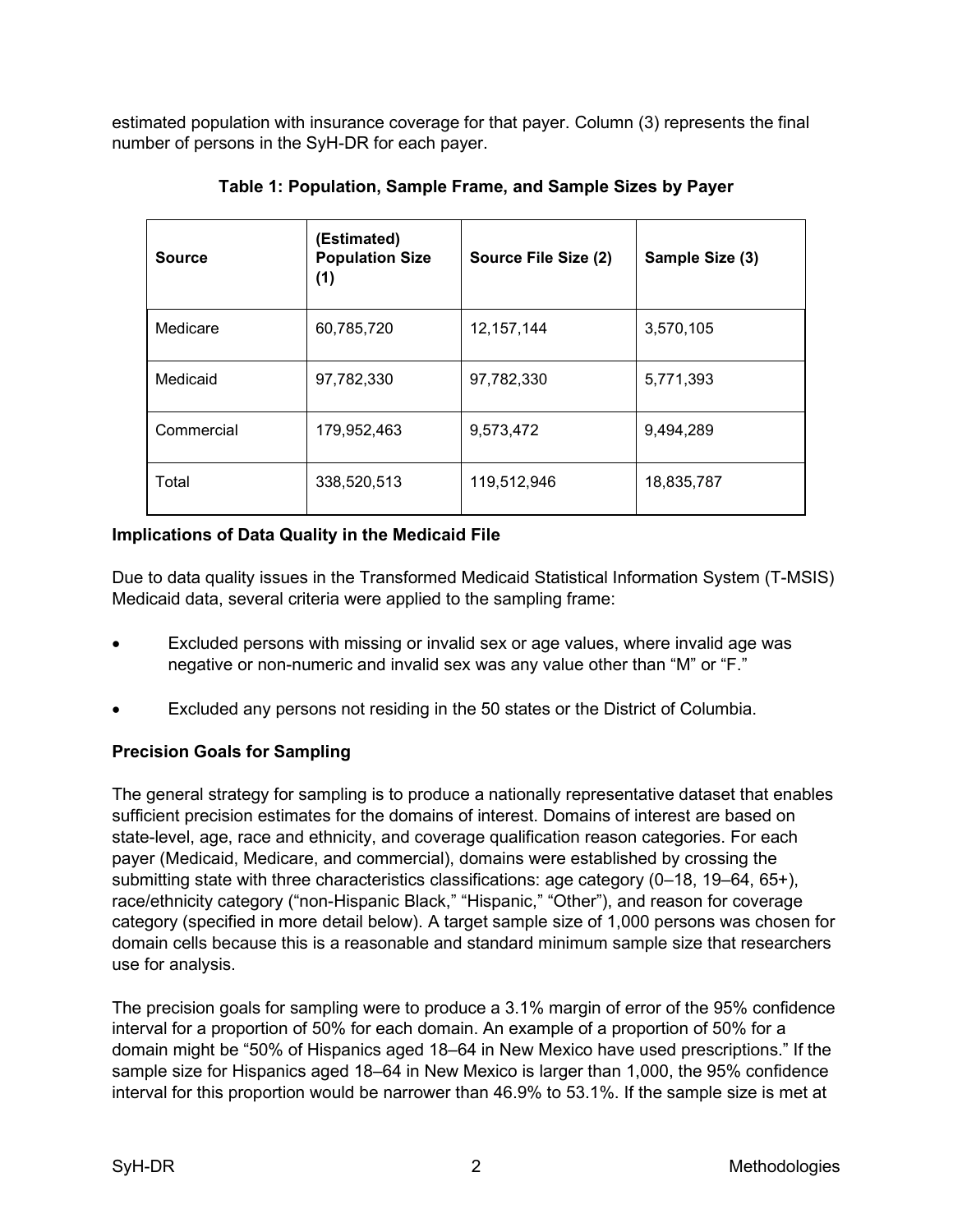estimated population with insurance coverage for that payer. Column (3) represents the final number of persons in the SyH-DR for each payer.

| <b>Source</b> | (Estimated)<br><b>Population Size</b><br>(1) | Source File Size (2) | Sample Size (3) |
|---------------|----------------------------------------------|----------------------|-----------------|
| Medicare      | 60,785,720                                   | 12, 157, 144         | 3,570,105       |
| Medicaid      | 97,782,330                                   | 97,782,330           | 5,771,393       |
| Commercial    | 179,952,463                                  | 9,573,472            | 9,494,289       |
| Total         | 338,520,513                                  | 119,512,946          | 18,835,787      |

**Table 1: Population, Sample Frame, and Sample Sizes by Payer**

## <span id="page-4-0"></span>**Implications of Data Quality in the Medicaid File**

Due to data quality issues in the Transformed Medicaid Statistical Information System (T-MSIS) Medicaid data, several criteria were applied to the sampling frame:

- Excluded persons with missing or invalid sex or age values, where invalid age was negative or non-numeric and invalid sex was any value other than "M" or "F."
- Excluded any persons not residing in the 50 states or the District of Columbia.

## <span id="page-4-1"></span>**Precision Goals for Sampling**

The general strategy for sampling is to produce a nationally representative dataset that enables sufficient precision estimates for the domains of interest. Domains of interest are based on state-level, age, race and ethnicity, and coverage qualification reason categories. For each payer (Medicaid, Medicare, and commercial), domains were established by crossing the submitting state with three characteristics classifications: age category (0–18, 19–64, 65+), race/ethnicity category ("non-Hispanic Black," "Hispanic," "Other"), and reason for coverage category (specified in more detail below). A target sample size of 1,000 persons was chosen for domain cells because this is a reasonable and standard minimum sample size that researchers use for analysis.

The precision goals for sampling were to produce a 3.1% margin of error of the 95% confidence interval for a proportion of 50% for each domain. An example of a proportion of 50% for a domain might be "50% of Hispanics aged 18–64 in New Mexico have used prescriptions." If the sample size for Hispanics aged 18–64 in New Mexico is larger than 1,000, the 95% confidence interval for this proportion would be narrower than 46.9% to 53.1%. If the sample size is met at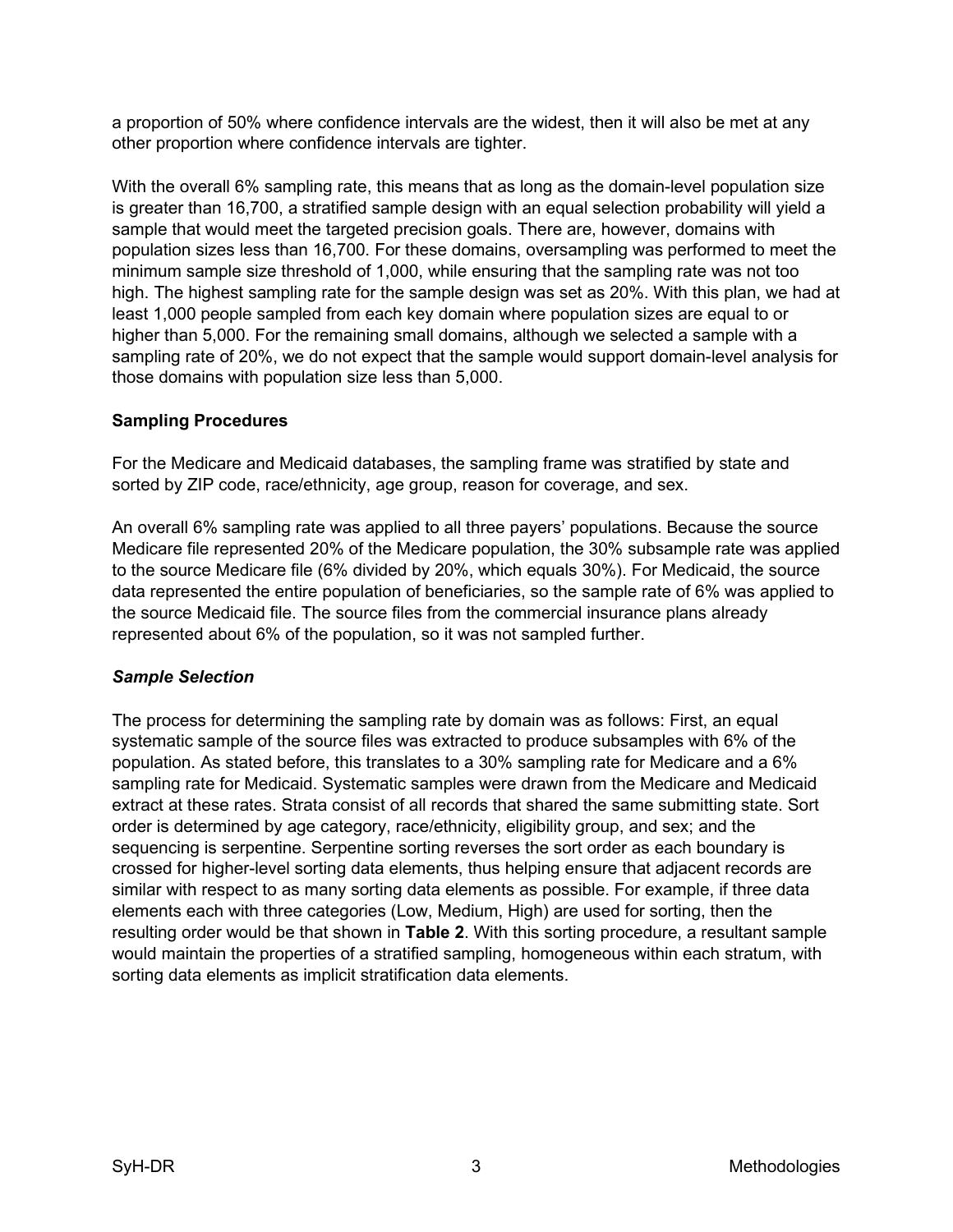a proportion of 50% where confidence intervals are the widest, then it will also be met at any other proportion where confidence intervals are tighter.

With the overall 6% sampling rate, this means that as long as the domain-level population size is greater than 16,700, a stratified sample design with an equal selection probability will yield a sample that would meet the targeted precision goals. There are, however, domains with population sizes less than 16,700. For these domains, oversampling was performed to meet the minimum sample size threshold of 1,000, while ensuring that the sampling rate was not too high. The highest sampling rate for the sample design was set as 20%. With this plan, we had at least 1,000 people sampled from each key domain where population sizes are equal to or higher than 5,000. For the remaining small domains, although we selected a sample with a sampling rate of 20%, we do not expect that the sample would support domain-level analysis for those domains with population size less than 5,000.

## <span id="page-5-0"></span>**Sampling Procedures**

For the Medicare and Medicaid databases, the sampling frame was stratified by state and sorted by ZIP code, race/ethnicity, age group, reason for coverage, and sex.

An overall 6% sampling rate was applied to all three payers' populations. Because the source Medicare file represented 20% of the Medicare population, the 30% subsample rate was applied to the source Medicare file (6% divided by 20%, which equals 30%). For Medicaid, the source data represented the entire population of beneficiaries, so the sample rate of 6% was applied to the source Medicaid file. The source files from the commercial insurance plans already represented about 6% of the population, so it was not sampled further.

## <span id="page-5-1"></span>*Sample Selection*

The process for determining the sampling rate by domain was as follows: First, an equal systematic sample of the source files was extracted to produce subsamples with 6% of the population. As stated before, this translates to a 30% sampling rate for Medicare and a 6% sampling rate for Medicaid. Systematic samples were drawn from the Medicare and Medicaid extract at these rates. Strata consist of all records that shared the same submitting state. Sort order is determined by age category, race/ethnicity, eligibility group, and sex; and the sequencing is serpentine. Serpentine sorting reverses the sort order as each boundary is crossed for higher-level sorting data elements, thus helping ensure that adjacent records are similar with respect to as many sorting data elements as possible. For example, if three data elements each with three categories (Low, Medium, High) are used for sorting, then the resulting order would be that shown in **Table 2**. With this sorting procedure, a resultant sample would maintain the properties of a stratified sampling, homogeneous within each stratum, with sorting data elements as implicit stratification data elements.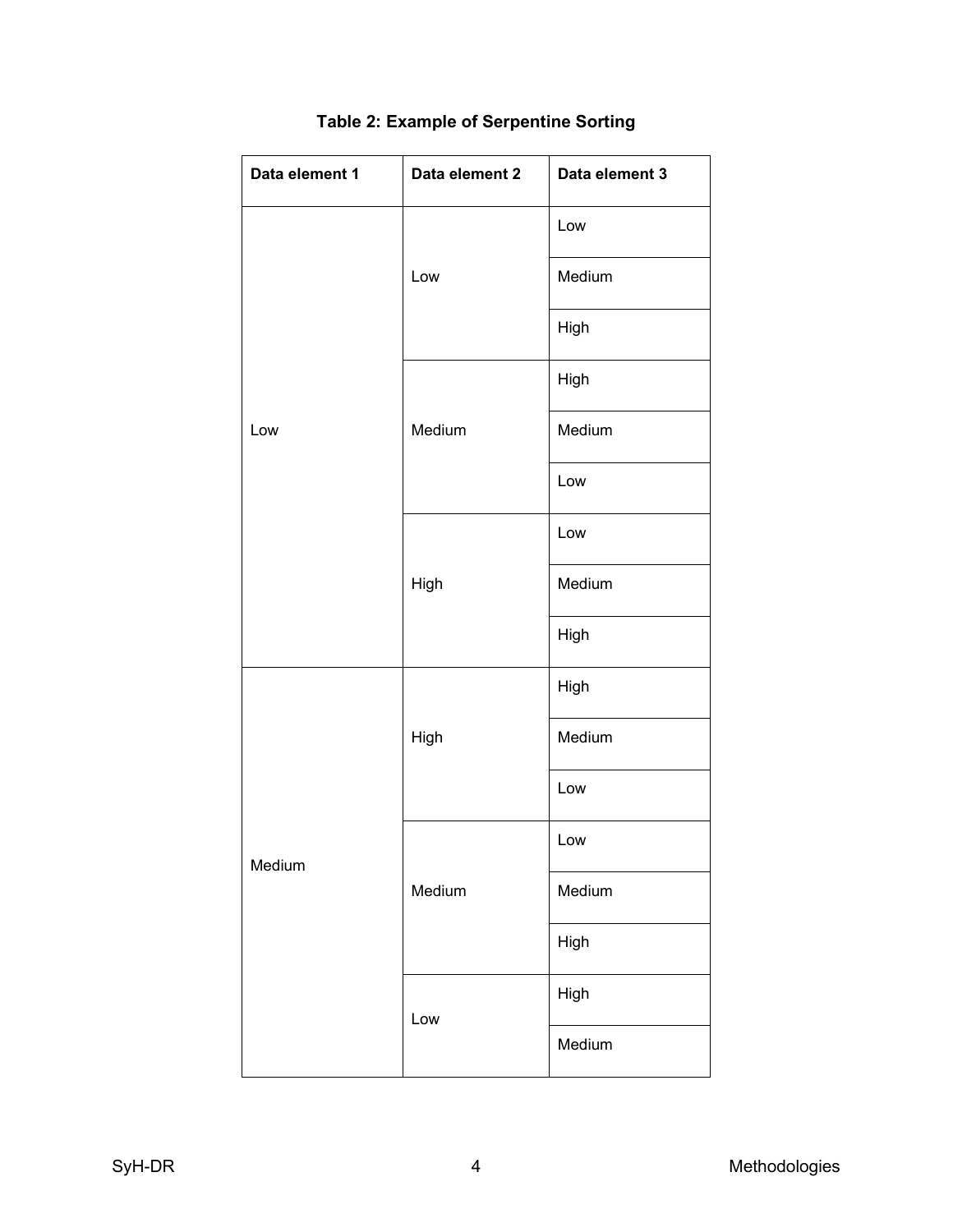| Data element 1 | Data element 2 | Data element 3 |  |
|----------------|----------------|----------------|--|
|                |                | Low            |  |
|                | Low            | Medium         |  |
|                |                | High           |  |
|                |                | High           |  |
| Low            | Medium         | Medium         |  |
|                |                | Low            |  |
|                |                | Low            |  |
|                | High           | Medium         |  |
|                |                | High           |  |
|                |                | High           |  |
|                | High           | Medium         |  |
|                |                | Low            |  |
| Medium         |                | Low            |  |
|                | Medium         | Medium         |  |
|                |                | High           |  |
|                | Low            | High           |  |
|                |                | Medium         |  |

## **Table 2: Example of Serpentine Sorting**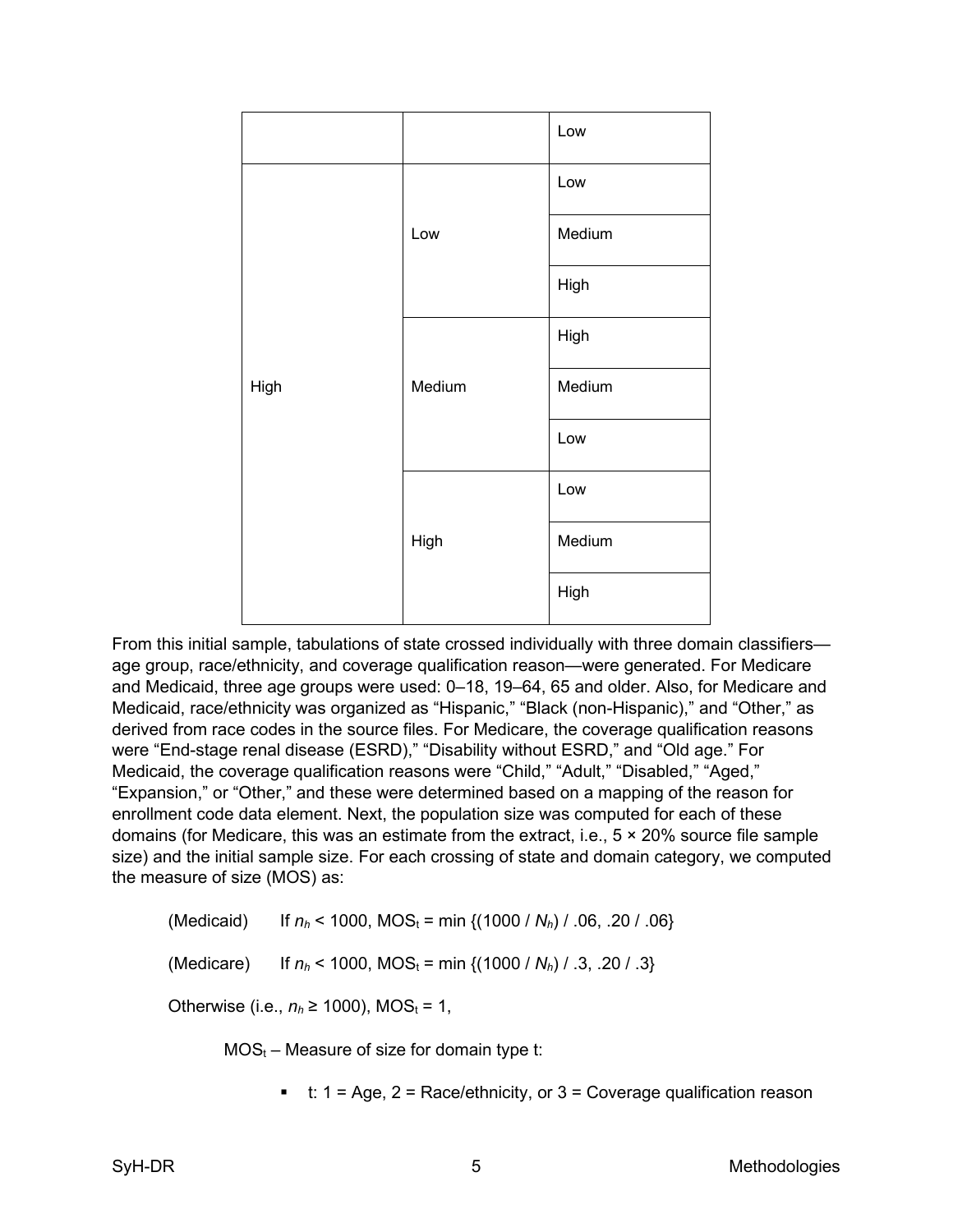|      |        | Low    |
|------|--------|--------|
|      |        | Low    |
|      | Low    | Medium |
|      |        | High   |
|      |        | High   |
| High | Medium | Medium |
|      |        | Low    |
|      |        | Low    |
|      | High   | Medium |
|      |        | High   |

From this initial sample, tabulations of state crossed individually with three domain classifiers age group, race/ethnicity, and coverage qualification reason—were generated. For Medicare and Medicaid, three age groups were used: 0–18, 19–64, 65 and older. Also, for Medicare and Medicaid, race/ethnicity was organized as "Hispanic," "Black (non-Hispanic)," and "Other," as derived from race codes in the source files. For Medicare, the coverage qualification reasons were "End-stage renal disease (ESRD)," "Disability without ESRD," and "Old age." For Medicaid, the coverage qualification reasons were "Child," "Adult," "Disabled," "Aged," "Expansion," or "Other," and these were determined based on a mapping of the reason for enrollment code data element. Next, the population size was computed for each of these domains (for Medicare, this was an estimate from the extract, i.e., 5 × 20% source file sample size) and the initial sample size. For each crossing of state and domain category, we computed the measure of size (MOS) as:

(Medicaid) If  $n_h$  < 1000, MOS<sub>t</sub> = min {(1000 /  $N_h$ ) / .06, .20 / .06}

(Medicare) If  $n_h$  < 1000, MOS<sub>t</sub> = min  $\{(1000 / N_h) / .3, .20 / .3\}$ 

Otherwise (i.e.,  $n_h \ge 1000$ ), MOS<sub>t</sub> = 1,

 $MOS_t$  – Measure of size for domain type t:

■ t: 1 = Age, 2 = Race/ethnicity, or  $3$  = Coverage qualification reason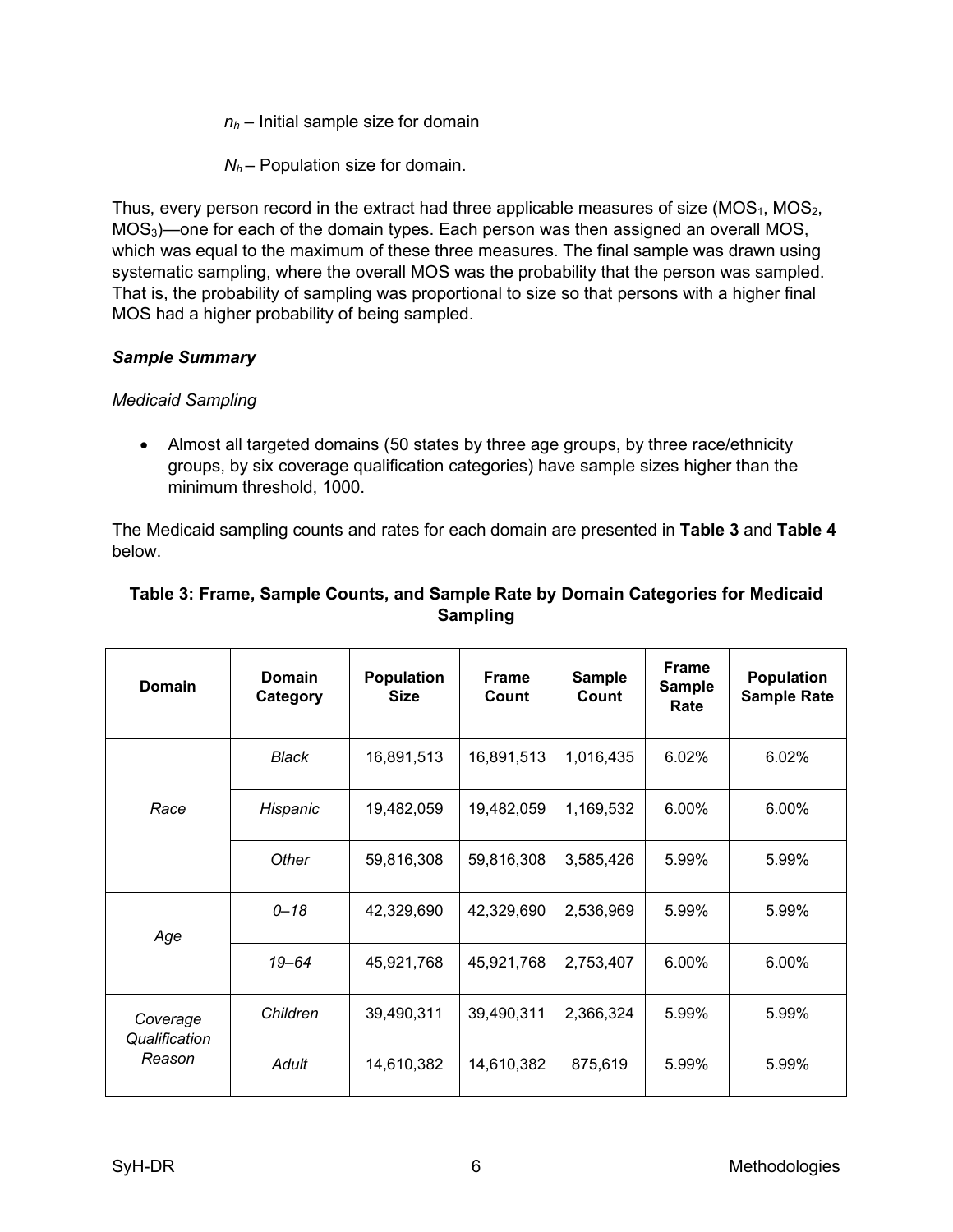*nh* – Initial sample size for domain

 $N_h$  – Population size for domain.

Thus, every person record in the extract had three applicable measures of size  $(MOS<sub>1</sub>, MOS<sub>2</sub>)$ MOS3)—one for each of the domain types. Each person was then assigned an overall MOS, which was equal to the maximum of these three measures. The final sample was drawn using systematic sampling, where the overall MOS was the probability that the person was sampled. That is, the probability of sampling was proportional to size so that persons with a higher final MOS had a higher probability of being sampled.

## <span id="page-8-0"></span>*Sample Summary*

## <span id="page-8-1"></span>*Medicaid Sampling*

• Almost all targeted domains (50 states by three age groups, by three race/ethnicity groups, by six coverage qualification categories) have sample sizes higher than the minimum threshold, 1000.

The Medicaid sampling counts and rates for each domain are presented in **Table 3** and **Table 4** below.

| <b>Domain</b>             | <b>Domain</b><br>Category | <b>Population</b><br><b>Size</b> | <b>Frame</b><br>Count | <b>Sample</b><br>Count | <b>Frame</b><br><b>Sample</b><br>Rate | <b>Population</b><br><b>Sample Rate</b> |
|---------------------------|---------------------------|----------------------------------|-----------------------|------------------------|---------------------------------------|-----------------------------------------|
|                           | Black                     | 16,891,513                       | 16,891,513            | 1,016,435              | 6.02%                                 | 6.02%                                   |
| Race                      | Hispanic                  | 19,482,059                       | 19,482,059            | 1,169,532              | 6.00%                                 | 6.00%                                   |
|                           | Other                     | 59,816,308                       | 59,816,308            | 3,585,426              | 5.99%                                 | 5.99%                                   |
| Age                       | $0 - 18$                  | 42,329,690                       | 42,329,690            | 2,536,969              | 5.99%                                 | 5.99%                                   |
|                           | $19 - 64$                 | 45,921,768                       | 45,921,768            | 2,753,407              | 6.00%                                 | 6.00%                                   |
| Coverage<br>Qualification | Children                  | 39,490,311                       | 39,490,311            | 2,366,324              | 5.99%                                 | 5.99%                                   |
| Reason                    | Adult                     | 14,610,382                       | 14,610,382            | 875,619                | 5.99%                                 | 5.99%                                   |

## **Table 3: Frame, Sample Counts, and Sample Rate by Domain Categories for Medicaid Sampling**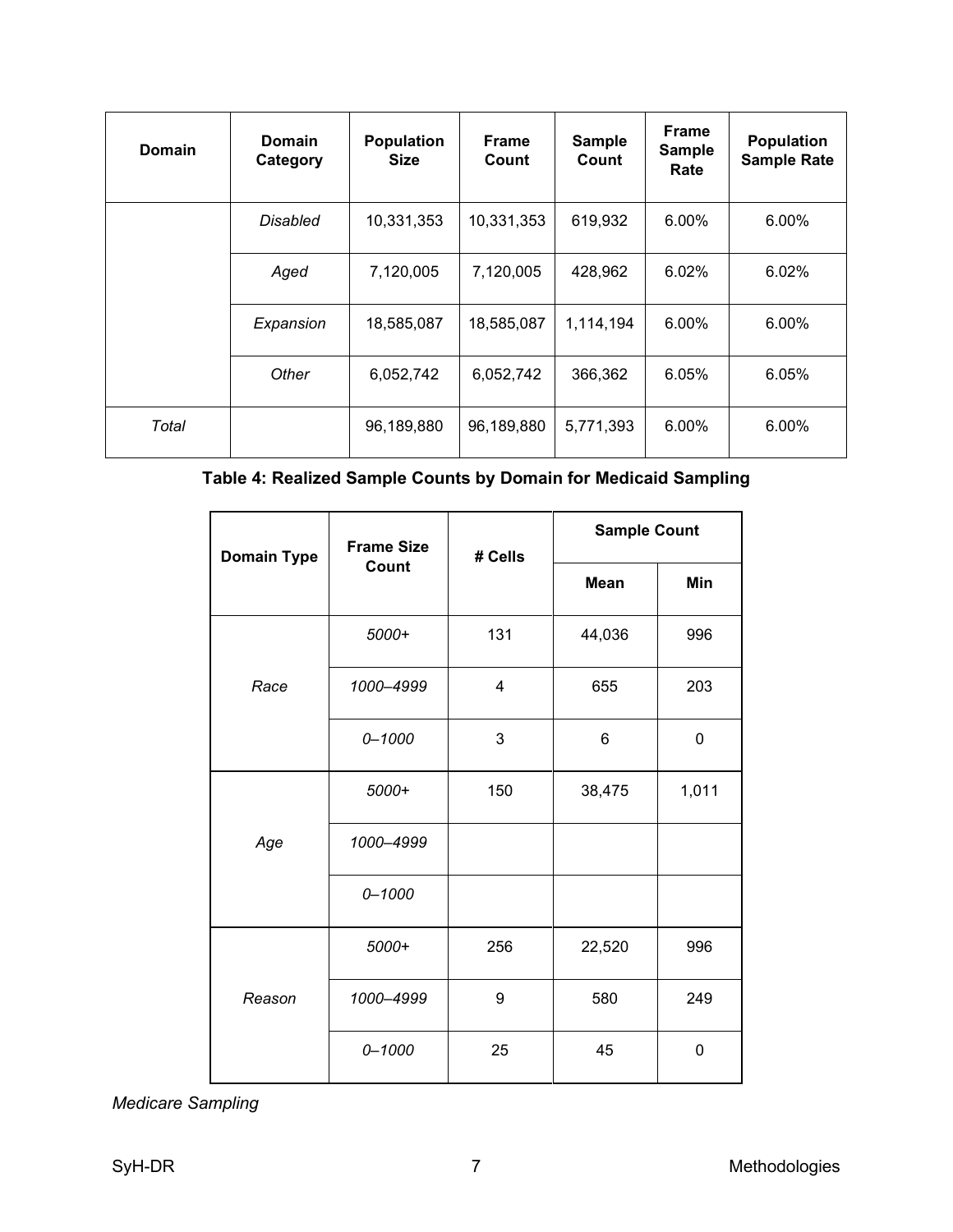| <b>Domain</b> | <b>Domain</b><br>Category | <b>Population</b><br><b>Size</b> | <b>Frame</b><br>Count | <b>Sample</b><br>Count | <b>Frame</b><br><b>Sample</b><br>Rate | <b>Population</b><br><b>Sample Rate</b> |
|---------------|---------------------------|----------------------------------|-----------------------|------------------------|---------------------------------------|-----------------------------------------|
|               | Disabled                  |                                  | 10,331,353            | 619,932                | 6.00%                                 | 6.00%                                   |
|               | Aged                      |                                  | 7,120,005             | 428,962                | 6.02%                                 | 6.02%                                   |
|               | Expansion                 | 18,585,087                       | 18,585,087            | 1,114,194              | 6.00%                                 | 6.00%                                   |
|               | Other                     | 6,052,742                        | 6,052,742             | 366,362                | 6.05%                                 | 6.05%                                   |
| Total         |                           | 96,189,880                       | 96,189,880            | 5,771,393              | 6.00%                                 | 6.00%                                   |

## **Table 4: Realized Sample Counts by Domain for Medicaid Sampling**

| <b>Domain Type</b> | <b>Frame Size</b> | # Cells        | <b>Sample Count</b> |             |  |
|--------------------|-------------------|----------------|---------------------|-------------|--|
|                    | Count             |                | <b>Mean</b>         | Min         |  |
|                    | 5000+             | 131            | 44,036              | 996         |  |
| Race               | 1000-4999         | $\overline{4}$ | 655                 | 203         |  |
|                    | $0 - 1000$        | 3              | 6                   | $\mathbf 0$ |  |
| Age                | 5000+             | 150            | 38,475              | 1,011       |  |
|                    | 1000-4999         |                |                     |             |  |
|                    | $0 - 1000$        |                |                     |             |  |
| Reason             | 5000+             | 256            | 22,520              | 996         |  |
|                    | 1000-4999         | 9              | 580                 | 249         |  |
|                    | $0 - 1000$        | 25             | 45                  | $\mathbf 0$ |  |

<span id="page-9-0"></span>*Medicare Sampling*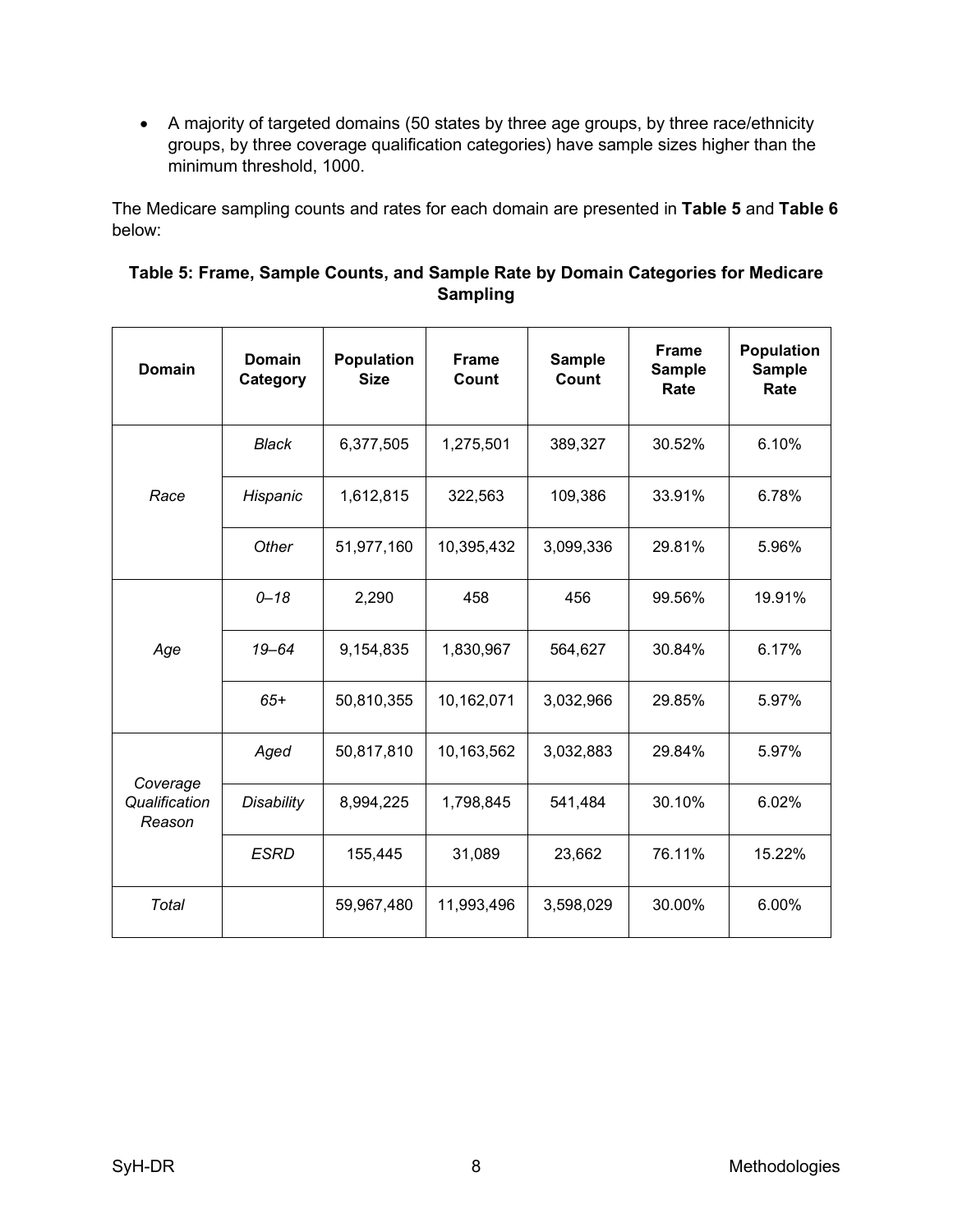• A majority of targeted domains (50 states by three age groups, by three race/ethnicity groups, by three coverage qualification categories) have sample sizes higher than the minimum threshold, 1000.

The Medicare sampling counts and rates for each domain are presented in **Table 5** and **Table 6** below:

| Table 5: Frame, Sample Counts, and Sample Rate by Domain Categories for Medicare |
|----------------------------------------------------------------------------------|
| Sampling                                                                         |

| <b>Domain</b>                       | Domain<br>Category | <b>Population</b><br><b>Size</b> | <b>Frame</b><br>Count | Sample<br>Count | <b>Frame</b><br><b>Sample</b><br>Rate | <b>Population</b><br><b>Sample</b><br>Rate |
|-------------------------------------|--------------------|----------------------------------|-----------------------|-----------------|---------------------------------------|--------------------------------------------|
|                                     | Black              | 6,377,505                        | 1,275,501             | 389,327         | 30.52%                                | 6.10%                                      |
| Race                                | Hispanic           | 1,612,815                        | 322,563               | 109,386         | 33.91%                                | 6.78%                                      |
|                                     | Other              | 51,977,160                       | 10,395,432            | 3,099,336       | 29.81%                                | 5.96%                                      |
| Age                                 | $0 - 18$           | 2,290                            | 458                   | 456             | 99.56%                                | 19.91%                                     |
|                                     | $19 - 64$          | 9,154,835                        | 1,830,967             | 564,627         | 30.84%                                | 6.17%                                      |
|                                     | $65+$              | 50,810,355                       | 10,162,071            | 3,032,966       | 29.85%                                | 5.97%                                      |
|                                     | Aged               | 50,817,810                       | 10,163,562            | 3,032,883       | 29.84%                                | 5.97%                                      |
| Coverage<br>Qualification<br>Reason | <b>Disability</b>  | 8,994,225                        | 1,798,845             | 541,484         | 30.10%                                | 6.02%                                      |
|                                     | <b>ESRD</b>        | 155,445                          | 31,089                | 23,662          | 76.11%                                | 15.22%                                     |
| Total                               |                    | 59,967,480                       | 11,993,496            | 3,598,029       | 30.00%                                | 6.00%                                      |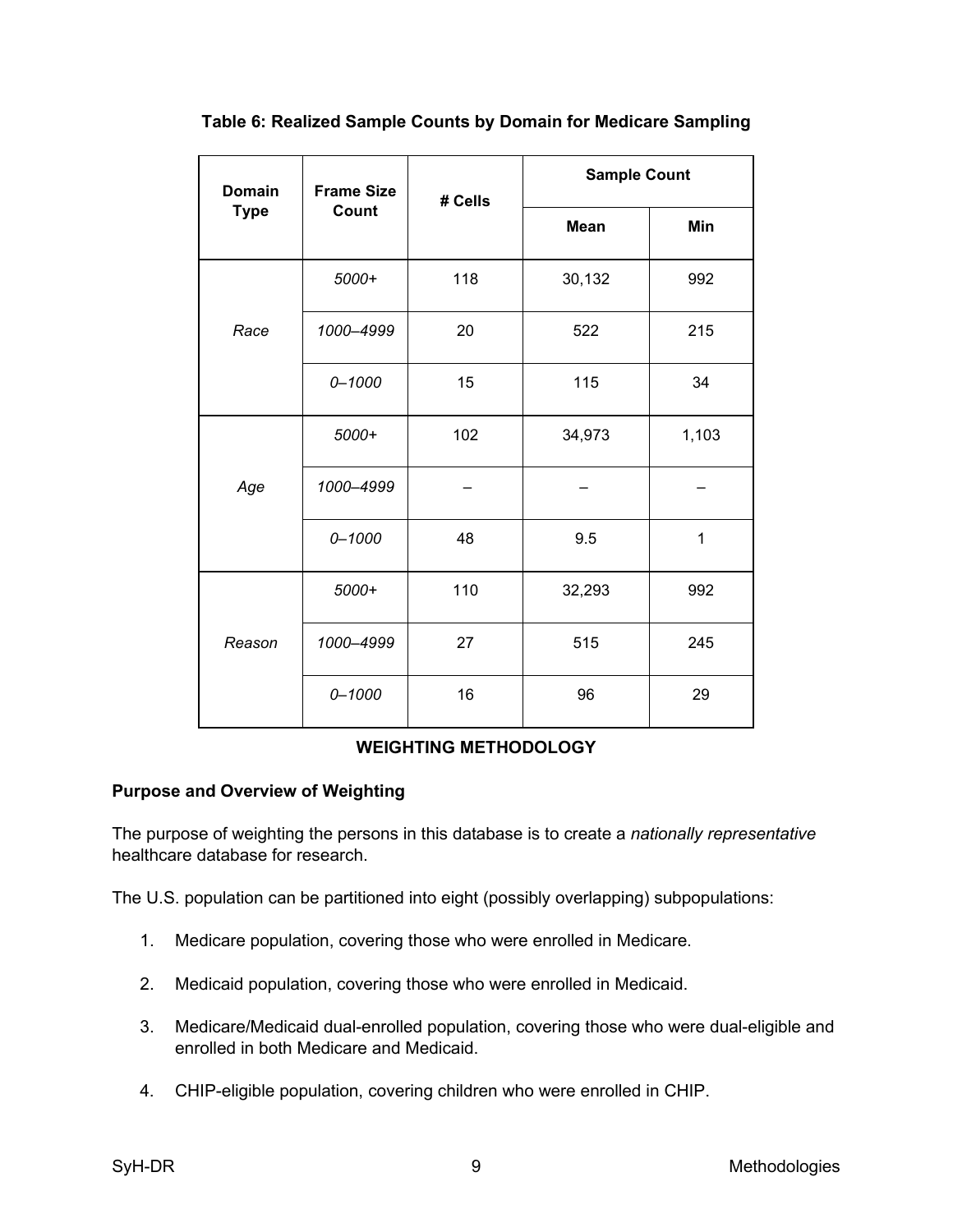| <b>Domain</b> | <b>Frame Size</b><br># Cells |     | <b>Sample Count</b> |       |  |
|---------------|------------------------------|-----|---------------------|-------|--|
| <b>Type</b>   | Count                        |     | <b>Mean</b>         | Min   |  |
|               | 5000+                        | 118 | 30,132              | 992   |  |
| Race          | 1000-4999                    | 20  | 522                 | 215   |  |
|               | $0 - 1000$                   | 15  | 115                 | 34    |  |
| Age           | 5000+                        | 102 | 34,973              | 1,103 |  |
|               | 1000-4999                    |     |                     |       |  |
|               | $0 - 1000$                   | 48  | 9.5                 | 1     |  |
| Reason        | 5000+                        | 110 | 32,293              | 992   |  |
|               | 1000-4999                    | 27  | 515                 | 245   |  |
|               | $0 - 1000$                   | 16  | 96                  | 29    |  |

**Table 6: Realized Sample Counts by Domain for Medicare Sampling**

## **WEIGHTING METHODOLOGY**

## <span id="page-11-1"></span><span id="page-11-0"></span>**Purpose and Overview of Weighting**

The purpose of weighting the persons in this database is to create a *nationally representative* healthcare database for research.

The U.S. population can be partitioned into eight (possibly overlapping) subpopulations:

- 1. Medicare population, covering those who were enrolled in Medicare.
- 2. Medicaid population, covering those who were enrolled in Medicaid.
- 3. Medicare/Medicaid dual-enrolled population, covering those who were dual-eligible and enrolled in both Medicare and Medicaid.
- 4. CHIP-eligible population, covering children who were enrolled in CHIP.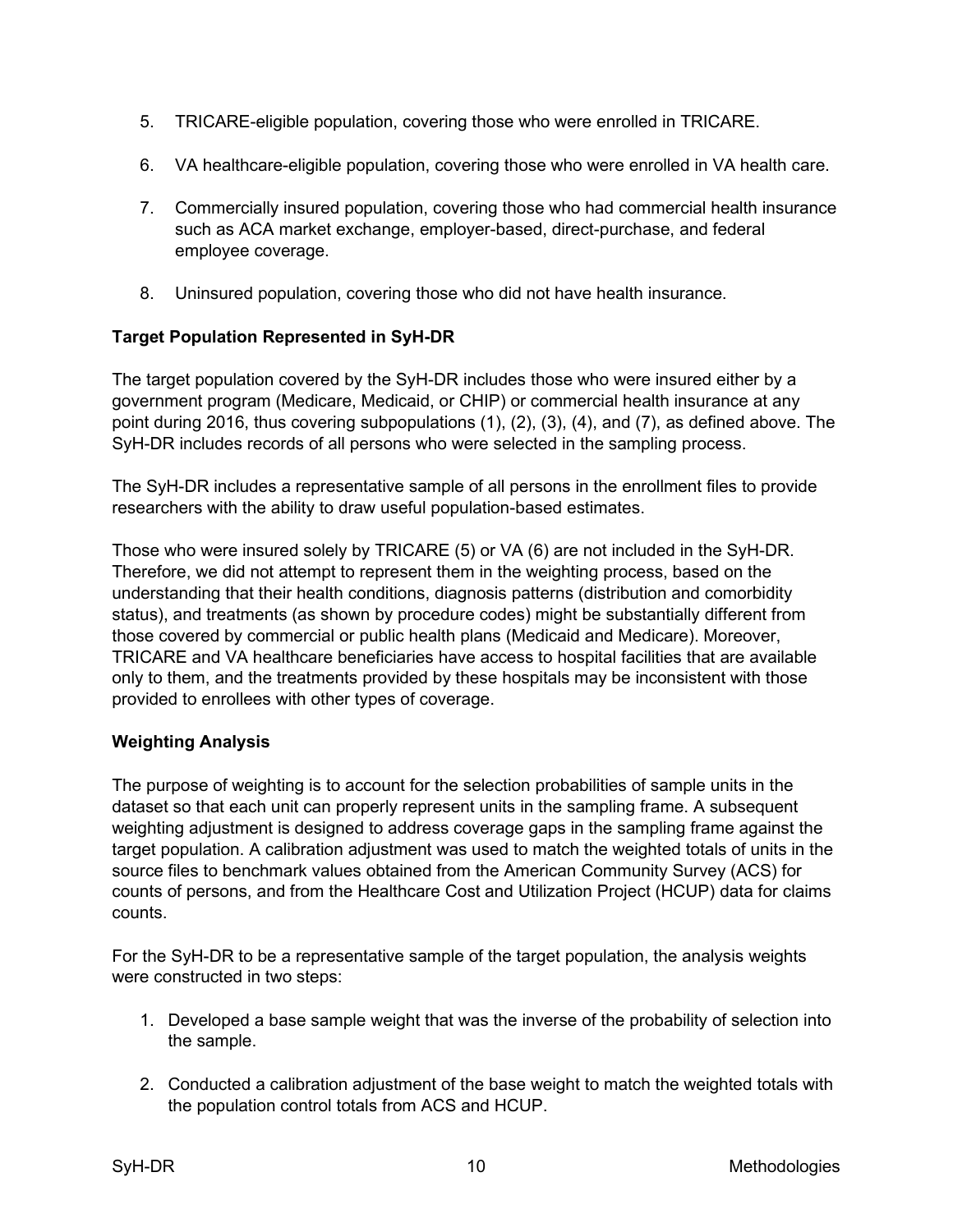- 5. TRICARE-eligible population, covering those who were enrolled in TRICARE.
- 6. VA healthcare-eligible population, covering those who were enrolled in VA health care.
- 7. Commercially insured population, covering those who had commercial health insurance such as ACA market exchange, employer-based, direct-purchase, and federal employee coverage.
- 8. Uninsured population, covering those who did not have health insurance.

## <span id="page-12-0"></span>**Target Population Represented in SyH-DR**

The target population covered by the SyH-DR includes those who were insured either by a government program (Medicare, Medicaid, or CHIP) or commercial health insurance at any point during 2016, thus covering subpopulations (1), (2), (3), (4), and (7), as defined above. The SyH-DR includes records of all persons who were selected in the sampling process.

The SyH-DR includes a representative sample of all persons in the enrollment files to provide researchers with the ability to draw useful population-based estimates.

Those who were insured solely by TRICARE (5) or VA (6) are not included in the SyH-DR. Therefore, we did not attempt to represent them in the weighting process, based on the understanding that their health conditions, diagnosis patterns (distribution and comorbidity status), and treatments (as shown by procedure codes) might be substantially different from those covered by commercial or public health plans (Medicaid and Medicare). Moreover, TRICARE and VA healthcare beneficiaries have access to hospital facilities that are available only to them, and the treatments provided by these hospitals may be inconsistent with those provided to enrollees with other types of coverage.

### <span id="page-12-1"></span>**Weighting Analysis**

The purpose of weighting is to account for the selection probabilities of sample units in the dataset so that each unit can properly represent units in the sampling frame. A subsequent weighting adjustment is designed to address coverage gaps in the sampling frame against the target population. A calibration adjustment was used to match the weighted totals of units in the source files to benchmark values obtained from the American Community Survey (ACS) for counts of persons, and from the Healthcare Cost and Utilization Project (HCUP) data for claims counts.

For the SyH-DR to be a representative sample of the target population, the analysis weights were constructed in two steps:

- 1. Developed a base sample weight that was the inverse of the probability of selection into the sample.
- 2. Conducted a calibration adjustment of the base weight to match the weighted totals with the population control totals from ACS and HCUP.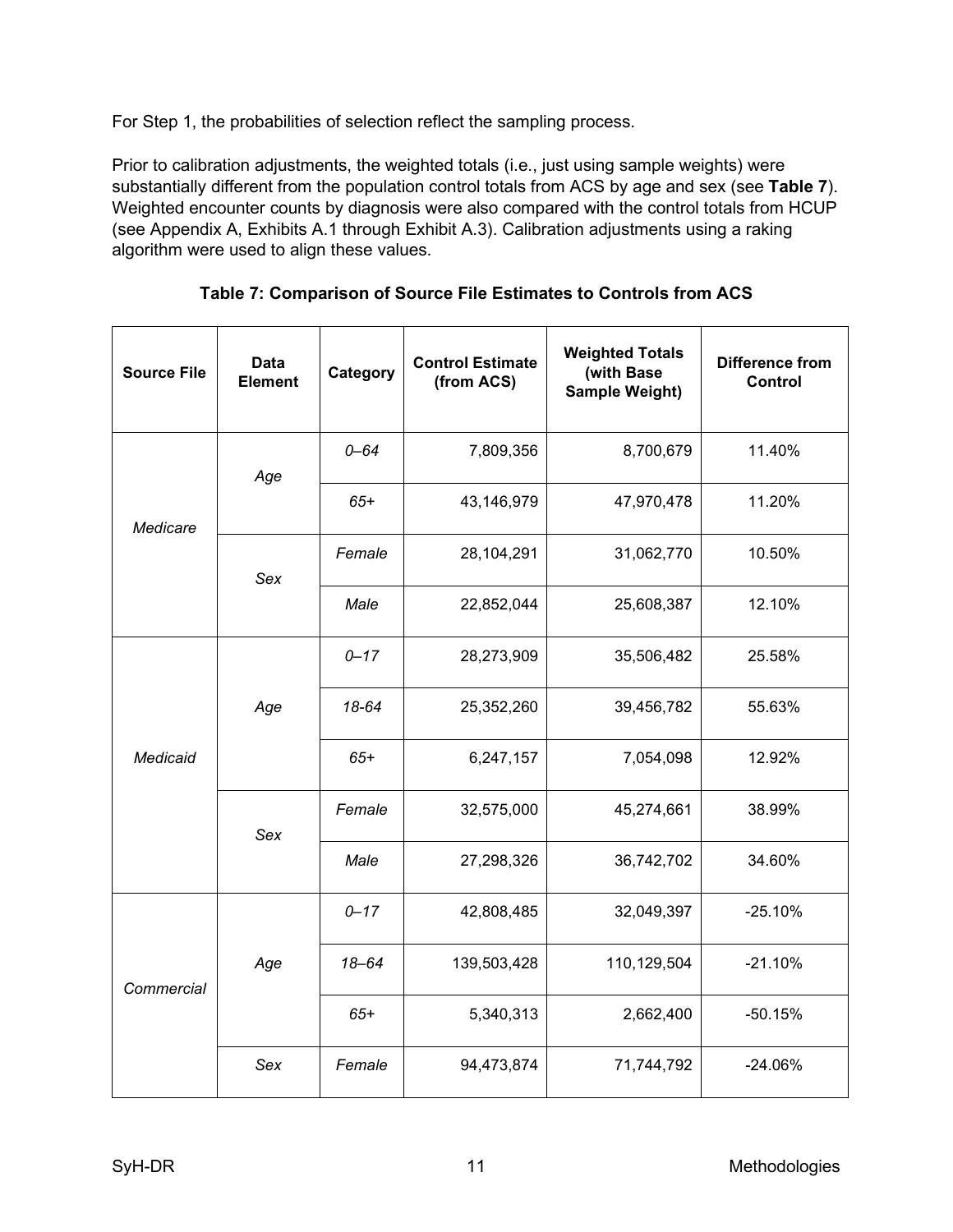For Step 1, the probabilities of selection reflect the sampling process.

Prior to calibration adjustments, the weighted totals (i.e., just using sample weights) were substantially different from the population control totals from ACS by age and sex (see **Table 7**). Weighted encounter counts by diagnosis were also compared with the control totals from HCUP (see Appendix A, Exhibits A.1 through Exhibit A.3). Calibration adjustments using a raking algorithm were used to align these values.

| <b>Source File</b> | <b>Data</b><br><b>Element</b> | Category | <b>Control Estimate</b><br>(from ACS) | <b>Weighted Totals</b><br>(with Base<br>Sample Weight) | <b>Difference from</b><br><b>Control</b> |           |
|--------------------|-------------------------------|----------|---------------------------------------|--------------------------------------------------------|------------------------------------------|-----------|
|                    | Age                           | $0 - 64$ | 7,809,356                             | 8,700,679                                              | 11.40%                                   |           |
| Medicare           |                               | $65+$    | 43,146,979                            | 47,970,478                                             | 11.20%                                   |           |
|                    | Sex                           | Female   | 28,104,291                            | 31,062,770                                             | 10.50%                                   |           |
|                    |                               | Male     | 22,852,044                            | 25,608,387                                             | 12.10%                                   |           |
| Medicaid           | Age                           | $0 - 17$ | 28,273,909                            | 35,506,482                                             | 25.58%                                   |           |
|                    |                               | 18-64    | 25,352,260                            | 39,456,782                                             | 55.63%                                   |           |
|                    |                               | $65+$    | 6,247,157                             | 7,054,098                                              | 12.92%                                   |           |
|                    | Sex                           | Female   | 32,575,000                            | 45,274,661                                             | 38.99%                                   |           |
|                    |                               | Male     | 27,298,326                            | 36,742,702                                             | 34.60%                                   |           |
|                    |                               | $0 - 17$ | 42,808,485                            | 32,049,397                                             | $-25.10%$                                |           |
| Commercial         |                               | Age      | $18 - 64$                             | 139,503,428                                            | 110,129,504                              | $-21.10%$ |
|                    |                               | $65+$    | 5,340,313                             | 2,662,400                                              | $-50.15%$                                |           |
|                    | Sex                           | Female   | 94,473,874                            | 71,744,792                                             | $-24.06%$                                |           |

**Table 7: Comparison of Source File Estimates to Controls from ACS**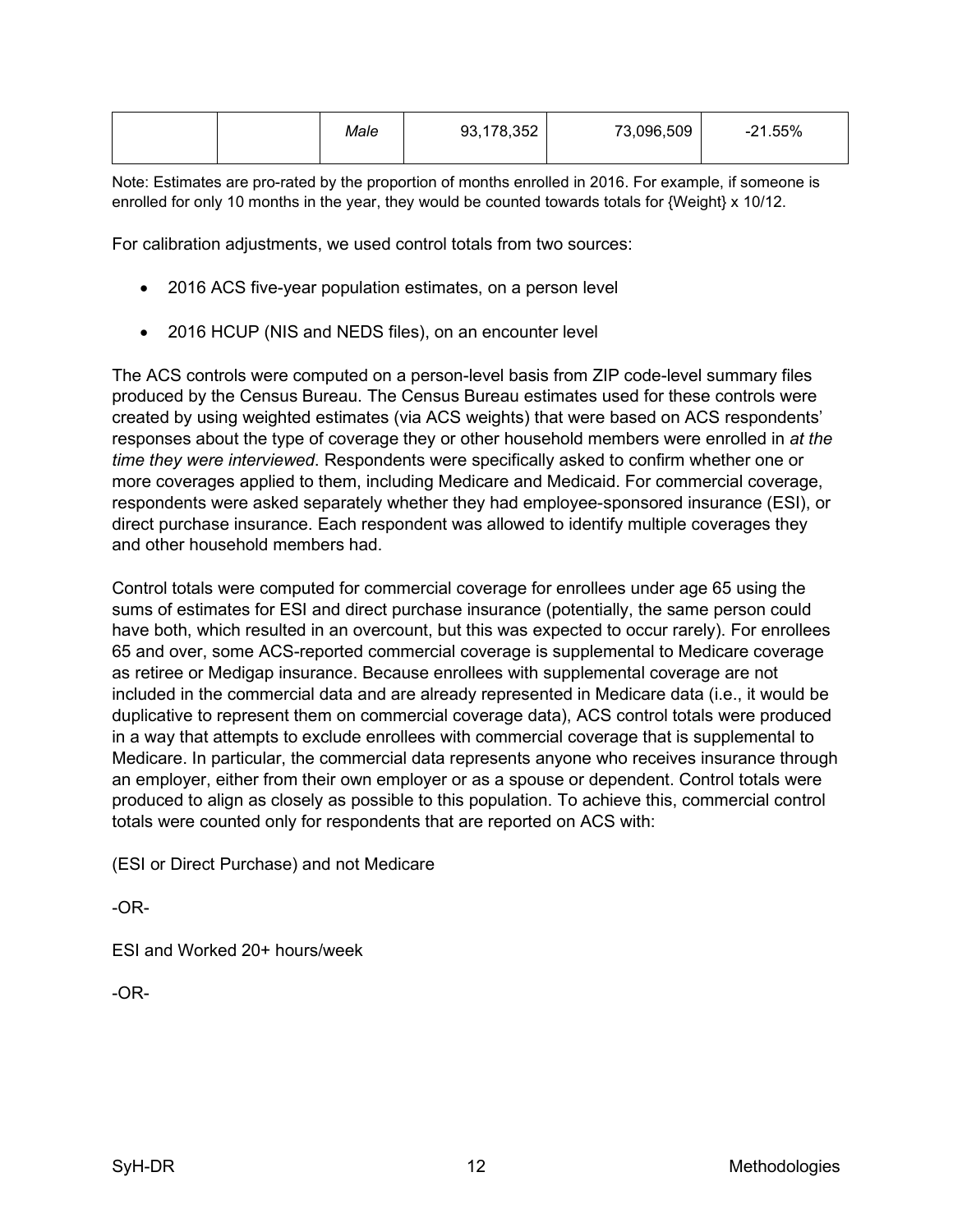|--|

Note: Estimates are pro-rated by the proportion of months enrolled in 2016. For example, if someone is enrolled for only 10 months in the year, they would be counted towards totals for {Weight} x 10/12.

For calibration adjustments, we used control totals from two sources:

- 2016 ACS five-year population estimates, on a person level
- 2016 HCUP (NIS and NEDS files), on an encounter level

The ACS controls were computed on a person-level basis from ZIP code-level summary files produced by the Census Bureau. The Census Bureau estimates used for these controls were created by using weighted estimates (via ACS weights) that were based on ACS respondents' responses about the type of coverage they or other household members were enrolled in *at the time they were interviewed*. Respondents were specifically asked to confirm whether one or more coverages applied to them, including Medicare and Medicaid. For commercial coverage, respondents were asked separately whether they had employee-sponsored insurance (ESI), or direct purchase insurance. Each respondent was allowed to identify multiple coverages they and other household members had.

Control totals were computed for commercial coverage for enrollees under age 65 using the sums of estimates for ESI and direct purchase insurance (potentially, the same person could have both, which resulted in an overcount, but this was expected to occur rarely). For enrollees 65 and over, some ACS-reported commercial coverage is supplemental to Medicare coverage as retiree or Medigap insurance. Because enrollees with supplemental coverage are not included in the commercial data and are already represented in Medicare data (i.e., it would be duplicative to represent them on commercial coverage data), ACS control totals were produced in a way that attempts to exclude enrollees with commercial coverage that is supplemental to Medicare. In particular, the commercial data represents anyone who receives insurance through an employer, either from their own employer or as a spouse or dependent. Control totals were produced to align as closely as possible to this population. To achieve this, commercial control totals were counted only for respondents that are reported on ACS with:

(ESI or Direct Purchase) and not Medicare

-OR-

ESI and Worked 20+ hours/week

-OR-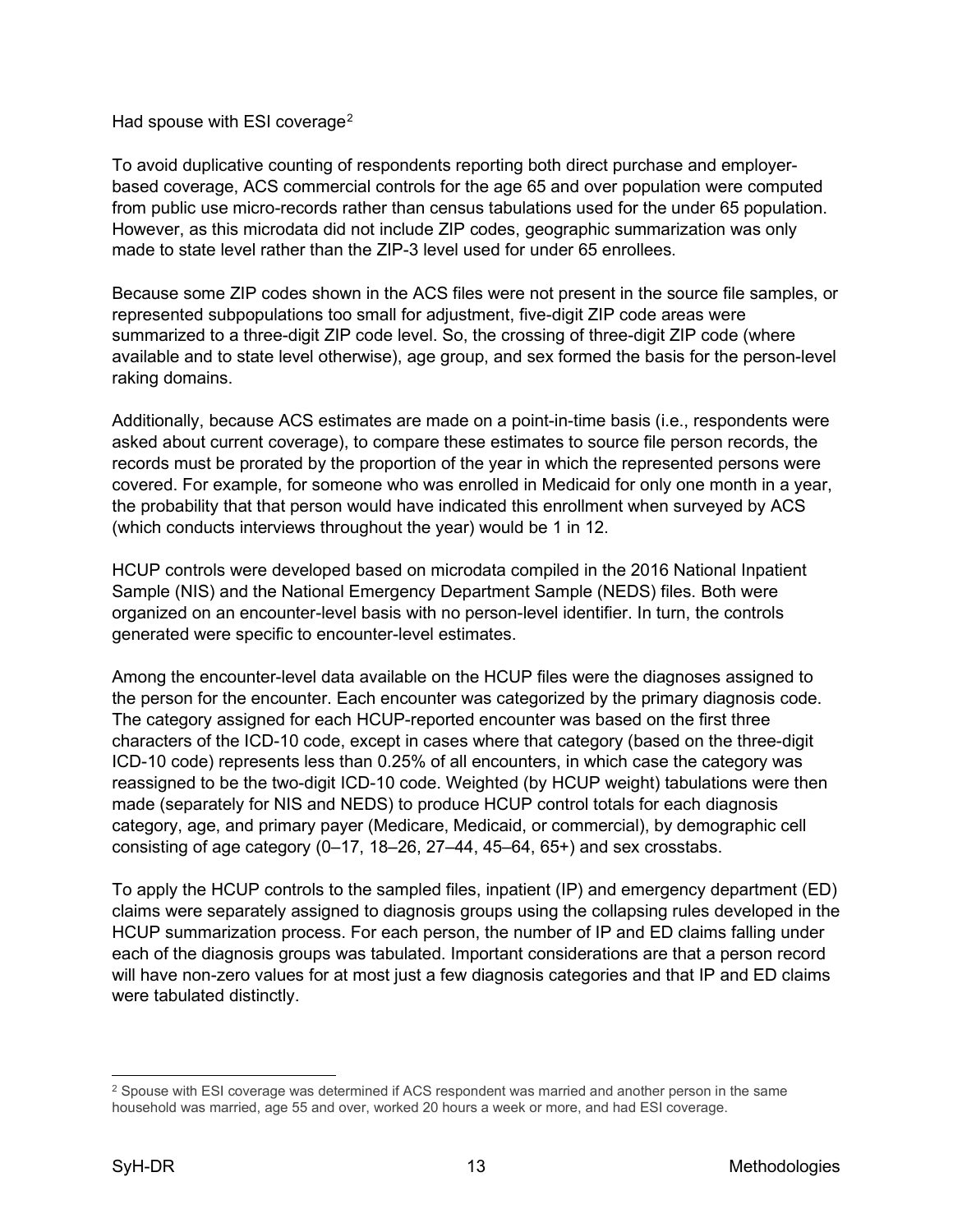Had spouse with ESI coverage<sup>[2](#page-15-0)</sup>

To avoid duplicative counting of respondents reporting both direct purchase and employerbased coverage, ACS commercial controls for the age 65 and over population were computed from public use micro-records rather than census tabulations used for the under 65 population. However, as this microdata did not include ZIP codes, geographic summarization was only made to state level rather than the ZIP-3 level used for under 65 enrollees.

Because some ZIP codes shown in the ACS files were not present in the source file samples, or represented subpopulations too small for adjustment, five-digit ZIP code areas were summarized to a three-digit ZIP code level. So, the crossing of three-digit ZIP code (where available and to state level otherwise), age group, and sex formed the basis for the person-level raking domains.

Additionally, because ACS estimates are made on a point-in-time basis (i.e., respondents were asked about current coverage), to compare these estimates to source file person records, the records must be prorated by the proportion of the year in which the represented persons were covered. For example, for someone who was enrolled in Medicaid for only one month in a year, the probability that that person would have indicated this enrollment when surveyed by ACS (which conducts interviews throughout the year) would be 1 in 12.

HCUP controls were developed based on microdata compiled in the 2016 National Inpatient Sample (NIS) and the National Emergency Department Sample (NEDS) files. Both were organized on an encounter-level basis with no person-level identifier. In turn, the controls generated were specific to encounter-level estimates.

Among the encounter-level data available on the HCUP files were the diagnoses assigned to the person for the encounter. Each encounter was categorized by the primary diagnosis code. The category assigned for each HCUP-reported encounter was based on the first three characters of the ICD-10 code, except in cases where that category (based on the three-digit ICD-10 code) represents less than 0.25% of all encounters, in which case the category was reassigned to be the two-digit ICD-10 code. Weighted (by HCUP weight) tabulations were then made (separately for NIS and NEDS) to produce HCUP control totals for each diagnosis category, age, and primary payer (Medicare, Medicaid, or commercial), by demographic cell consisting of age category (0–17, 18–26, 27–44, 45–64, 65+) and sex crosstabs.

To apply the HCUP controls to the sampled files, inpatient (IP) and emergency department (ED) claims were separately assigned to diagnosis groups using the collapsing rules developed in the HCUP summarization process. For each person, the number of IP and ED claims falling under each of the diagnosis groups was tabulated. Important considerations are that a person record will have non-zero values for at most just a few diagnosis categories and that IP and ED claims were tabulated distinctly.

<span id="page-15-0"></span><sup>&</sup>lt;sup>2</sup> Spouse with ESI coverage was determined if ACS respondent was married and another person in the same household was married, age 55 and over, worked 20 hours a week or more, and had ESI coverage.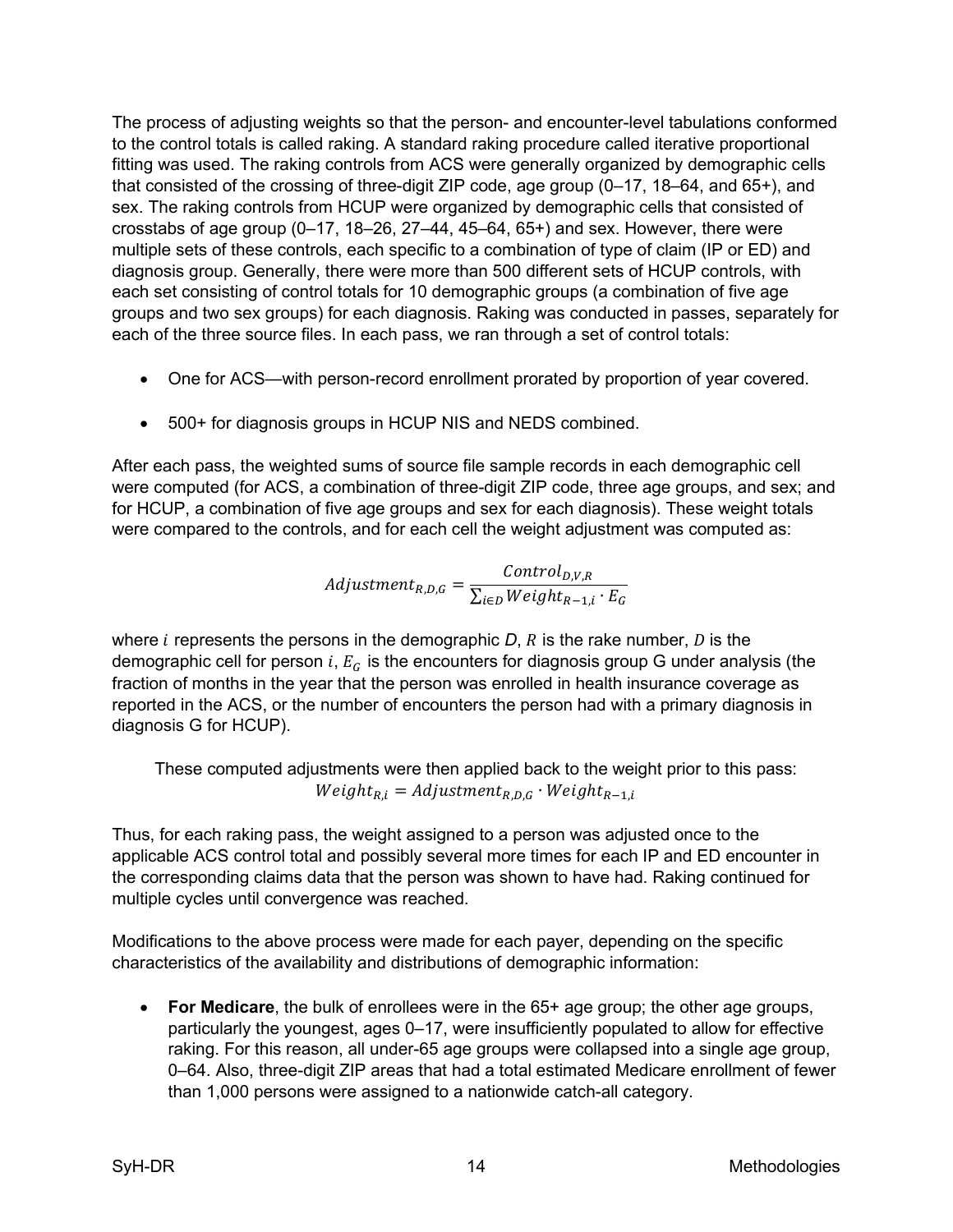The process of adjusting weights so that the person- and encounter-level tabulations conformed to the control totals is called raking. A standard raking procedure called iterative proportional fitting was used. The raking controls from ACS were generally organized by demographic cells that consisted of the crossing of three-digit ZIP code, age group (0–17, 18–64, and 65+), and sex. The raking controls from HCUP were organized by demographic cells that consisted of crosstabs of age group  $(0-17, 18-26, 27-44, 45-64, 65+)$  and sex. However, there were multiple sets of these controls, each specific to a combination of type of claim (IP or ED) and diagnosis group. Generally, there were more than 500 different sets of HCUP controls, with each set consisting of control totals for 10 demographic groups (a combination of five age groups and two sex groups) for each diagnosis. Raking was conducted in passes, separately for each of the three source files. In each pass, we ran through a set of control totals:

- One for ACS—with person-record enrollment prorated by proportion of year covered.
- 500+ for diagnosis groups in HCUP NIS and NEDS combined.

After each pass, the weighted sums of source file sample records in each demographic cell were computed (for ACS, a combination of three-digit ZIP code, three age groups, and sex; and for HCUP, a combination of five age groups and sex for each diagnosis). These weight totals were compared to the controls, and for each cell the weight adjustment was computed as:

$$
Adjustment_{R,D,G} = \frac{Control_{D,V,R}}{\sum_{i \in D} Weight_{R-1,i} \cdot E_G}
$$

where  $i$  represents the persons in the demographic  $D$ ,  $R$  is the rake number,  $D$  is the demographic cell for person  $i$ ,  $E_G$  is the encounters for diagnosis group G under analysis (the fraction of months in the year that the person was enrolled in health insurance coverage as reported in the ACS, or the number of encounters the person had with a primary diagnosis in diagnosis G for HCUP).

These computed adjustments were then applied back to the weight prior to this pass:  $Weight_{R,i} = Adjustment_{R,D,G} \cdot Weight_{R-1,i}$ 

Thus, for each raking pass, the weight assigned to a person was adjusted once to the applicable ACS control total and possibly several more times for each IP and ED encounter in the corresponding claims data that the person was shown to have had. Raking continued for multiple cycles until convergence was reached.

Modifications to the above process were made for each payer, depending on the specific characteristics of the availability and distributions of demographic information:

• **For Medicare**, the bulk of enrollees were in the 65+ age group; the other age groups, particularly the youngest, ages 0–17, were insufficiently populated to allow for effective raking. For this reason, all under-65 age groups were collapsed into a single age group, 0–64. Also, three-digit ZIP areas that had a total estimated Medicare enrollment of fewer than 1,000 persons were assigned to a nationwide catch-all category.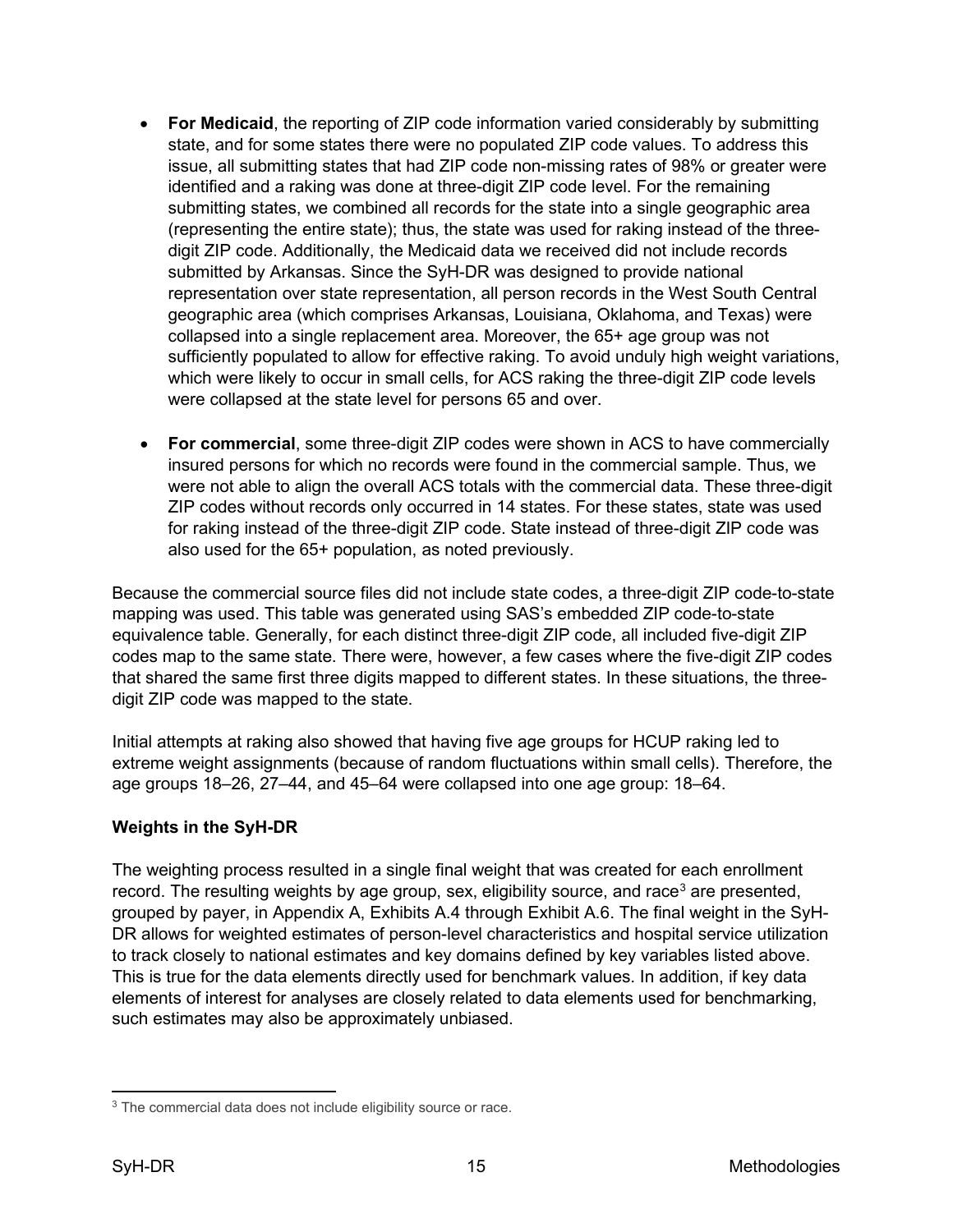- **For Medicaid**, the reporting of ZIP code information varied considerably by submitting state, and for some states there were no populated ZIP code values. To address this issue, all submitting states that had ZIP code non-missing rates of 98% or greater were identified and a raking was done at three-digit ZIP code level. For the remaining submitting states, we combined all records for the state into a single geographic area (representing the entire state); thus, the state was used for raking instead of the threedigit ZIP code. Additionally, the Medicaid data we received did not include records submitted by Arkansas. Since the SyH-DR was designed to provide national representation over state representation, all person records in the West South Central geographic area (which comprises Arkansas, Louisiana, Oklahoma, and Texas) were collapsed into a single replacement area. Moreover, the 65+ age group was not sufficiently populated to allow for effective raking. To avoid unduly high weight variations, which were likely to occur in small cells, for ACS raking the three-digit ZIP code levels were collapsed at the state level for persons 65 and over.
- **For commercial**, some three-digit ZIP codes were shown in ACS to have commercially insured persons for which no records were found in the commercial sample. Thus, we were not able to align the overall ACS totals with the commercial data. These three-digit ZIP codes without records only occurred in 14 states. For these states, state was used for raking instead of the three-digit ZIP code. State instead of three-digit ZIP code was also used for the 65+ population, as noted previously.

Because the commercial source files did not include state codes, a three-digit ZIP code-to-state mapping was used. This table was generated using SAS's embedded ZIP code-to-state equivalence table. Generally, for each distinct three-digit ZIP code, all included five-digit ZIP codes map to the same state. There were, however, a few cases where the five-digit ZIP codes that shared the same first three digits mapped to different states. In these situations, the threedigit ZIP code was mapped to the state.

Initial attempts at raking also showed that having five age groups for HCUP raking led to extreme weight assignments (because of random fluctuations within small cells). Therefore, the age groups 18–26, 27–44, and 45–64 were collapsed into one age group: 18–64.

## <span id="page-17-0"></span>**Weights in the SyH-DR**

The weighting process resulted in a single final weight that was created for each enrollment record. The resulting weights by age group, sex, eligibility source, and race<sup>[3](#page-17-1)</sup> are presented, grouped by payer, in Appendix A, Exhibits A.4 through Exhibit A.6. The final weight in the SyH-DR allows for weighted estimates of person-level characteristics and hospital service utilization to track closely to national estimates and key domains defined by key variables listed above. This is true for the data elements directly used for benchmark values. In addition, if key data elements of interest for analyses are closely related to data elements used for benchmarking, such estimates may also be approximately unbiased.

<span id="page-17-1"></span><sup>&</sup>lt;sup>3</sup> The commercial data does not include eligibility source or race.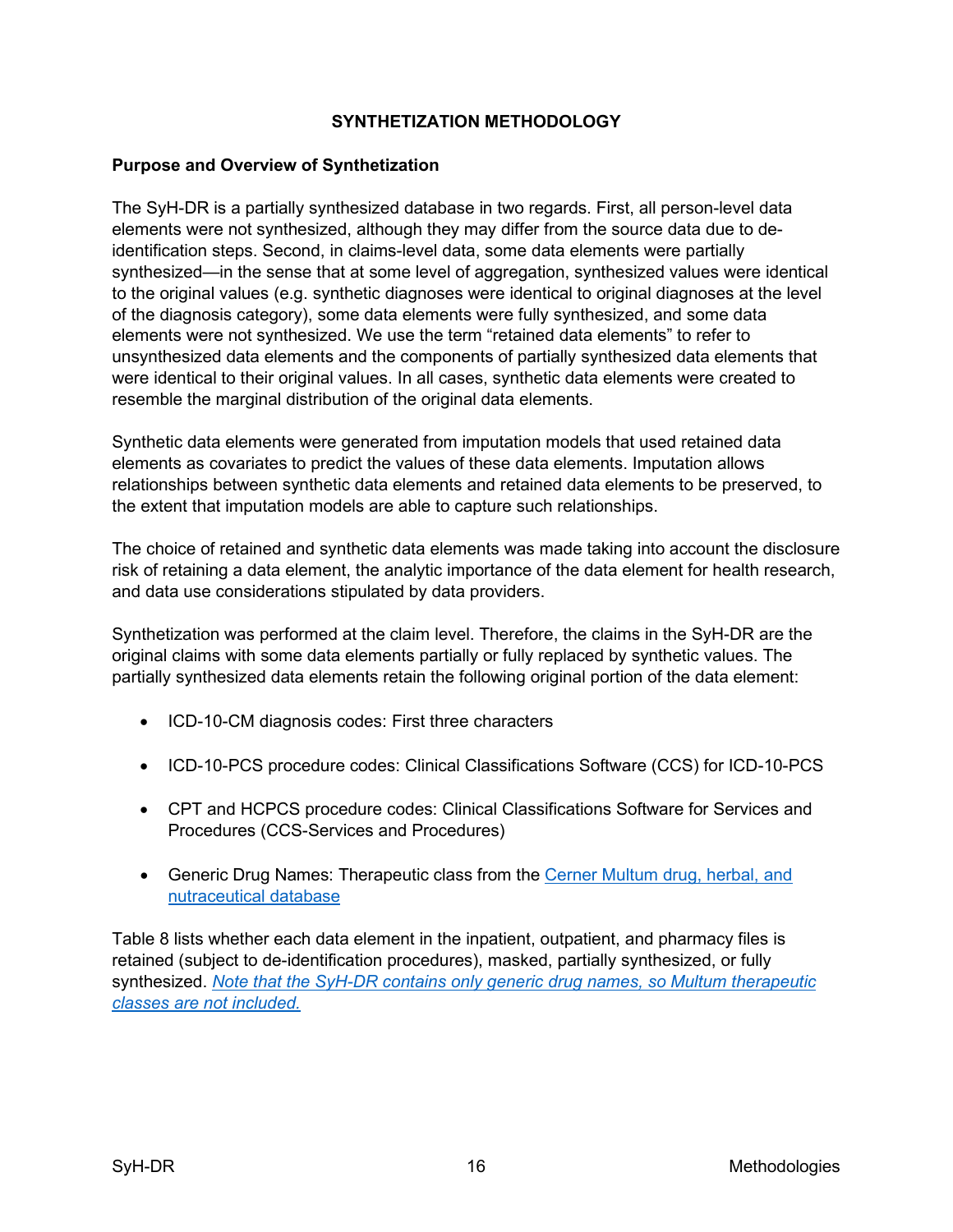## **SYNTHETIZATION METHODOLOGY**

## <span id="page-18-1"></span><span id="page-18-0"></span>**Purpose and Overview of Synthetization**

The SyH-DR is a partially synthesized database in two regards. First, all person-level data elements were not synthesized, although they may differ from the source data due to deidentification steps. Second, in claims-level data, some data elements were partially synthesized—in the sense that at some level of aggregation, synthesized values were identical to the original values (e.g. synthetic diagnoses were identical to original diagnoses at the level of the diagnosis category), some data elements were fully synthesized, and some data elements were not synthesized. We use the term "retained data elements" to refer to unsynthesized data elements and the components of partially synthesized data elements that were identical to their original values. In all cases, synthetic data elements were created to resemble the marginal distribution of the original data elements.

Synthetic data elements were generated from imputation models that used retained data elements as covariates to predict the values of these data elements. Imputation allows relationships between synthetic data elements and retained data elements to be preserved, to the extent that imputation models are able to capture such relationships.

The choice of retained and synthetic data elements was made taking into account the disclosure risk of retaining a data element, the analytic importance of the data element for health research, and data use considerations stipulated by data providers.

Synthetization was performed at the claim level. Therefore, the claims in the SyH-DR are the original claims with some data elements partially or fully replaced by synthetic values. The partially synthesized data elements retain the following original portion of the data element:

- ICD-10-CM diagnosis codes: First three characters
- ICD-10-PCS procedure codes: Clinical Classifications Software (CCS) for ICD-10-PCS
- CPT and HCPCS procedure codes: Clinical Classifications Software for Services and Procedures (CCS-Services and Procedures)
- Generic Drug Names: Therapeutic class from the [Cerner Multum drug, herbal, and](https://www.cerner.com/solutions/drug-database.)  [nutraceutical database](https://www.cerner.com/solutions/drug-database.)

Table 8 lists whether each data element in the inpatient, outpatient, and pharmacy files is retained (subject to de-identification procedures), masked, partially synthesized, or fully synthesized. *Note that the SyH-DR contains only generic drug names, so Multum therapeutic classes are not included.*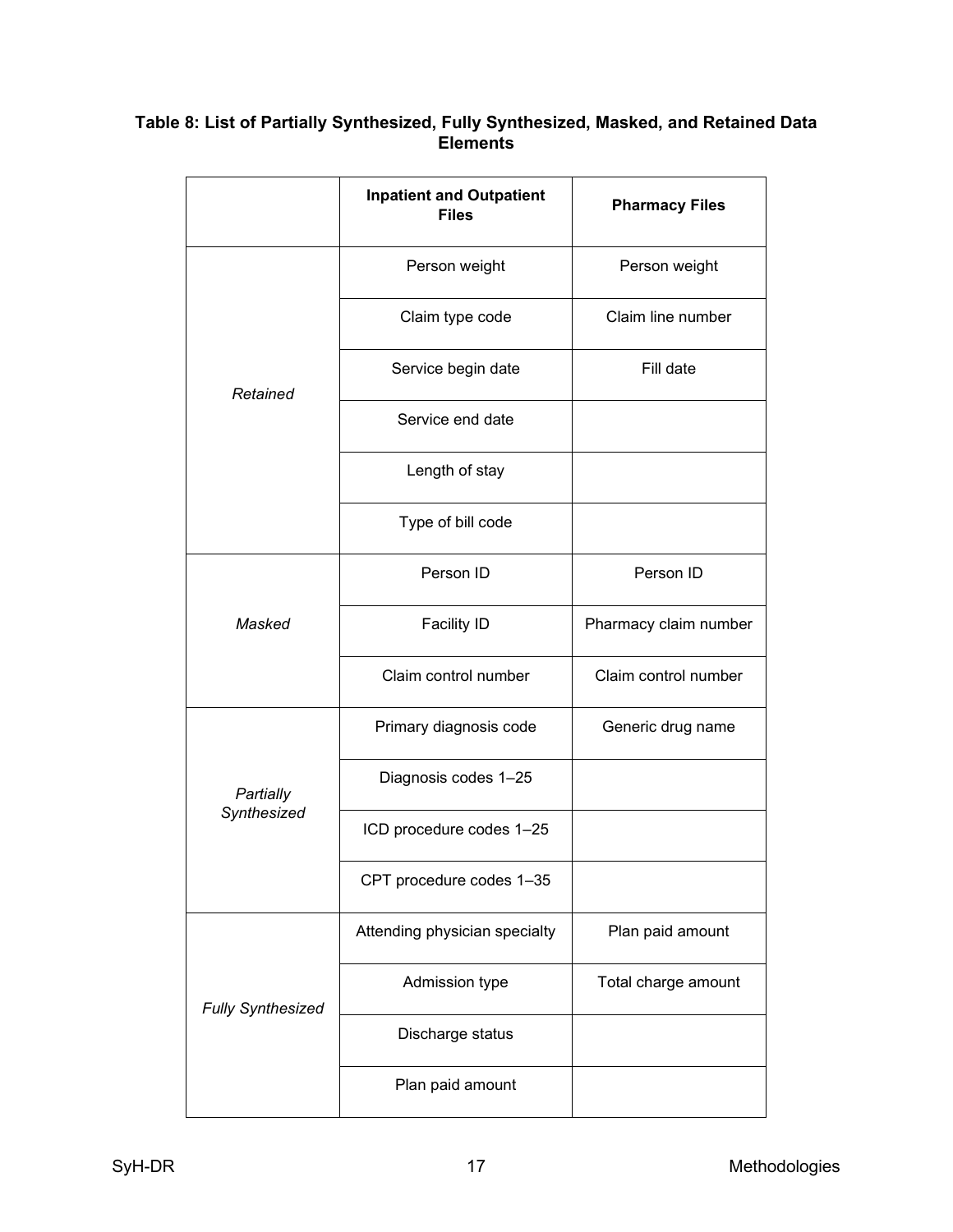## **Table 8: List of Partially Synthesized, Fully Synthesized, Masked, and Retained Data Elements**

|                          | <b>Inpatient and Outpatient</b><br><b>Files</b> | <b>Pharmacy Files</b> |
|--------------------------|-------------------------------------------------|-----------------------|
|                          | Person weight                                   | Person weight         |
|                          | Claim type code                                 | Claim line number     |
| Retained                 | Service begin date                              | Fill date             |
|                          | Service end date                                |                       |
|                          | Length of stay                                  |                       |
|                          | Type of bill code                               |                       |
|                          | Person ID                                       | Person ID             |
| Masked                   | <b>Facility ID</b>                              | Pharmacy claim number |
|                          | Claim control number                            | Claim control number  |
|                          | Primary diagnosis code                          | Generic drug name     |
| Partially                | Diagnosis codes 1-25                            |                       |
| Synthesized              | ICD procedure codes 1-25                        |                       |
|                          | CPT procedure codes 1-35                        |                       |
|                          | Attending physician specialty                   | Plan paid amount      |
| <b>Fully Synthesized</b> | Admission type                                  | Total charge amount   |
|                          | Discharge status                                |                       |
|                          | Plan paid amount                                |                       |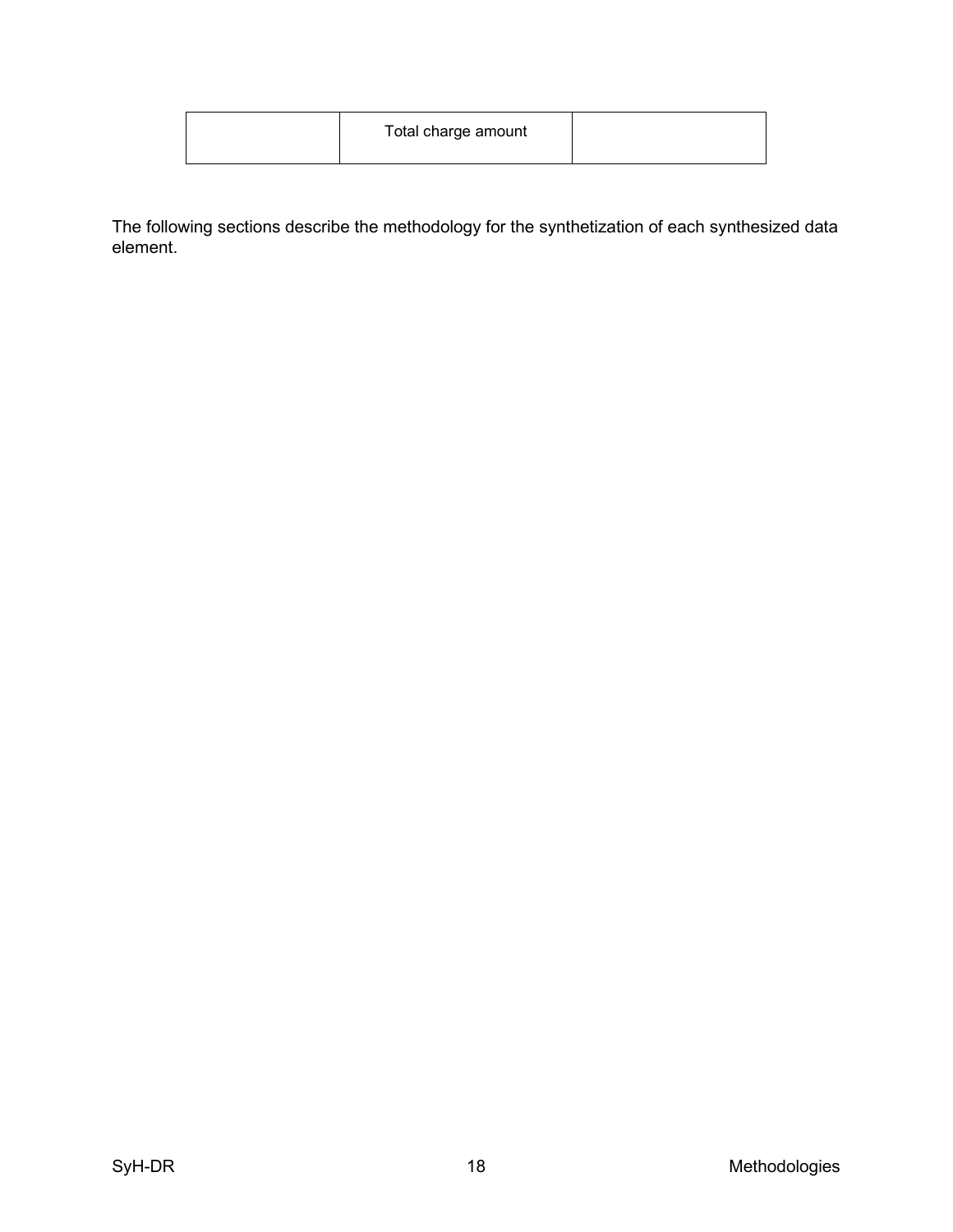| Total charge amount |  |
|---------------------|--|
|---------------------|--|

The following sections describe the methodology for the synthetization of each synthesized data element.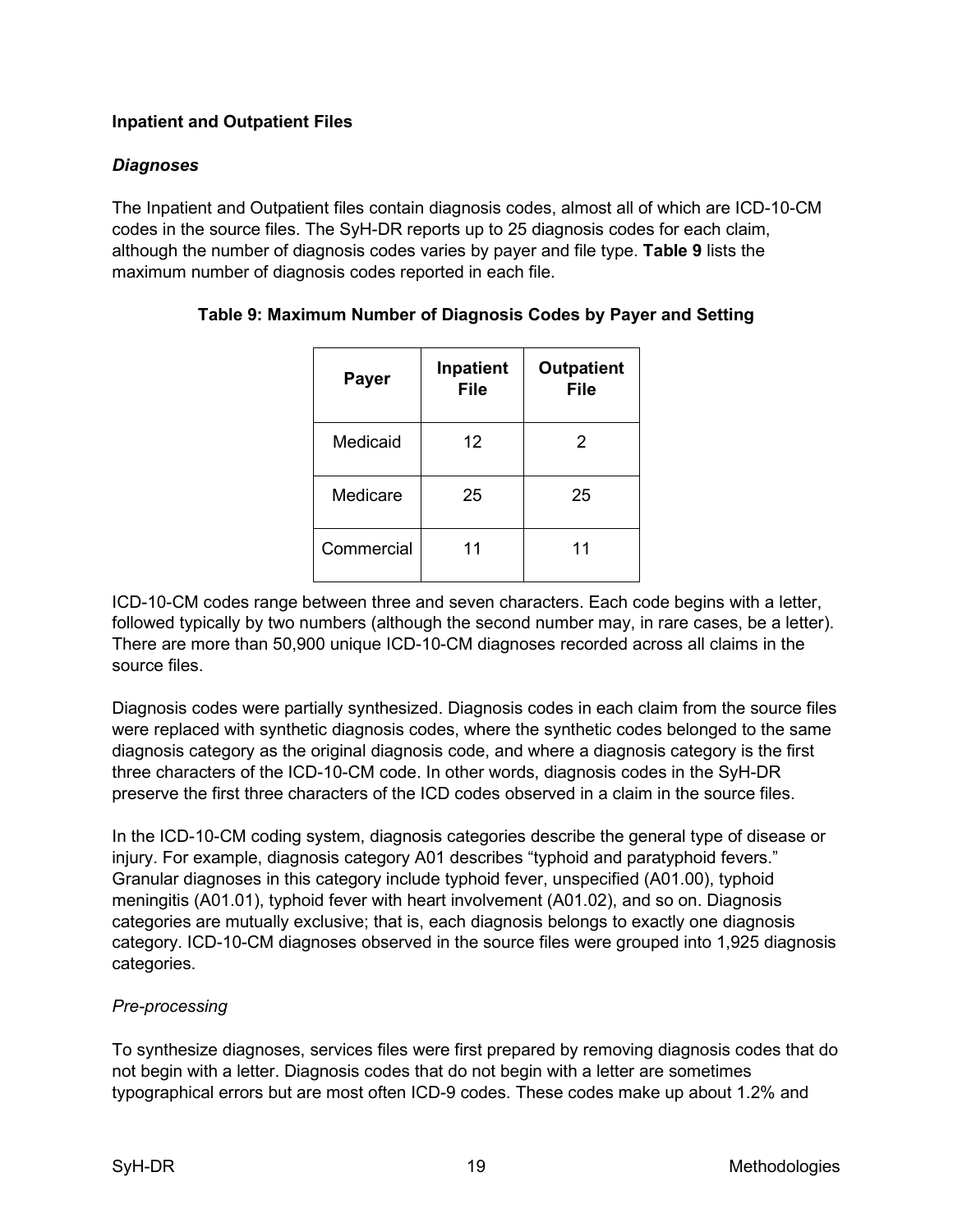## <span id="page-21-0"></span>**Inpatient and Outpatient Files**

## <span id="page-21-1"></span>*Diagnoses*

The Inpatient and Outpatient files contain diagnosis codes, almost all of which are ICD-10-CM codes in the source files. The SyH-DR reports up to 25 diagnosis codes for each claim, although the number of diagnosis codes varies by payer and file type. **Table 9** lists the maximum number of diagnosis codes reported in each file.

| <b>Payer</b> | Inpatient<br><b>File</b> | <b>Outpatient</b><br><b>File</b> |
|--------------|--------------------------|----------------------------------|
| Medicaid     | 12                       | 2                                |
| Medicare     | 25                       | 25                               |
| Commercial   | 11                       | 11                               |

## **Table 9: Maximum Number of Diagnosis Codes by Payer and Setting**

ICD-10-CM codes range between three and seven characters. Each code begins with a letter, followed typically by two numbers (although the second number may, in rare cases, be a letter). There are more than 50,900 unique ICD-10-CM diagnoses recorded across all claims in the source files.

Diagnosis codes were partially synthesized. Diagnosis codes in each claim from the source files were replaced with synthetic diagnosis codes, where the synthetic codes belonged to the same diagnosis category as the original diagnosis code, and where a diagnosis category is the first three characters of the ICD-10-CM code. In other words, diagnosis codes in the SyH-DR preserve the first three characters of the ICD codes observed in a claim in the source files.

In the ICD-10-CM coding system, diagnosis categories describe the general type of disease or injury. For example, diagnosis category A01 describes "typhoid and paratyphoid fevers." Granular diagnoses in this category include typhoid fever, unspecified (A01.00), typhoid meningitis (A01.01), typhoid fever with heart involvement (A01.02), and so on. Diagnosis categories are mutually exclusive; that is, each diagnosis belongs to exactly one diagnosis category. ICD-10-CM diagnoses observed in the source files were grouped into 1,925 diagnosis categories.

## <span id="page-21-2"></span>*Pre-processing*

To synthesize diagnoses, services files were first prepared by removing diagnosis codes that do not begin with a letter. Diagnosis codes that do not begin with a letter are sometimes typographical errors but are most often ICD-9 codes. These codes make up about 1.2% and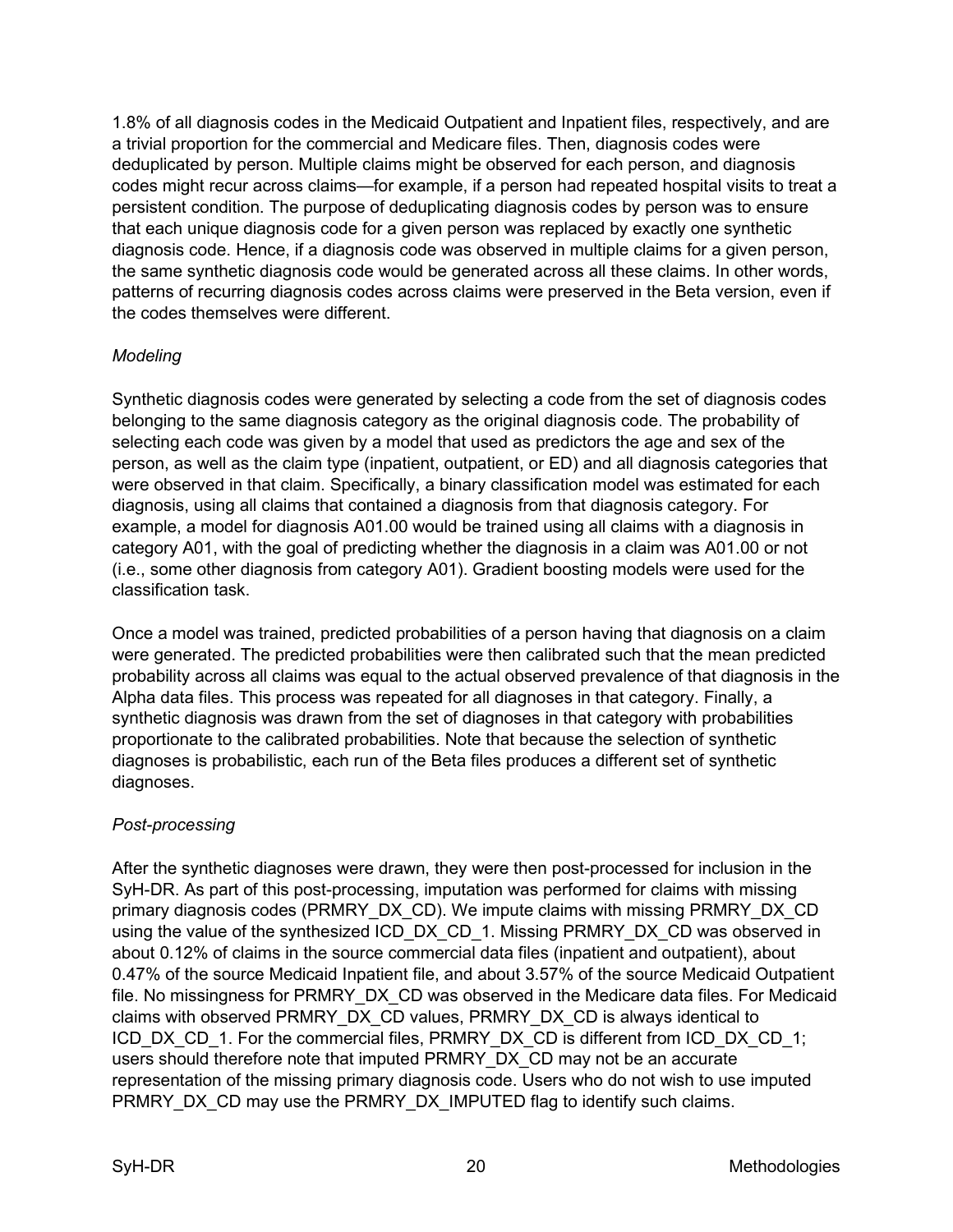1.8% of all diagnosis codes in the Medicaid Outpatient and Inpatient files, respectively, and are a trivial proportion for the commercial and Medicare files. Then, diagnosis codes were deduplicated by person. Multiple claims might be observed for each person, and diagnosis codes might recur across claims—for example, if a person had repeated hospital visits to treat a persistent condition. The purpose of deduplicating diagnosis codes by person was to ensure that each unique diagnosis code for a given person was replaced by exactly one synthetic diagnosis code. Hence, if a diagnosis code was observed in multiple claims for a given person, the same synthetic diagnosis code would be generated across all these claims. In other words, patterns of recurring diagnosis codes across claims were preserved in the Beta version, even if the codes themselves were different.

## <span id="page-22-0"></span>*Modeling*

Synthetic diagnosis codes were generated by selecting a code from the set of diagnosis codes belonging to the same diagnosis category as the original diagnosis code. The probability of selecting each code was given by a model that used as predictors the age and sex of the person, as well as the claim type (inpatient, outpatient, or ED) and all diagnosis categories that were observed in that claim. Specifically, a binary classification model was estimated for each diagnosis, using all claims that contained a diagnosis from that diagnosis category. For example, a model for diagnosis A01.00 would be trained using all claims with a diagnosis in category A01, with the goal of predicting whether the diagnosis in a claim was A01.00 or not (i.e., some other diagnosis from category A01). Gradient boosting models were used for the classification task.

Once a model was trained, predicted probabilities of a person having that diagnosis on a claim were generated. The predicted probabilities were then calibrated such that the mean predicted probability across all claims was equal to the actual observed prevalence of that diagnosis in the Alpha data files. This process was repeated for all diagnoses in that category. Finally, a synthetic diagnosis was drawn from the set of diagnoses in that category with probabilities proportionate to the calibrated probabilities. Note that because the selection of synthetic diagnoses is probabilistic, each run of the Beta files produces a different set of synthetic diagnoses.

## <span id="page-22-1"></span>*Post-processing*

After the synthetic diagnoses were drawn, they were then post-processed for inclusion in the SyH-DR. As part of this post-processing, imputation was performed for claims with missing primary diagnosis codes (PRMRY\_DX\_CD). We impute claims with missing PRMRY\_DX\_CD using the value of the synthesized ICD\_DX\_CD\_1. Missing PRMRY\_DX\_CD was observed in about 0.12% of claims in the source commercial data files (inpatient and outpatient), about 0.47% of the source Medicaid Inpatient file, and about 3.57% of the source Medicaid Outpatient file. No missingness for PRMRY DX CD was observed in the Medicare data files. For Medicaid claims with observed PRMRY\_DX\_CD values, PRMRY\_DX\_CD is always identical to ICD\_DX\_CD\_1. For the commercial files, PRMRY\_DX\_CD is different from ICD\_DX\_CD\_1; users should therefore note that imputed PRMRY\_DX\_CD may not be an accurate representation of the missing primary diagnosis code. Users who do not wish to use imputed PRMRY\_DX\_CD may use the PRMRY\_DX\_IMPUTED flag to identify such claims.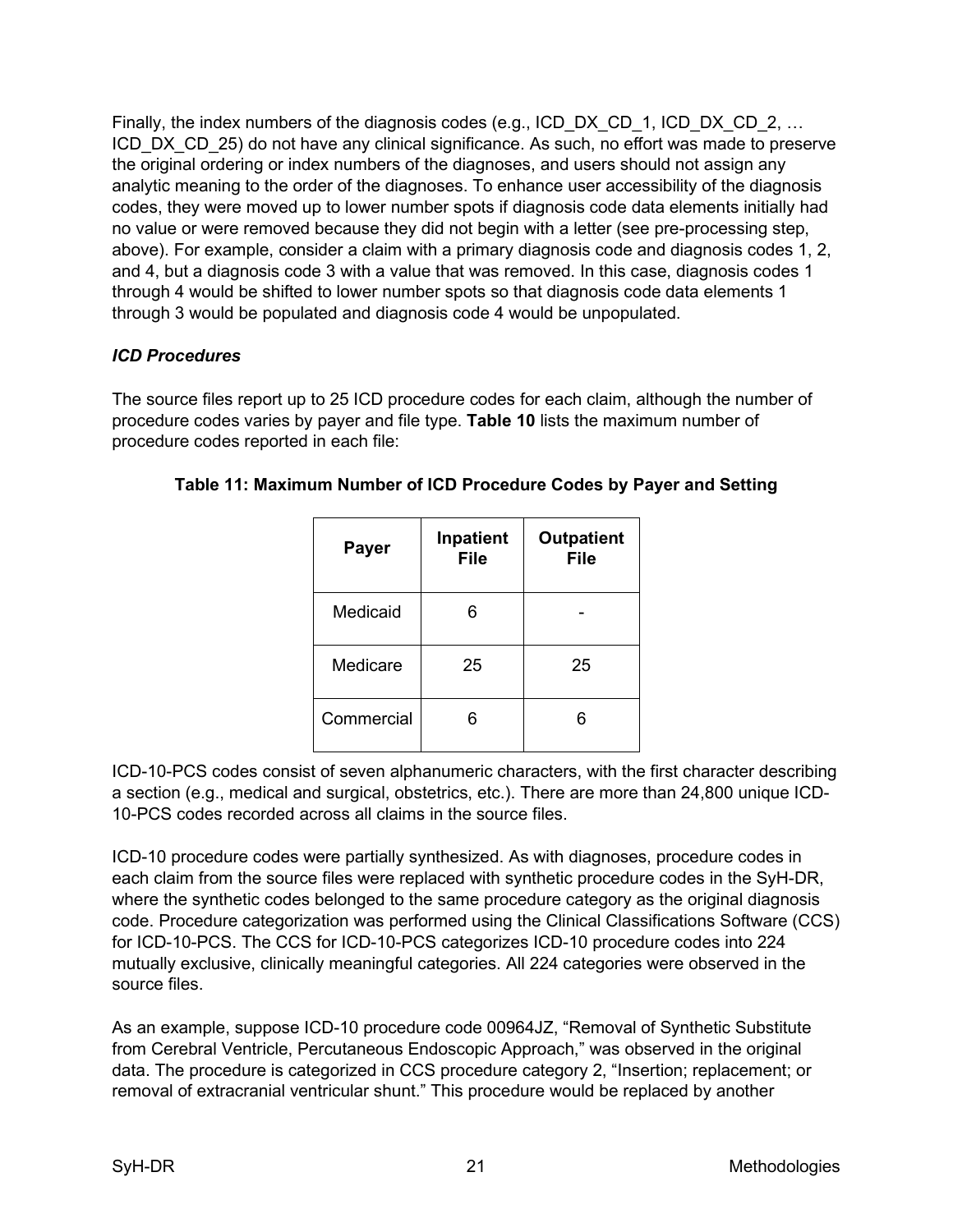Finally, the index numbers of the diagnosis codes (e.g., ICD\_DX\_CD\_1, ICD\_DX\_CD\_2, … ICD\_DX\_CD\_25) do not have any clinical significance. As such, no effort was made to preserve the original ordering or index numbers of the diagnoses, and users should not assign any analytic meaning to the order of the diagnoses. To enhance user accessibility of the diagnosis codes, they were moved up to lower number spots if diagnosis code data elements initially had no value or were removed because they did not begin with a letter (see pre-processing step, above). For example, consider a claim with a primary diagnosis code and diagnosis codes 1, 2, and 4, but a diagnosis code 3 with a value that was removed. In this case, diagnosis codes 1 through 4 would be shifted to lower number spots so that diagnosis code data elements 1 through 3 would be populated and diagnosis code 4 would be unpopulated.

## <span id="page-23-0"></span>*ICD Procedures*

The source files report up to 25 ICD procedure codes for each claim, although the number of procedure codes varies by payer and file type. **Table 10** lists the maximum number of procedure codes reported in each file:

| <b>Payer</b> | Inpatient<br><b>File</b> | <b>Outpatient</b><br><b>File</b> |
|--------------|--------------------------|----------------------------------|
| Medicaid     | 6                        |                                  |
| Medicare     | 25                       | 25                               |
| Commercial   |                          |                                  |

| Table 11: Maximum Number of ICD Procedure Codes by Payer and Setting |  |  |  |  |  |
|----------------------------------------------------------------------|--|--|--|--|--|
|----------------------------------------------------------------------|--|--|--|--|--|

ICD-10-PCS codes consist of seven alphanumeric characters, with the first character describing a section (e.g., medical and surgical, obstetrics, etc.). There are more than 24,800 unique ICD-10-PCS codes recorded across all claims in the source files.

ICD-10 procedure codes were partially synthesized. As with diagnoses, procedure codes in each claim from the source files were replaced with synthetic procedure codes in the SyH-DR, where the synthetic codes belonged to the same procedure category as the original diagnosis code. Procedure categorization was performed using the Clinical Classifications Software (CCS) for ICD-10-PCS. The CCS for ICD-10-PCS categorizes ICD-10 procedure codes into 224 mutually exclusive, clinically meaningful categories. All 224 categories were observed in the source files.

As an example, suppose ICD-10 procedure code 00964JZ, "Removal of Synthetic Substitute from Cerebral Ventricle, Percutaneous Endoscopic Approach," was observed in the original data. The procedure is categorized in CCS procedure category 2, "Insertion; replacement; or removal of extracranial ventricular shunt." This procedure would be replaced by another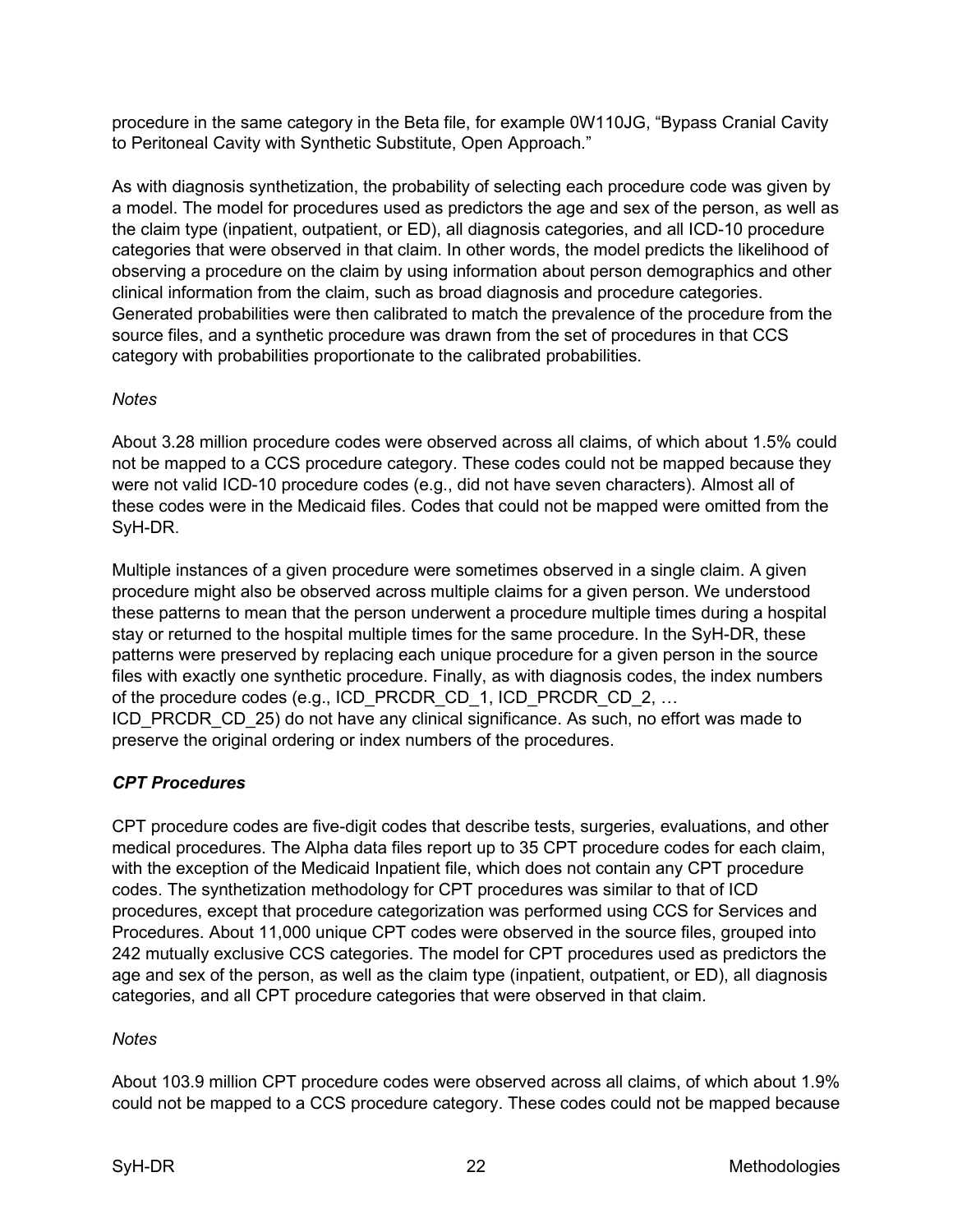procedure in the same category in the Beta file, for example 0W110JG, "Bypass Cranial Cavity to Peritoneal Cavity with Synthetic Substitute, Open Approach."

As with diagnosis synthetization, the probability of selecting each procedure code was given by a model. The model for procedures used as predictors the age and sex of the person, as well as the claim type (inpatient, outpatient, or ED), all diagnosis categories, and all ICD-10 procedure categories that were observed in that claim. In other words, the model predicts the likelihood of observing a procedure on the claim by using information about person demographics and other clinical information from the claim, such as broad diagnosis and procedure categories. Generated probabilities were then calibrated to match the prevalence of the procedure from the source files, and a synthetic procedure was drawn from the set of procedures in that CCS category with probabilities proportionate to the calibrated probabilities.

## <span id="page-24-0"></span>*Notes*

About 3.28 million procedure codes were observed across all claims, of which about 1.5% could not be mapped to a CCS procedure category. These codes could not be mapped because they were not valid ICD-10 procedure codes (e.g., did not have seven characters). Almost all of these codes were in the Medicaid files. Codes that could not be mapped were omitted from the SyH-DR.

Multiple instances of a given procedure were sometimes observed in a single claim. A given procedure might also be observed across multiple claims for a given person. We understood these patterns to mean that the person underwent a procedure multiple times during a hospital stay or returned to the hospital multiple times for the same procedure. In the SyH-DR, these patterns were preserved by replacing each unique procedure for a given person in the source files with exactly one synthetic procedure. Finally, as with diagnosis codes, the index numbers of the procedure codes (e.g., ICD\_PRCDR\_CD\_1, ICD\_PRCDR\_CD\_2, ... ICD PRCDR CD 25) do not have any clinical significance. As such, no effort was made to preserve the original ordering or index numbers of the procedures.

## <span id="page-24-1"></span>*CPT Procedures*

CPT procedure codes are five-digit codes that describe tests, surgeries, evaluations, and other medical procedures. The Alpha data files report up to 35 CPT procedure codes for each claim, with the exception of the Medicaid Inpatient file, which does not contain any CPT procedure codes. The synthetization methodology for CPT procedures was similar to that of ICD procedures, except that procedure categorization was performed using CCS for Services and Procedures. About 11,000 unique CPT codes were observed in the source files, grouped into 242 mutually exclusive CCS categories. The model for CPT procedures used as predictors the age and sex of the person, as well as the claim type (inpatient, outpatient, or ED), all diagnosis categories, and all CPT procedure categories that were observed in that claim.

### <span id="page-24-2"></span>*Notes*

About 103.9 million CPT procedure codes were observed across all claims, of which about 1.9% could not be mapped to a CCS procedure category. These codes could not be mapped because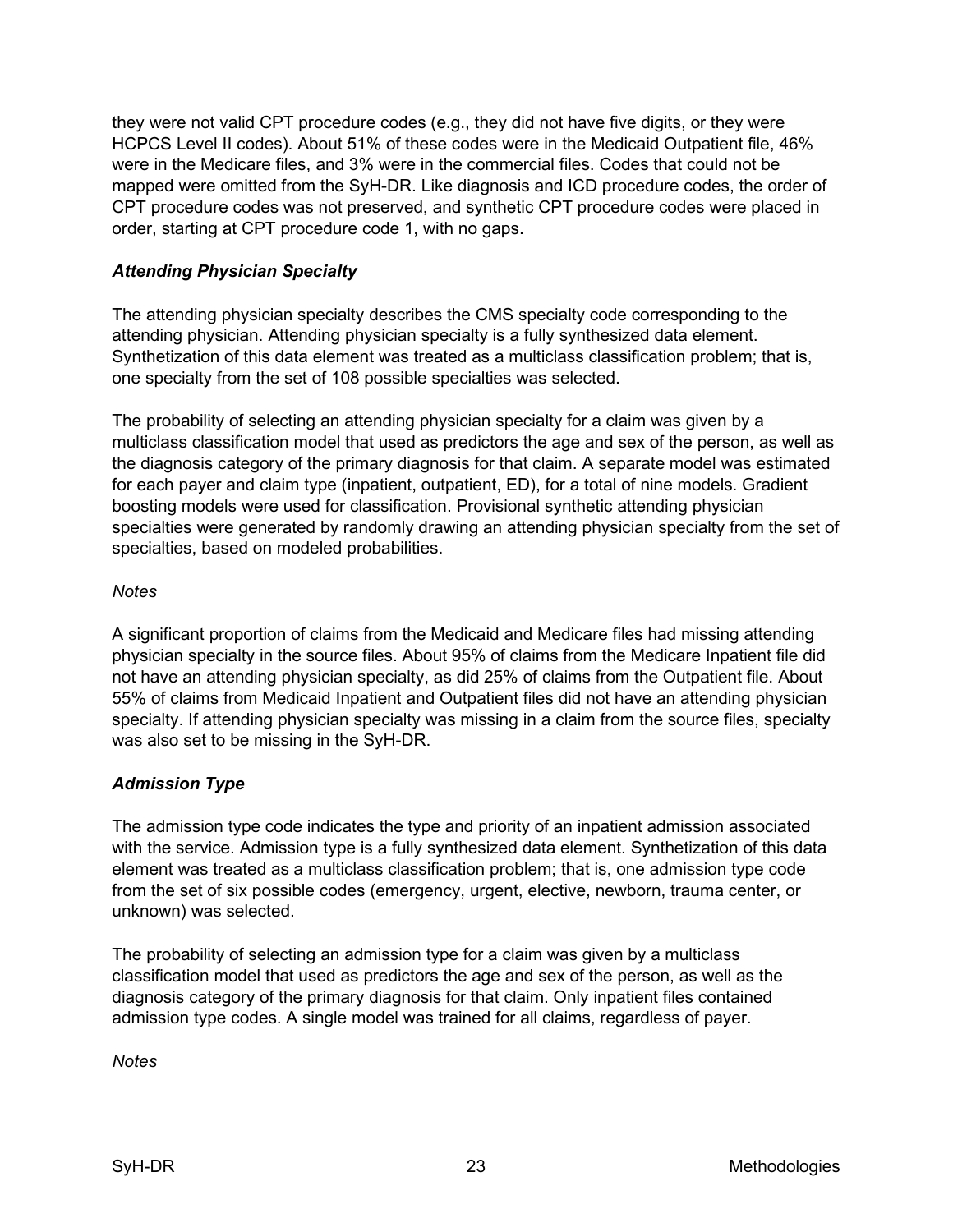they were not valid CPT procedure codes (e.g., they did not have five digits, or they were HCPCS Level II codes). About 51% of these codes were in the Medicaid Outpatient file, 46% were in the Medicare files, and 3% were in the commercial files. Codes that could not be mapped were omitted from the SyH-DR. Like diagnosis and ICD procedure codes, the order of CPT procedure codes was not preserved, and synthetic CPT procedure codes were placed in order, starting at CPT procedure code 1, with no gaps.

## <span id="page-25-0"></span>*Attending Physician Specialty*

The attending physician specialty describes the CMS specialty code corresponding to the attending physician. Attending physician specialty is a fully synthesized data element. Synthetization of this data element was treated as a multiclass classification problem; that is, one specialty from the set of 108 possible specialties was selected.

The probability of selecting an attending physician specialty for a claim was given by a multiclass classification model that used as predictors the age and sex of the person, as well as the diagnosis category of the primary diagnosis for that claim. A separate model was estimated for each payer and claim type (inpatient, outpatient, ED), for a total of nine models. Gradient boosting models were used for classification. Provisional synthetic attending physician specialties were generated by randomly drawing an attending physician specialty from the set of specialties, based on modeled probabilities.

### <span id="page-25-1"></span>*Notes*

A significant proportion of claims from the Medicaid and Medicare files had missing attending physician specialty in the source files. About 95% of claims from the Medicare Inpatient file did not have an attending physician specialty, as did 25% of claims from the Outpatient file. About 55% of claims from Medicaid Inpatient and Outpatient files did not have an attending physician specialty. If attending physician specialty was missing in a claim from the source files, specialty was also set to be missing in the SyH-DR.

### <span id="page-25-2"></span>*Admission Type*

The admission type code indicates the type and priority of an inpatient admission associated with the service. Admission type is a fully synthesized data element. Synthetization of this data element was treated as a multiclass classification problem; that is, one admission type code from the set of six possible codes (emergency, urgent, elective, newborn, trauma center, or unknown) was selected.

The probability of selecting an admission type for a claim was given by a multiclass classification model that used as predictors the age and sex of the person, as well as the diagnosis category of the primary diagnosis for that claim. Only inpatient files contained admission type codes. A single model was trained for all claims, regardless of payer.

<span id="page-25-3"></span>*Notes*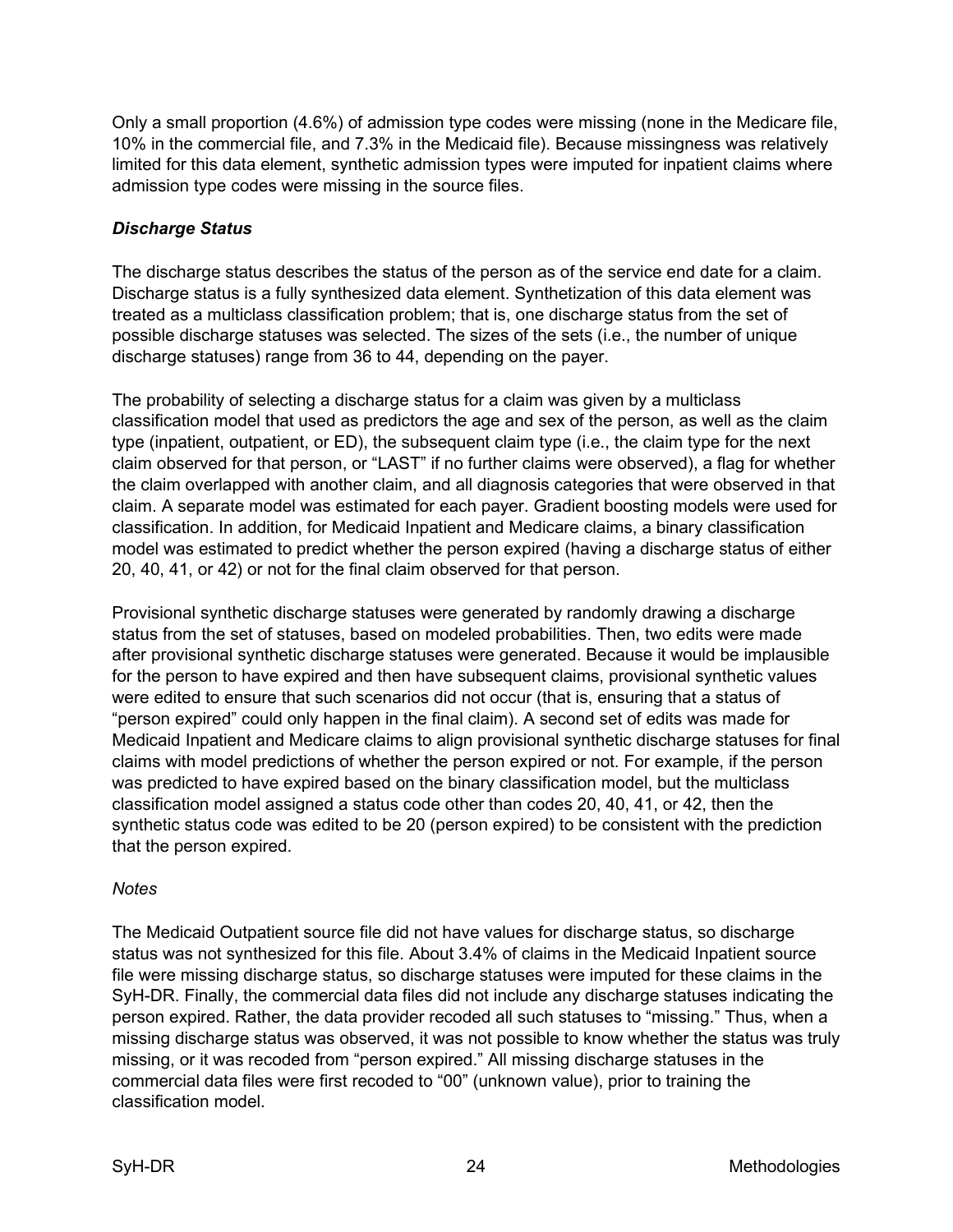Only a small proportion (4.6%) of admission type codes were missing (none in the Medicare file, 10% in the commercial file, and 7.3% in the Medicaid file). Because missingness was relatively limited for this data element, synthetic admission types were imputed for inpatient claims where admission type codes were missing in the source files.

## <span id="page-26-0"></span>*Discharge Status*

The discharge status describes the status of the person as of the service end date for a claim. Discharge status is a fully synthesized data element. Synthetization of this data element was treated as a multiclass classification problem; that is, one discharge status from the set of possible discharge statuses was selected. The sizes of the sets (i.e., the number of unique discharge statuses) range from 36 to 44, depending on the payer.

The probability of selecting a discharge status for a claim was given by a multiclass classification model that used as predictors the age and sex of the person, as well as the claim type (inpatient, outpatient, or ED), the subsequent claim type (i.e., the claim type for the next claim observed for that person, or "LAST" if no further claims were observed), a flag for whether the claim overlapped with another claim, and all diagnosis categories that were observed in that claim. A separate model was estimated for each payer. Gradient boosting models were used for classification. In addition, for Medicaid Inpatient and Medicare claims, a binary classification model was estimated to predict whether the person expired (having a discharge status of either 20, 40, 41, or 42) or not for the final claim observed for that person.

Provisional synthetic discharge statuses were generated by randomly drawing a discharge status from the set of statuses, based on modeled probabilities. Then, two edits were made after provisional synthetic discharge statuses were generated. Because it would be implausible for the person to have expired and then have subsequent claims, provisional synthetic values were edited to ensure that such scenarios did not occur (that is, ensuring that a status of "person expired" could only happen in the final claim). A second set of edits was made for Medicaid Inpatient and Medicare claims to align provisional synthetic discharge statuses for final claims with model predictions of whether the person expired or not. For example, if the person was predicted to have expired based on the binary classification model, but the multiclass classification model assigned a status code other than codes 20, 40, 41, or 42, then the synthetic status code was edited to be 20 (person expired) to be consistent with the prediction that the person expired.

## <span id="page-26-1"></span>*Notes*

The Medicaid Outpatient source file did not have values for discharge status, so discharge status was not synthesized for this file. About 3.4% of claims in the Medicaid Inpatient source file were missing discharge status, so discharge statuses were imputed for these claims in the SyH-DR. Finally, the commercial data files did not include any discharge statuses indicating the person expired. Rather, the data provider recoded all such statuses to "missing." Thus, when a missing discharge status was observed, it was not possible to know whether the status was truly missing, or it was recoded from "person expired." All missing discharge statuses in the commercial data files were first recoded to "00" (unknown value), prior to training the classification model.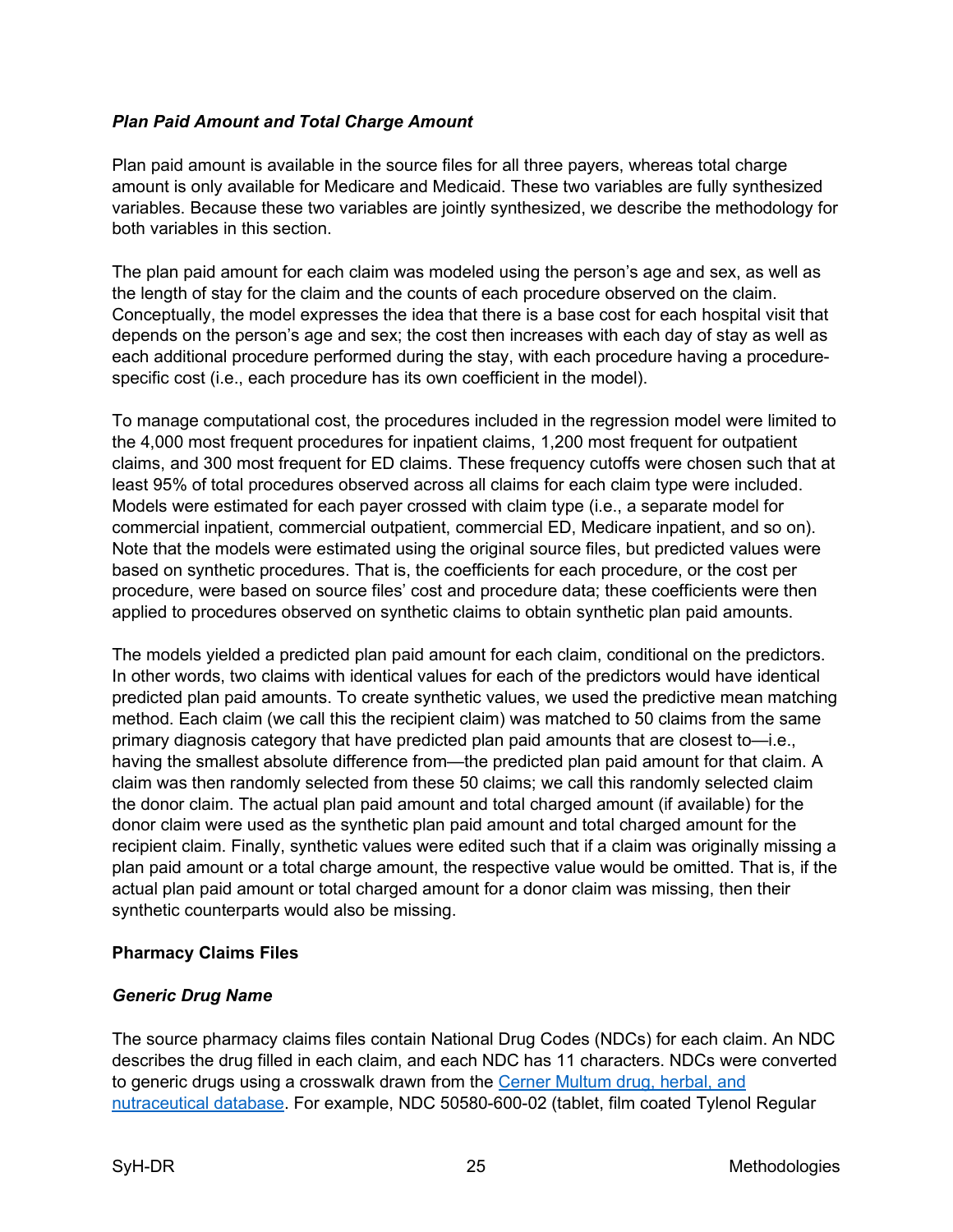## <span id="page-27-0"></span>*Plan Paid Amount and Total Charge Amount*

Plan paid amount is available in the source files for all three payers, whereas total charge amount is only available for Medicare and Medicaid. These two variables are fully synthesized variables. Because these two variables are jointly synthesized, we describe the methodology for both variables in this section.

The plan paid amount for each claim was modeled using the person's age and sex, as well as the length of stay for the claim and the counts of each procedure observed on the claim. Conceptually, the model expresses the idea that there is a base cost for each hospital visit that depends on the person's age and sex; the cost then increases with each day of stay as well as each additional procedure performed during the stay, with each procedure having a procedurespecific cost (i.e., each procedure has its own coefficient in the model).

To manage computational cost, the procedures included in the regression model were limited to the 4,000 most frequent procedures for inpatient claims, 1,200 most frequent for outpatient claims, and 300 most frequent for ED claims. These frequency cutoffs were chosen such that at least 95% of total procedures observed across all claims for each claim type were included. Models were estimated for each payer crossed with claim type (i.e., a separate model for commercial inpatient, commercial outpatient, commercial ED, Medicare inpatient, and so on). Note that the models were estimated using the original source files, but predicted values were based on synthetic procedures. That is, the coefficients for each procedure, or the cost per procedure, were based on source files' cost and procedure data; these coefficients were then applied to procedures observed on synthetic claims to obtain synthetic plan paid amounts.

The models yielded a predicted plan paid amount for each claim, conditional on the predictors. In other words, two claims with identical values for each of the predictors would have identical predicted plan paid amounts. To create synthetic values, we used the predictive mean matching method. Each claim (we call this the recipient claim) was matched to 50 claims from the same primary diagnosis category that have predicted plan paid amounts that are closest to—i.e., having the smallest absolute difference from—the predicted plan paid amount for that claim. A claim was then randomly selected from these 50 claims; we call this randomly selected claim the donor claim. The actual plan paid amount and total charged amount (if available) for the donor claim were used as the synthetic plan paid amount and total charged amount for the recipient claim. Finally, synthetic values were edited such that if a claim was originally missing a plan paid amount or a total charge amount, the respective value would be omitted. That is, if the actual plan paid amount or total charged amount for a donor claim was missing, then their synthetic counterparts would also be missing.

### <span id="page-27-1"></span>**Pharmacy Claims Files**

### <span id="page-27-2"></span>*Generic Drug Name*

The source pharmacy claims files contain National Drug Codes (NDCs) for each claim. An NDC describes the drug filled in each claim, and each NDC has 11 characters. NDCs were converted to generic drugs using a crosswalk drawn from the [Cerner Multum drug, herbal, and](https://www.cerner.com/solutions/drug-database.)  [nutraceutical database.](https://www.cerner.com/solutions/drug-database.) For example, NDC 50580-600-02 (tablet, film coated Tylenol Regular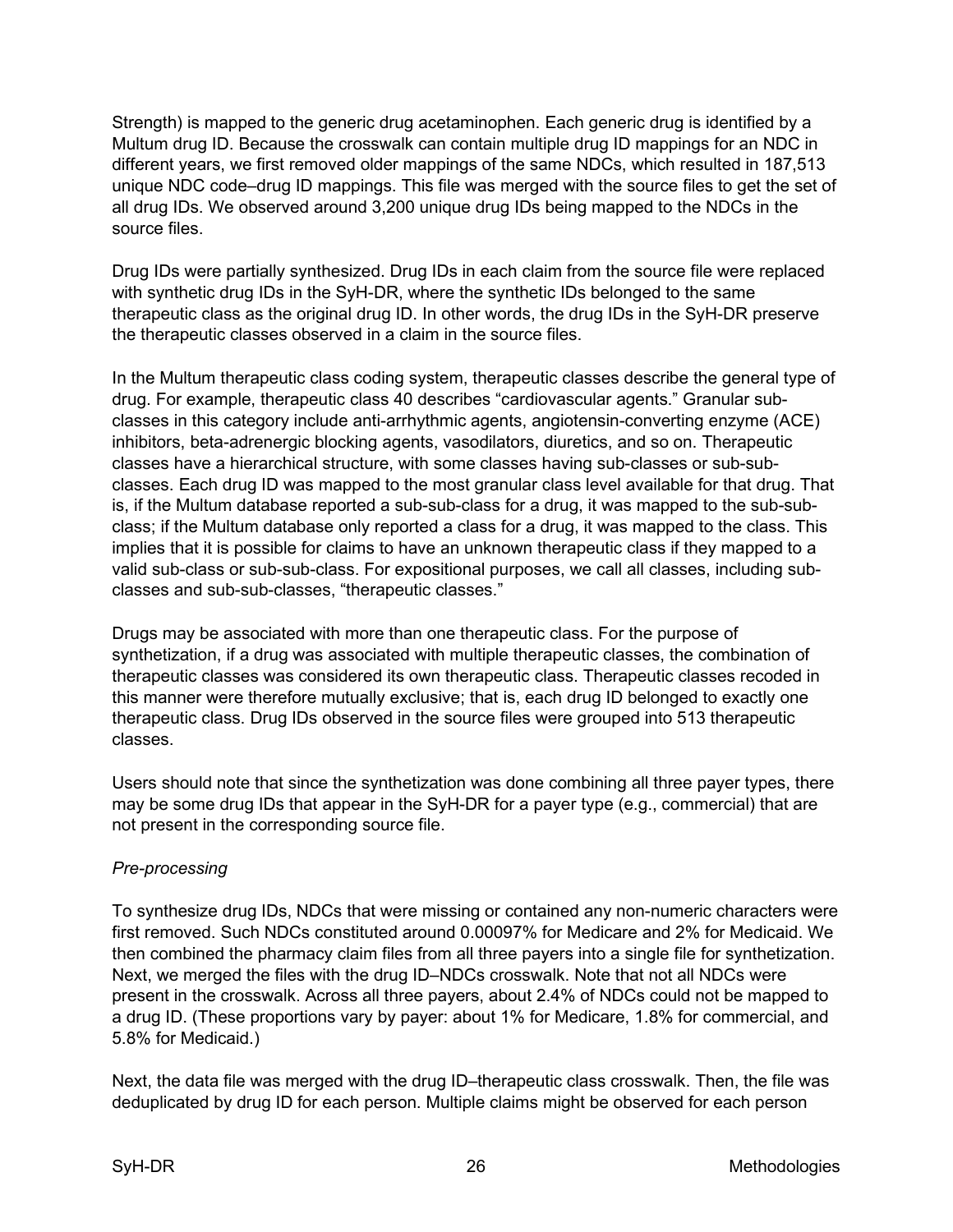Strength) is mapped to the generic drug acetaminophen. Each generic drug is identified by a Multum drug ID. Because the crosswalk can contain multiple drug ID mappings for an NDC in different years, we first removed older mappings of the same NDCs, which resulted in 187,513 unique NDC code–drug ID mappings. This file was merged with the source files to get the set of all drug IDs. We observed around 3,200 unique drug IDs being mapped to the NDCs in the source files.

Drug IDs were partially synthesized. Drug IDs in each claim from the source file were replaced with synthetic drug IDs in the SyH-DR, where the synthetic IDs belonged to the same therapeutic class as the original drug ID. In other words, the drug IDs in the SyH-DR preserve the therapeutic classes observed in a claim in the source files.

In the Multum therapeutic class coding system, therapeutic classes describe the general type of drug. For example, therapeutic class 40 describes "cardiovascular agents." Granular subclasses in this category include anti-arrhythmic agents, angiotensin-converting enzyme (ACE) inhibitors, beta-adrenergic blocking agents, vasodilators, diuretics, and so on. Therapeutic classes have a hierarchical structure, with some classes having sub-classes or sub-subclasses. Each drug ID was mapped to the most granular class level available for that drug. That is, if the Multum database reported a sub-sub-class for a drug, it was mapped to the sub-subclass; if the Multum database only reported a class for a drug, it was mapped to the class. This implies that it is possible for claims to have an unknown therapeutic class if they mapped to a valid sub-class or sub-sub-class. For expositional purposes, we call all classes, including subclasses and sub-sub-classes, "therapeutic classes."

Drugs may be associated with more than one therapeutic class. For the purpose of synthetization, if a drug was associated with multiple therapeutic classes, the combination of therapeutic classes was considered its own therapeutic class. Therapeutic classes recoded in this manner were therefore mutually exclusive; that is, each drug ID belonged to exactly one therapeutic class. Drug IDs observed in the source files were grouped into 513 therapeutic classes.

Users should note that since the synthetization was done combining all three payer types, there may be some drug IDs that appear in the SyH-DR for a payer type (e.g., commercial) that are not present in the corresponding source file.

## <span id="page-28-0"></span>*Pre-processing*

To synthesize drug IDs, NDCs that were missing or contained any non-numeric characters were first removed. Such NDCs constituted around 0.00097% for Medicare and 2% for Medicaid. We then combined the pharmacy claim files from all three payers into a single file for synthetization. Next, we merged the files with the drug ID–NDCs crosswalk. Note that not all NDCs were present in the crosswalk. Across all three payers, about 2.4% of NDCs could not be mapped to a drug ID. (These proportions vary by payer: about 1% for Medicare, 1.8% for commercial, and 5.8% for Medicaid.)

Next, the data file was merged with the drug ID–therapeutic class crosswalk. Then, the file was deduplicated by drug ID for each person. Multiple claims might be observed for each person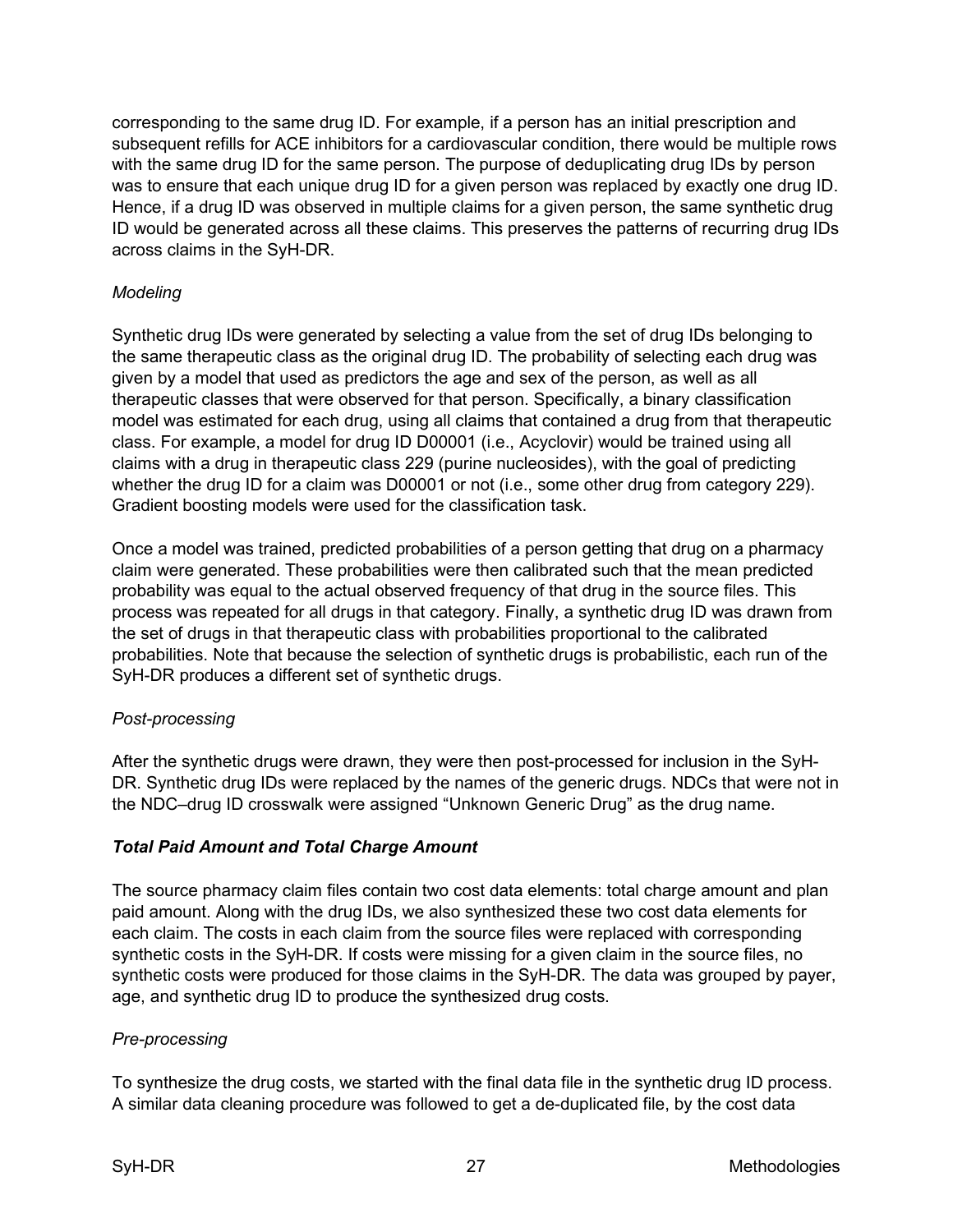corresponding to the same drug ID. For example, if a person has an initial prescription and subsequent refills for ACE inhibitors for a cardiovascular condition, there would be multiple rows with the same drug ID for the same person. The purpose of deduplicating drug IDs by person was to ensure that each unique drug ID for a given person was replaced by exactly one drug ID. Hence, if a drug ID was observed in multiple claims for a given person, the same synthetic drug ID would be generated across all these claims. This preserves the patterns of recurring drug IDs across claims in the SyH-DR.

## <span id="page-29-0"></span>*Modeling*

Synthetic drug IDs were generated by selecting a value from the set of drug IDs belonging to the same therapeutic class as the original drug ID. The probability of selecting each drug was given by a model that used as predictors the age and sex of the person, as well as all therapeutic classes that were observed for that person. Specifically, a binary classification model was estimated for each drug, using all claims that contained a drug from that therapeutic class. For example, a model for drug ID D00001 (i.e., Acyclovir) would be trained using all claims with a drug in therapeutic class 229 (purine nucleosides), with the goal of predicting whether the drug ID for a claim was D00001 or not (i.e., some other drug from category 229). Gradient boosting models were used for the classification task.

Once a model was trained, predicted probabilities of a person getting that drug on a pharmacy claim were generated. These probabilities were then calibrated such that the mean predicted probability was equal to the actual observed frequency of that drug in the source files. This process was repeated for all drugs in that category. Finally, a synthetic drug ID was drawn from the set of drugs in that therapeutic class with probabilities proportional to the calibrated probabilities. Note that because the selection of synthetic drugs is probabilistic, each run of the SyH-DR produces a different set of synthetic drugs.

### <span id="page-29-1"></span>*Post-processing*

After the synthetic drugs were drawn, they were then post-processed for inclusion in the SyH-DR. Synthetic drug IDs were replaced by the names of the generic drugs. NDCs that were not in the NDC–drug ID crosswalk were assigned "Unknown Generic Drug" as the drug name.

### <span id="page-29-2"></span>*Total Paid Amount and Total Charge Amount*

The source pharmacy claim files contain two cost data elements: total charge amount and plan paid amount. Along with the drug IDs, we also synthesized these two cost data elements for each claim. The costs in each claim from the source files were replaced with corresponding synthetic costs in the SyH-DR. If costs were missing for a given claim in the source files, no synthetic costs were produced for those claims in the SyH-DR. The data was grouped by payer, age, and synthetic drug ID to produce the synthesized drug costs.

### <span id="page-29-3"></span>*Pre-processing*

To synthesize the drug costs, we started with the final data file in the synthetic drug ID process. A similar data cleaning procedure was followed to get a de-duplicated file, by the cost data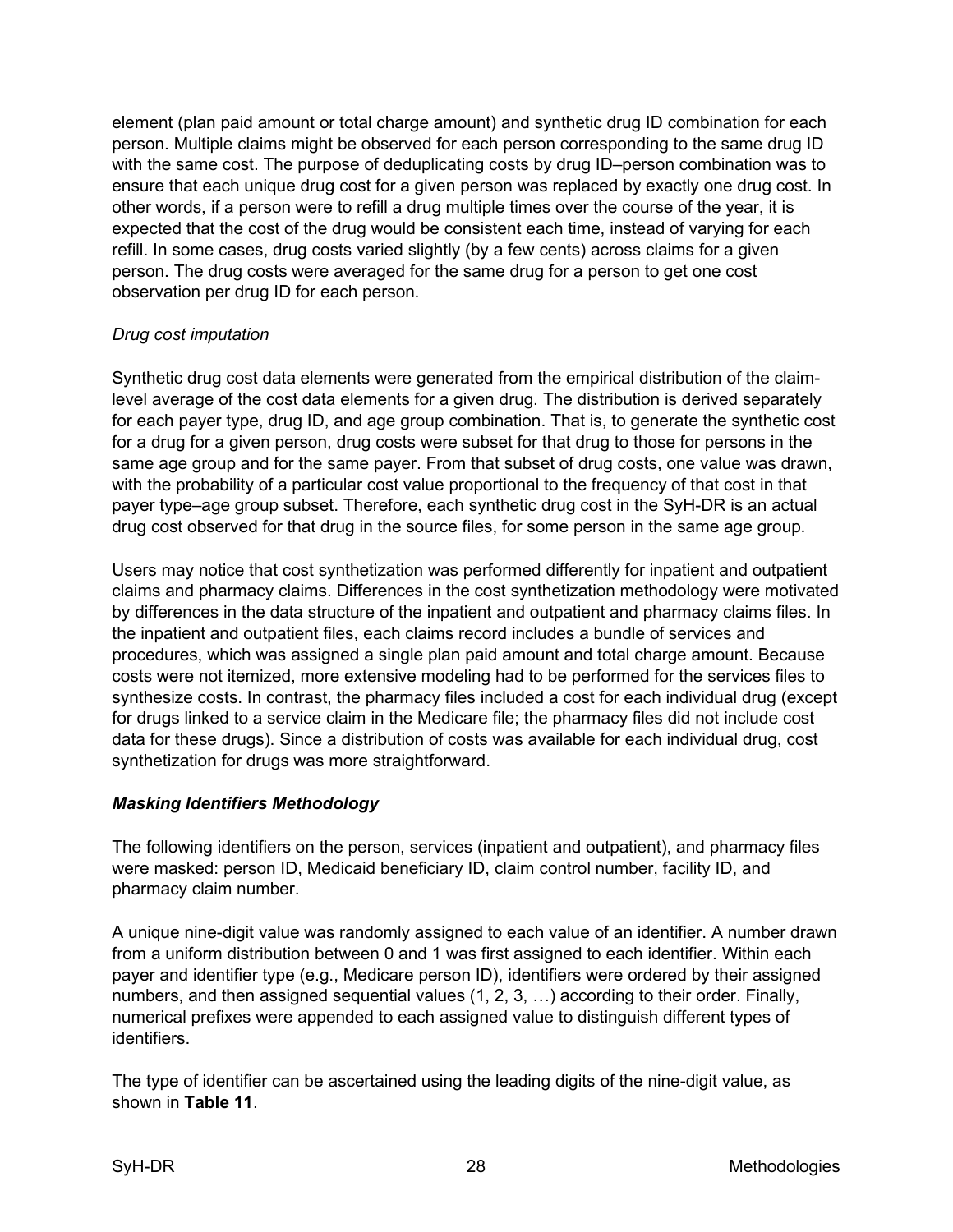element (plan paid amount or total charge amount) and synthetic drug ID combination for each person. Multiple claims might be observed for each person corresponding to the same drug ID with the same cost. The purpose of deduplicating costs by drug ID–person combination was to ensure that each unique drug cost for a given person was replaced by exactly one drug cost. In other words, if a person were to refill a drug multiple times over the course of the year, it is expected that the cost of the drug would be consistent each time, instead of varying for each refill. In some cases, drug costs varied slightly (by a few cents) across claims for a given person. The drug costs were averaged for the same drug for a person to get one cost observation per drug ID for each person.

### <span id="page-30-0"></span>*Drug cost imputation*

Synthetic drug cost data elements were generated from the empirical distribution of the claimlevel average of the cost data elements for a given drug. The distribution is derived separately for each payer type, drug ID, and age group combination. That is, to generate the synthetic cost for a drug for a given person, drug costs were subset for that drug to those for persons in the same age group and for the same payer. From that subset of drug costs, one value was drawn, with the probability of a particular cost value proportional to the frequency of that cost in that payer type–age group subset. Therefore, each synthetic drug cost in the SyH-DR is an actual drug cost observed for that drug in the source files, for some person in the same age group.

Users may notice that cost synthetization was performed differently for inpatient and outpatient claims and pharmacy claims. Differences in the cost synthetization methodology were motivated by differences in the data structure of the inpatient and outpatient and pharmacy claims files. In the inpatient and outpatient files, each claims record includes a bundle of services and procedures, which was assigned a single plan paid amount and total charge amount. Because costs were not itemized, more extensive modeling had to be performed for the services files to synthesize costs. In contrast, the pharmacy files included a cost for each individual drug (except for drugs linked to a service claim in the Medicare file; the pharmacy files did not include cost data for these drugs). Since a distribution of costs was available for each individual drug, cost synthetization for drugs was more straightforward.

## <span id="page-30-1"></span>*Masking Identifiers Methodology*

The following identifiers on the person, services (inpatient and outpatient), and pharmacy files were masked: person ID, Medicaid beneficiary ID, claim control number, facility ID, and pharmacy claim number.

A unique nine-digit value was randomly assigned to each value of an identifier. A number drawn from a uniform distribution between 0 and 1 was first assigned to each identifier. Within each payer and identifier type (e.g., Medicare person ID), identifiers were ordered by their assigned numbers, and then assigned sequential values (1, 2, 3, ...) according to their order. Finally, numerical prefixes were appended to each assigned value to distinguish different types of identifiers.

The type of identifier can be ascertained using the leading digits of the nine-digit value, as shown in **Table 11**.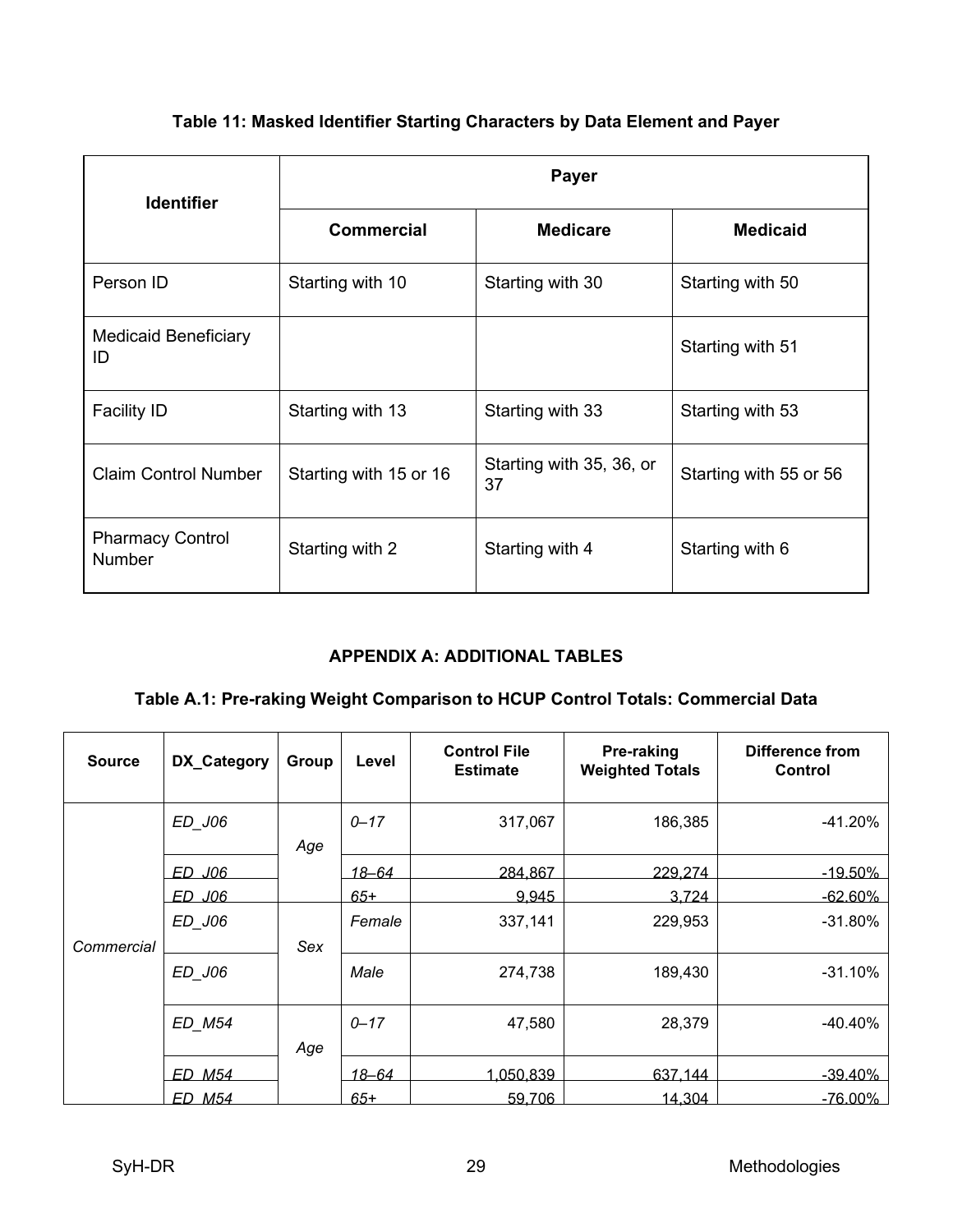## **Table 11: Masked Identifier Starting Characters by Data Element and Payer**

| <b>Identifier</b>                        | Payer                  |                                |                        |  |  |  |  |  |
|------------------------------------------|------------------------|--------------------------------|------------------------|--|--|--|--|--|
|                                          | <b>Commercial</b>      | <b>Medicare</b>                | <b>Medicaid</b>        |  |  |  |  |  |
| Person ID                                | Starting with 10       | Starting with 30               | Starting with 50       |  |  |  |  |  |
| <b>Medicaid Beneficiary</b><br>ID        |                        |                                | Starting with 51       |  |  |  |  |  |
| <b>Facility ID</b>                       | Starting with 13       | Starting with 33               | Starting with 53       |  |  |  |  |  |
| <b>Claim Control Number</b>              | Starting with 15 or 16 | Starting with 35, 36, or<br>37 | Starting with 55 or 56 |  |  |  |  |  |
| <b>Pharmacy Control</b><br><b>Number</b> | Starting with 2        | Starting with 4                | Starting with 6        |  |  |  |  |  |

## **APPENDIX A: ADDITIONAL TABLES**

## <span id="page-31-0"></span>**Table A.1: Pre-raking Weight Comparison to HCUP Control Totals: Commercial Data**

| <b>Source</b> | DX_Category | Group | Level        | <b>Control File</b><br><b>Estimate</b> | Pre-raking<br><b>Weighted Totals</b> | Difference from<br>Control |
|---------------|-------------|-------|--------------|----------------------------------------|--------------------------------------|----------------------------|
|               | ED_J06      | Age   | $0 - 17$     | 317,067                                | 186,385                              | $-41.20%$                  |
|               | ED J06      |       | <u>18–64</u> | 284.867                                | <u>229.274 </u>                      | $-19.50\%$                 |
|               | ED J06      |       | $65+$        | 9.945                                  | 3.724                                | <u>-62.60% </u>            |
| Commercial    | ED_J06      | Sex   | Female       | 337,141                                | 229,953                              | $-31.80%$                  |
|               | ED J06      |       | Male         | 274,738                                | 189,430                              | $-31.10%$                  |
|               | ED_M54      | Age   | $0 - 17$     | 47,580                                 | 28,379                               | $-40.40%$                  |
|               | ED M54      |       | <u>18–64</u> | <u>1,050,839 </u>                      | 637.144                              | <u>-39.40% </u>            |
|               | ED M54      |       | $65+$        | 59,706                                 | 14,304                               | $-76.00\%$                 |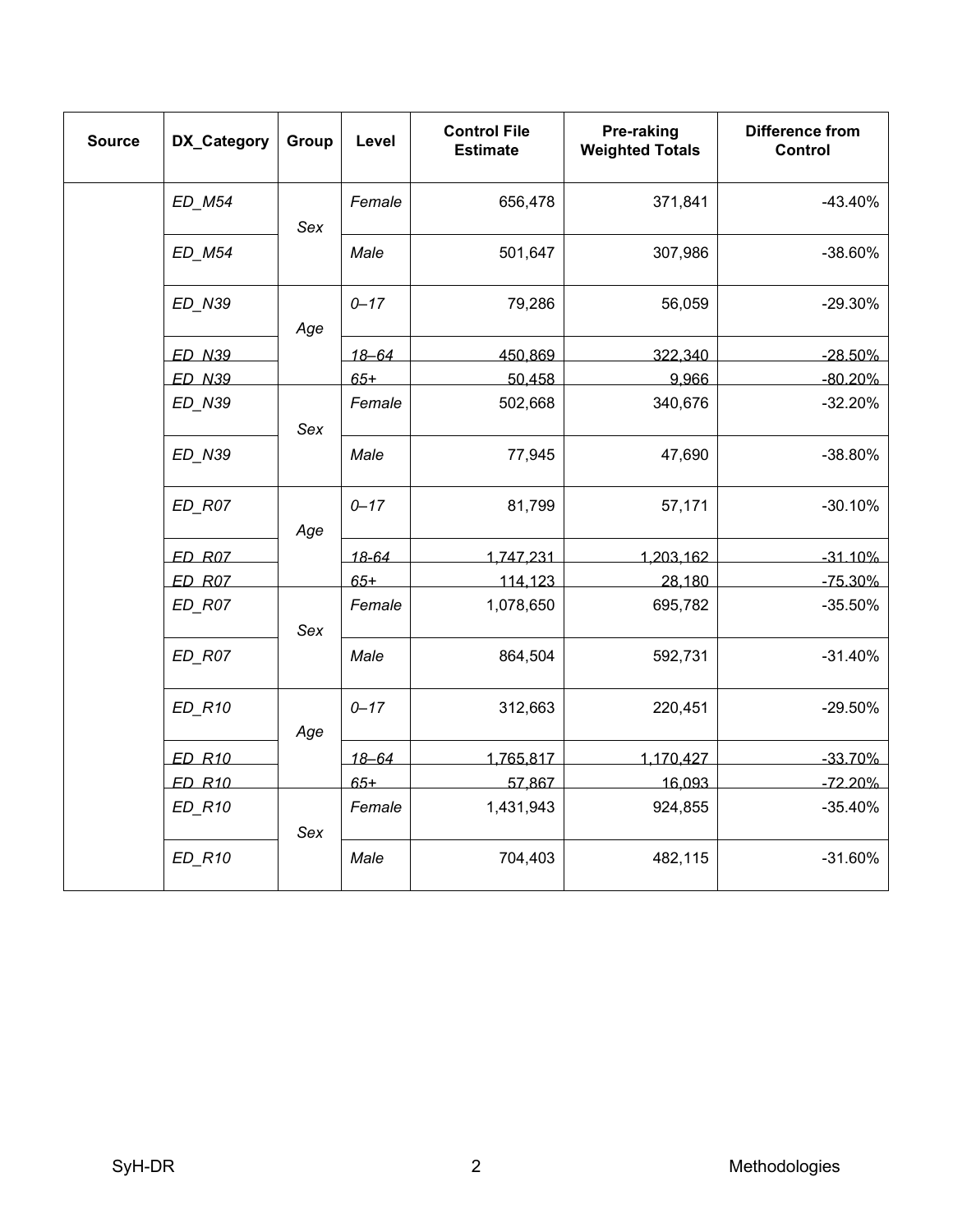| <b>Source</b> | DX_Category         | Group | Level     | <b>Control File</b><br><b>Estimate</b> | Pre-raking<br><b>Weighted Totals</b> | <b>Difference from</b><br><b>Control</b> |
|---------------|---------------------|-------|-----------|----------------------------------------|--------------------------------------|------------------------------------------|
|               | ED_M54              | Sex   | Female    | 656,478                                | 371,841                              | $-43.40%$                                |
|               | ED_M54              |       | Male      | 501,647                                | 307,986                              | -38.60%                                  |
|               | ED_N39              | Age   | $0 - 17$  | 79,286                                 | 56,059                               | $-29.30%$                                |
|               | <b>ED N39</b>       |       | $18 - 64$ | 450,869                                | 322,340                              | $-28.50%$                                |
|               | <b>ED N39</b>       |       | $65+$     | 50,458                                 | 9.966                                | $-80.20%$                                |
|               | ED_N39              | Sex   | Female    | 502,668                                | 340,676                              | $-32.20%$                                |
|               | ED_N39              | Age   | Male      | 77,945                                 | 47,690                               | $-38.80%$                                |
|               | $ED$ <sub>R07</sub> |       | $0 - 17$  | 81,799                                 | 57,171                               | $-30.10%$                                |
|               | ED R07              |       | 18-64     | 1,747,231                              | 1,203,162                            | $-31.10%$                                |
|               | $ED$ $ROZ$          |       | $65+$     | 114,123                                | 28,180                               | $-75.30%$                                |
|               | $ED$ <sub>R07</sub> | Sex   | Female    | 1,078,650                              | 695,782                              | $-35.50%$                                |
|               | ED R07              |       | Male      | 864,504                                | 592,731                              | $-31.40%$                                |
|               | <b>ED R10</b>       | Age   | $0 - 17$  | 312,663                                | 220,451                              | $-29.50%$                                |
|               | <b>ED R10</b>       |       | $18 - 64$ | 1,765,817                              | 1,170,427                            | $-33.70%$                                |
|               | <b>ED R10</b>       |       | $65+$     | 57,867                                 | 16,093                               | $-72.20%$                                |
|               | <b>ED R10</b>       | Sex   | Female    | 1,431,943                              | 924,855                              | $-35.40%$                                |
|               | $ED_R10$            |       | Male      | 704,403                                | 482,115                              | $-31.60%$                                |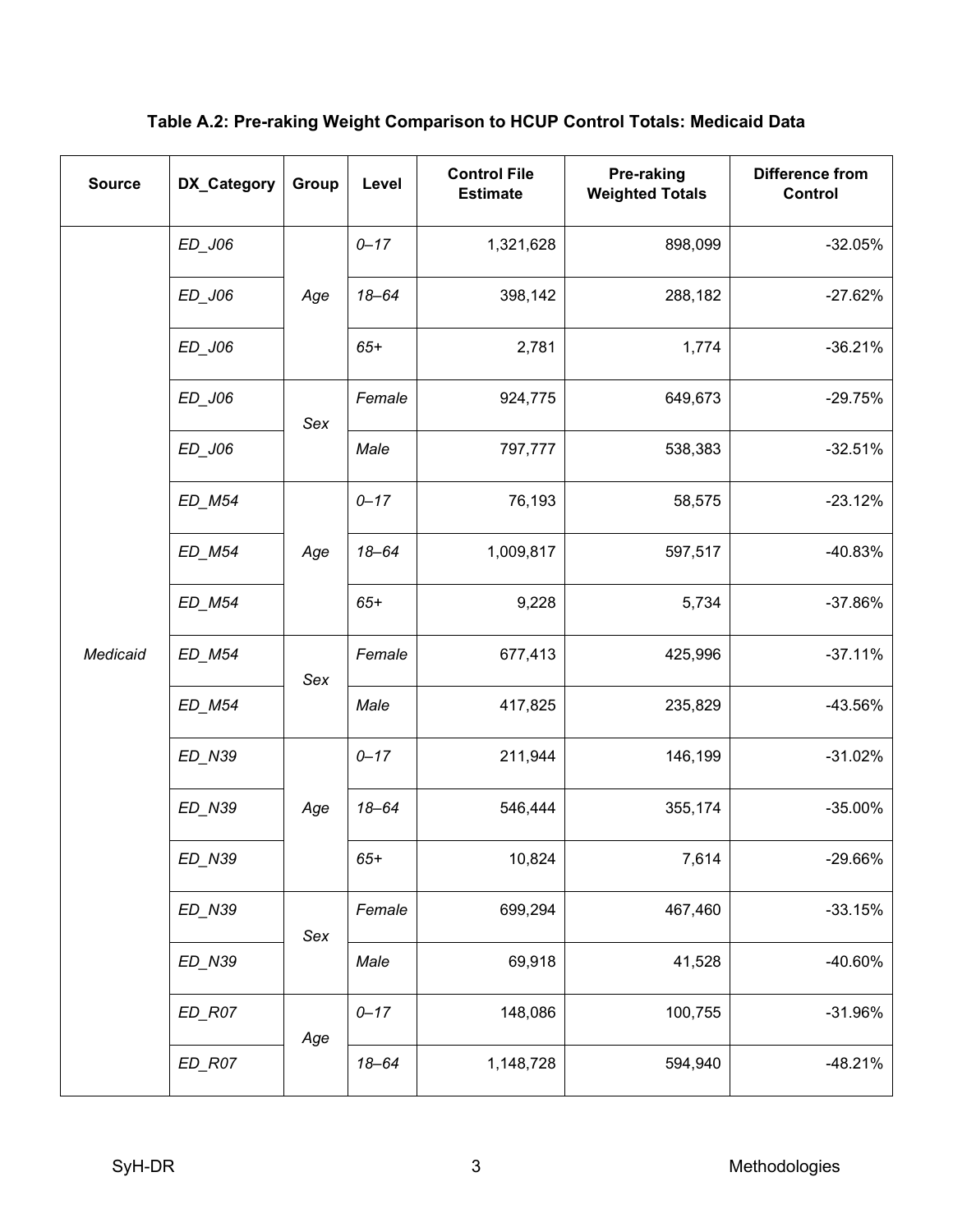**Table A.2: Pre-raking Weight Comparison to HCUP Control Totals: Medicaid Data**

| <b>Source</b> | DX_Category                      | Group | Level     | <b>Control File</b><br><b>Estimate</b> | Pre-raking<br><b>Weighted Totals</b> | <b>Difference from</b><br>Control |
|---------------|----------------------------------|-------|-----------|----------------------------------------|--------------------------------------|-----------------------------------|
|               | ED_J06                           |       | $0 - 17$  | 1,321,628                              | 898,099                              | $-32.05%$                         |
|               | ED_J06                           | Age   | $18 - 64$ | 398,142                                | 288,182                              | $-27.62%$                         |
|               | ED_J06                           |       | $65+$     | 2,781                                  | 1,774                                | $-36.21%$                         |
|               | ED_J06                           | Sex   | Female    | 924,775                                | 649,673                              | $-29.75%$                         |
|               | ED_J06                           |       | Male      | 797,777                                | 538,383                              | $-32.51%$                         |
|               | $ED$ <sub>_</sub> M54            |       | $0 - 17$  | 76,193                                 | 58,575                               | $-23.12%$                         |
|               | ED_M54                           | Age   | $18 - 64$ | 1,009,817                              | 597,517                              | $-40.83%$                         |
|               | ED_M54                           |       | $65+$     | 9,228                                  | 5,734                                | -37.86%                           |
| Medicaid      | ED_M54                           | Sex   | Female    | 677,413                                | 425,996                              | $-37.11%$                         |
|               | ED_M54                           |       | Male      | 417,825                                | 235,829                              | -43.56%                           |
|               | ED_N39                           |       | $0 - 17$  | 211,944                                | 146,199                              | $-31.02%$                         |
|               | ED_N39                           | Age   | $18 - 64$ | 546,444                                | 355,174                              | $-35.00\%$                        |
|               | ED_N39                           |       | $65+$     | 10,824                                 | 7,614                                | -29.66%                           |
|               | ED_N39                           | Sex   | Female    | 699,294                                | 467,460                              | $-33.15%$                         |
|               | ED_N39                           |       | Male      | 69,918                                 | 41,528                               | -40.60%                           |
|               | $ED$ <sub><math>R07</math></sub> | Age   | $0 - 17$  | 148,086                                | 100,755                              | $-31.96%$                         |
|               | $ED$ <sub><math>R07</math></sub> |       | $18 - 64$ | 1,148,728                              | 594,940                              | -48.21%                           |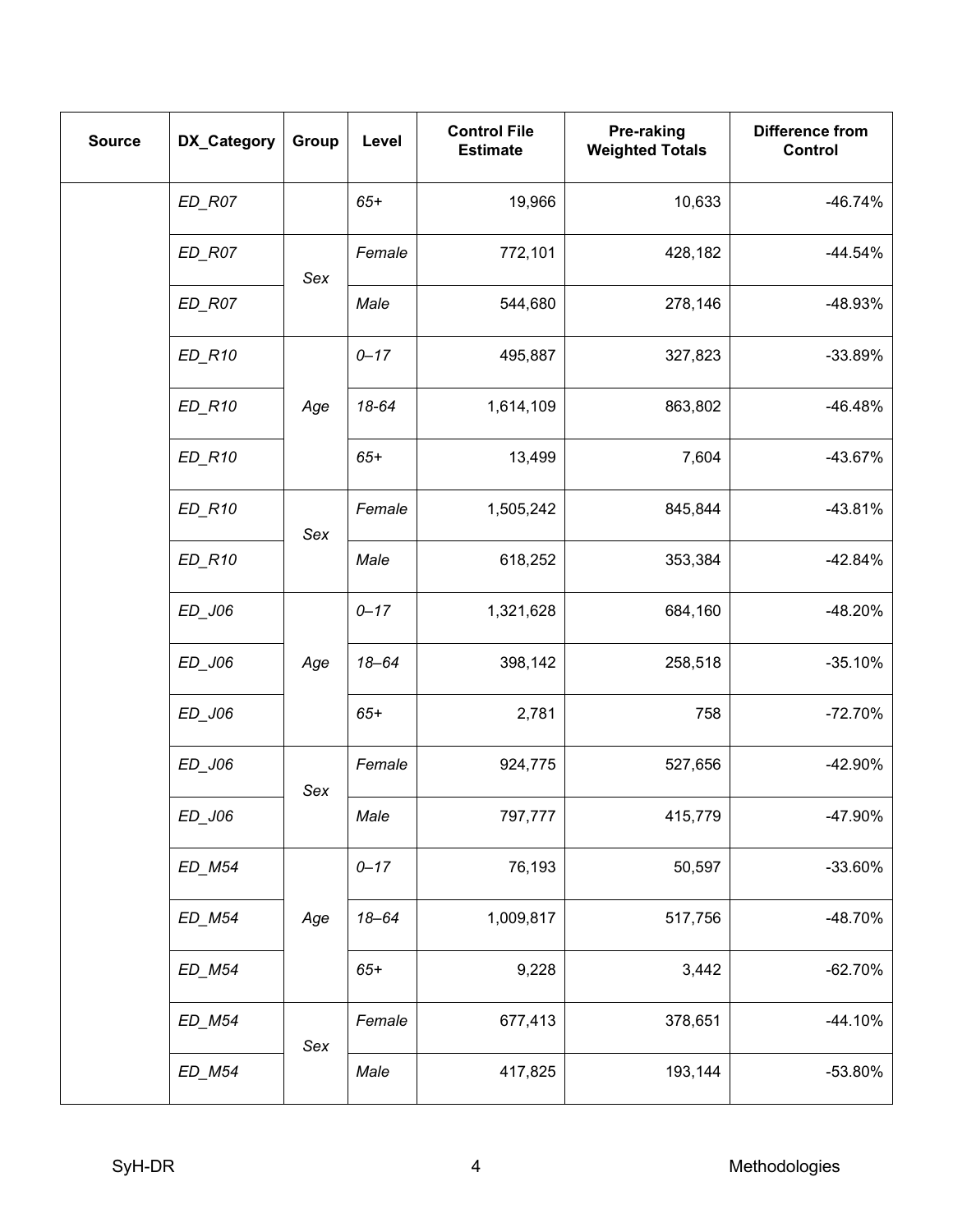| <b>Source</b> | DX_Category                      | Group | Level     | <b>Control File</b><br><b>Estimate</b> | Pre-raking<br><b>Weighted Totals</b> | <b>Difference from</b><br>Control |
|---------------|----------------------------------|-------|-----------|----------------------------------------|--------------------------------------|-----------------------------------|
|               | $ED$ <sub><math>R07</math></sub> |       | $65+$     | 19,966                                 | 10,633                               | $-46.74%$                         |
|               | $ED$ <sub>R07</sub>              | Sex   | Female    | 772,101                                | 428,182                              | $-44.54%$                         |
|               | $ED$ <sub><math>R07</math></sub> |       | Male      | 544,680                                | 278,146                              | -48.93%                           |
|               | $ED_R10$                         |       | $0 - 17$  | 495,887                                | 327,823                              | $-33.89%$                         |
|               | ED_R10                           | Age   | 18-64     | 1,614,109                              | 863,802                              | $-46.48%$                         |
|               | $ED_R10$                         |       | $65+$     | 13,499                                 | 7,604                                | -43.67%                           |
|               | $ED_R10$                         | Sex   | Female    | 1,505,242                              | 845,844                              | $-43.81%$                         |
|               | ED_R10                           | Age   | Male      | 618,252                                | 353,384                              | $-42.84%$                         |
|               | ED_J06                           |       | $0 - 17$  | 1,321,628                              | 684,160                              | -48.20%                           |
|               | ED_J06                           |       | $18 - 64$ | 398,142                                | 258,518                              | $-35.10%$                         |
|               | $ED$ _J06                        |       | $65+$     | 2,781                                  | 758                                  | $-72.70%$                         |
|               | ED_J06                           | Sex   | Female    | 924,775                                | 527,656                              | -42.90%                           |
|               | ED_J06                           |       | Male      | 797,777                                | 415,779                              | -47.90%                           |
|               | ED_M54                           | Age   | $0 - 17$  | 76,193                                 | 50,597                               | -33.60%                           |
|               | ED_M54                           |       | $18 - 64$ | 1,009,817                              | 517,756                              | -48.70%                           |
|               | ED_M54                           |       | $65+$     | 9,228                                  | 3,442                                | $-62.70%$                         |
|               | ED_M54                           | Sex   | Female    | 677,413                                | 378,651                              | -44.10%                           |
|               | ED_M54                           |       | Male      | 417,825                                | 193,144                              | -53.80%                           |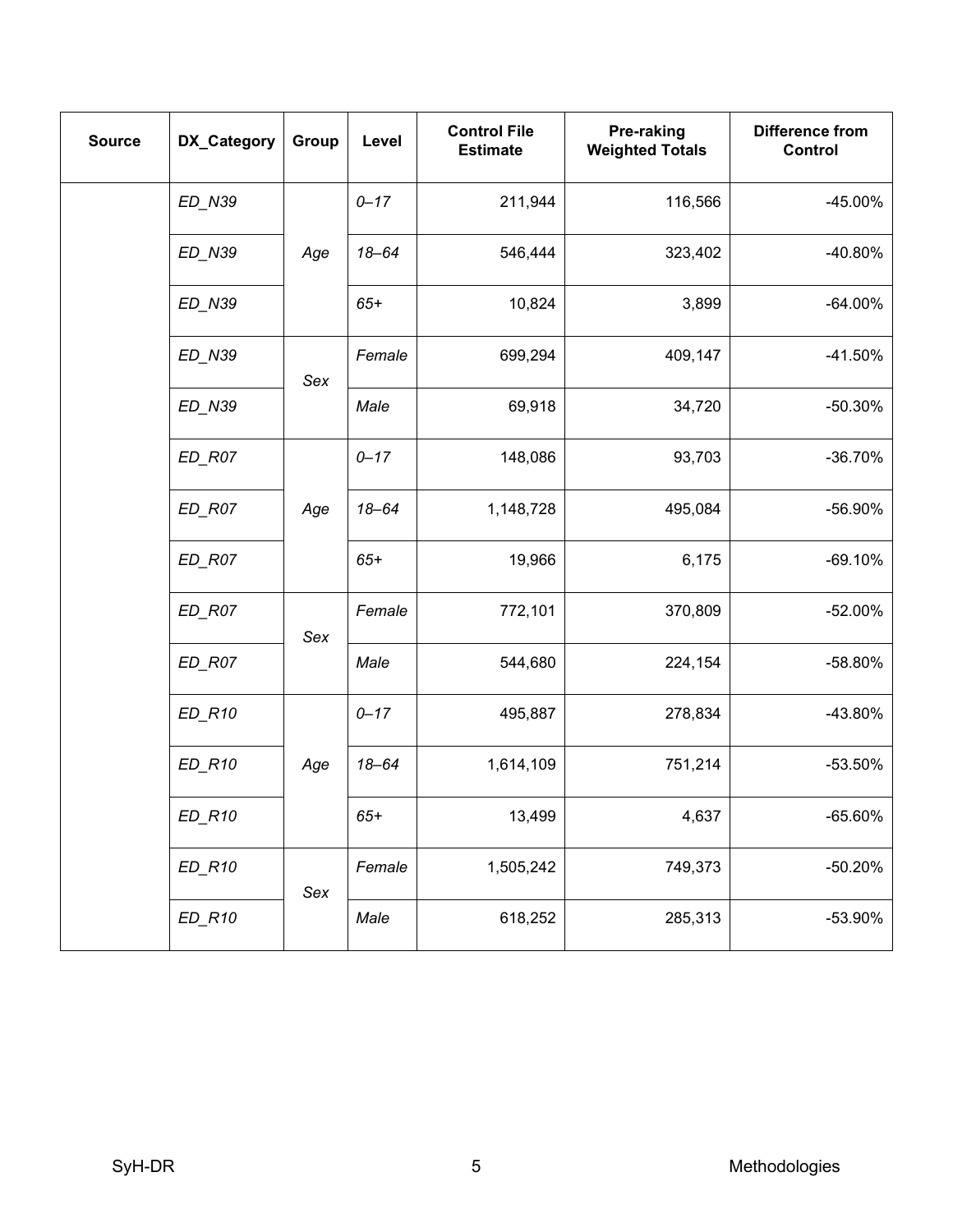| <b>Source</b> | DX_Category                      | Group | Level     | <b>Control File</b><br><b>Estimate</b> | Pre-raking<br><b>Weighted Totals</b> | <b>Difference from</b><br>Control |
|---------------|----------------------------------|-------|-----------|----------------------------------------|--------------------------------------|-----------------------------------|
|               | ED_N39                           |       | $0 - 17$  | 211,944                                | 116,566                              | $-45.00\%$                        |
|               | ED_N39                           | Age   | $18 - 64$ | 546,444                                | 323,402                              | $-40.80%$                         |
|               | ED_N39                           |       | $65+$     | 10,824                                 | 3,899                                | $-64.00\%$                        |
|               | ED_N39                           | Sex   | Female    | 699,294                                | 409,147                              | $-41.50%$                         |
|               | ED_N39                           |       | Male      | 69,918                                 | 34,720                               | -50.30%                           |
|               | $ED$ <sub>R07</sub>              |       | $0 - 17$  | 148,086                                | 93,703                               | $-36.70%$                         |
|               | $ED$ <sub>R07</sub><br>Age       |       | $18 - 64$ | 1,148,728                              | 495,084                              | -56.90%                           |
|               | $ED$ <sub><math>R07</math></sub> |       | $65+$     | 19,966                                 | 6,175                                | $-69.10%$                         |
|               | $ED$ <sub>R07</sub>              | Sex   | Female    | 772,101                                | 370,809                              | $-52.00\%$                        |
|               | $ED$ <sub><math>R07</math></sub> |       | Male      | 544,680                                | 224,154                              | -58.80%                           |
|               | $ED_R10$                         |       | $0 - 17$  | 495,887                                | 278,834                              | -43.80%                           |
|               | $ED_R10$                         | Age   | $18 - 64$ | 1,614,109                              | 751,214                              | $-53.50%$                         |
|               | $ED_R10$                         |       | $65+$     | 13,499                                 | 4,637                                | $-65.60%$                         |
|               | $ED_R10$                         | Sex   | Female    | 1,505,242                              | 749,373                              | $-50.20%$                         |
|               | $ED_R10$                         |       | Male      | 618,252                                | 285,313                              | -53.90%                           |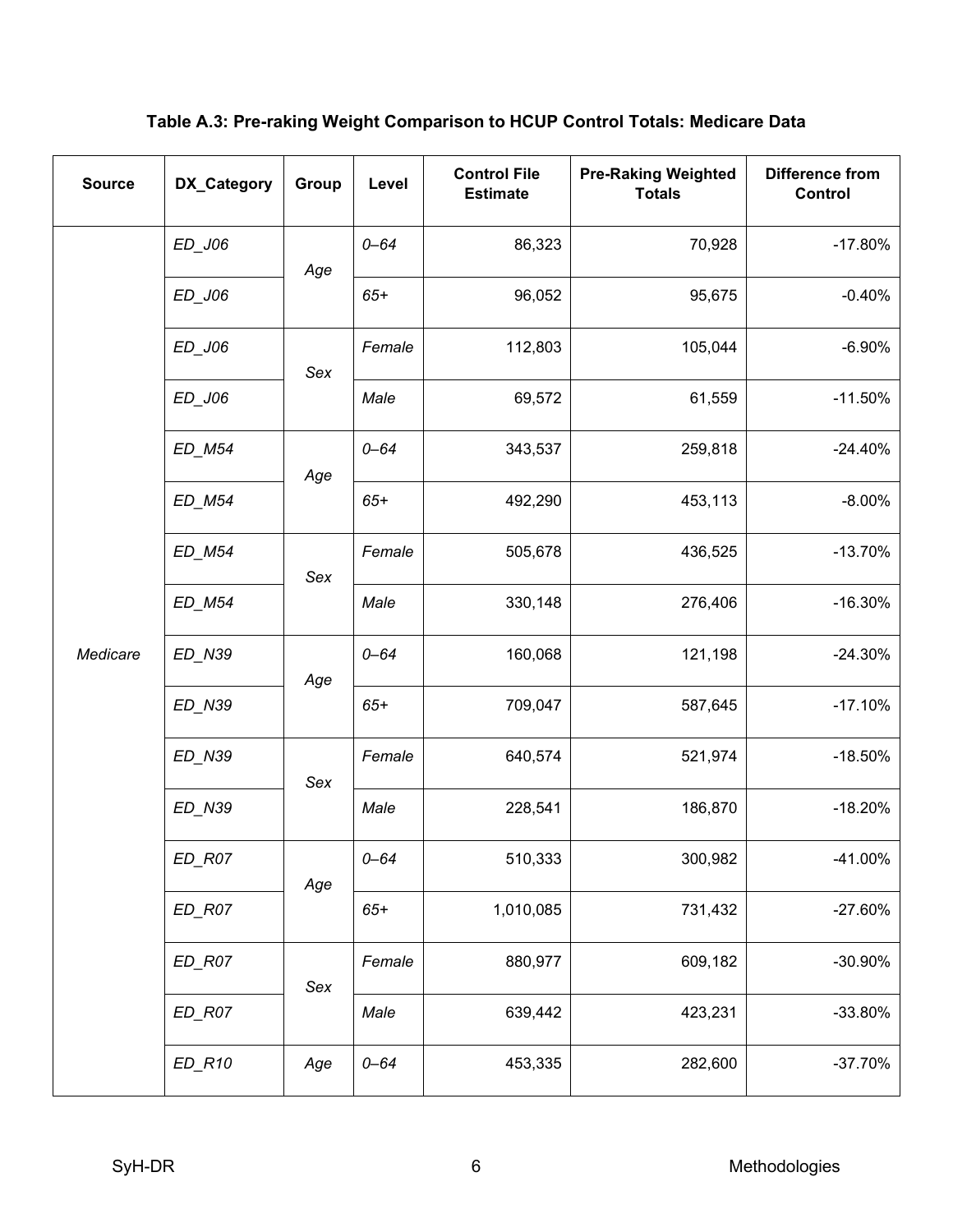**Table A.3: Pre-raking Weight Comparison to HCUP Control Totals: Medicare Data**

| <b>Source</b> | DX_Category                      | Group      | Level    | <b>Control File</b><br><b>Estimate</b> | <b>Pre-Raking Weighted</b><br><b>Totals</b> | <b>Difference from</b><br>Control |
|---------------|----------------------------------|------------|----------|----------------------------------------|---------------------------------------------|-----------------------------------|
|               | ED_J06                           | Age        | $0 - 64$ | 86,323                                 | 70,928                                      | $-17.80%$                         |
|               | ED_J06                           |            | $65+$    | 96,052                                 | 95,675                                      | $-0.40%$                          |
|               | ED_J06                           | Sex        | Female   | 112,803                                | 105,044                                     | $-6.90%$                          |
|               | ED_J06                           |            | Male     | 69,572                                 | 61,559                                      | $-11.50%$                         |
|               | ED_M54                           | Age        | $0 - 64$ | 343,537                                | 259,818                                     | $-24.40%$                         |
|               | ED_M54                           |            | $65+$    | 492,290                                | 453,113                                     | $-8.00%$                          |
|               | <b>ED M54</b>                    | Sex        | Female   | 505,678                                | 436,525                                     | $-13.70%$                         |
|               | ED_M54                           |            | Male     | 330,148                                | 276,406                                     | $-16.30%$                         |
| Medicare      | ED_N39                           | Age<br>Sex | $0 - 64$ | 160,068                                | 121,198                                     | $-24.30%$                         |
|               | ED_N39                           |            | $65+$    | 709,047                                | 587,645                                     | $-17.10%$                         |
|               | ED_N39                           |            | Female   | 640,574                                | 521,974                                     | $-18.50%$                         |
|               | ED_N39                           |            | Male     | 228,541                                | 186,870                                     | $-18.20%$                         |
|               | $ED$ <sub><math>R07</math></sub> | Age        | $0 - 64$ | 510,333                                | 300,982                                     | $-41.00%$                         |
|               | $ED$ <sub><math>R07</math></sub> |            | $65+$    | 1,010,085                              | 731,432                                     | $-27.60%$                         |
|               | $ED$ <sub><math>R07</math></sub> | Sex        | Female   | 880,977                                | 609,182                                     | -30.90%                           |
|               | $ED$ <sub><math>R07</math></sub> |            | Male     | 639,442                                | 423,231                                     | -33.80%                           |
|               | $ED_R10$                         | Age        | $0 - 64$ | 453,335                                | 282,600                                     | $-37.70%$                         |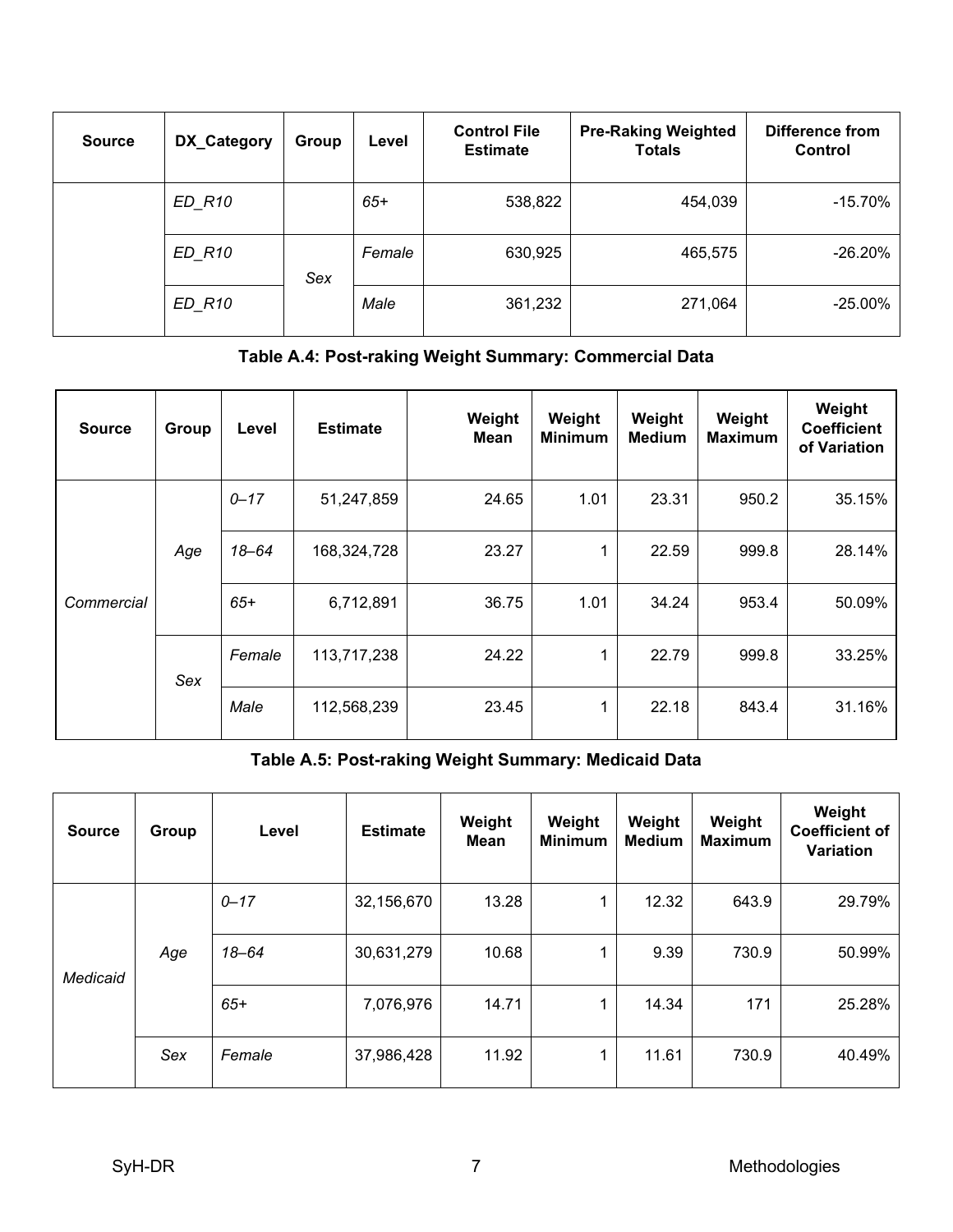| <b>Source</b> | DX_Category | Group | Level  | <b>Control File</b><br><b>Estimate</b> | <b>Pre-Raking Weighted</b><br><b>Totals</b> | <b>Difference from</b><br>Control |
|---------------|-------------|-------|--------|----------------------------------------|---------------------------------------------|-----------------------------------|
|               | ED R10      |       | $65+$  | 538,822                                | 454,039                                     | $-15.70%$                         |
|               | ED R10      | Sex   | Female | 630,925                                | 465,575                                     | $-26.20\%$                        |
|               | ED R10      |       | Male   | 361,232                                | 271,064                                     | $-25.00\%$                        |

## **Table A.4: Post-raking Weight Summary: Commercial Data**

| <b>Source</b> | Group | Level     | <b>Estimate</b> | Weight<br><b>Mean</b> | Weight<br><b>Minimum</b> | Weight<br><b>Medium</b> | Weight<br><b>Maximum</b> | Weight<br><b>Coefficient</b><br>of Variation |
|---------------|-------|-----------|-----------------|-----------------------|--------------------------|-------------------------|--------------------------|----------------------------------------------|
|               |       | $0 - 17$  | 51,247,859      | 24.65                 | 1.01                     | 23.31                   | 950.2                    | 35.15%                                       |
| Commercial    | Age   | $18 - 64$ | 168,324,728     | 23.27                 | 1                        | 22.59                   | 999.8                    | 28.14%                                       |
|               |       | $65+$     | 6,712,891       | 36.75                 | 1.01                     | 34.24                   | 953.4                    | 50.09%                                       |
|               | Sex   | Female    | 113,717,238     | 24.22                 | 1                        | 22.79                   | 999.8                    | 33.25%                                       |
|               |       | Male      | 112,568,239     | 23.45                 | 1                        | 22.18                   | 843.4                    | 31.16%                                       |

## **Table A.5: Post-raking Weight Summary: Medicaid Data**

| <b>Source</b> | Group | Level    | <b>Estimate</b> | Weight<br><b>Mean</b> | Weight<br><b>Minimum</b> | Weight<br><b>Medium</b> | Weight<br><b>Maximum</b> | Weight<br><b>Coefficient of</b><br><b>Variation</b> |
|---------------|-------|----------|-----------------|-----------------------|--------------------------|-------------------------|--------------------------|-----------------------------------------------------|
| Medicaid      | Age   | $0 - 17$ | 32,156,670      | 13.28                 | 4                        | 12.32                   | 643.9                    | 29.79%                                              |
|               |       | 18-64    | 30,631,279      | 10.68                 | 4                        | 9.39                    | 730.9                    | 50.99%                                              |
|               |       | $65+$    | 7,076,976       | 14.71                 | 1                        | 14.34                   | 171                      | 25.28%                                              |
|               | Sex   | Female   | 37,986,428      | 11.92                 | 1                        | 11.61                   | 730.9                    | 40.49%                                              |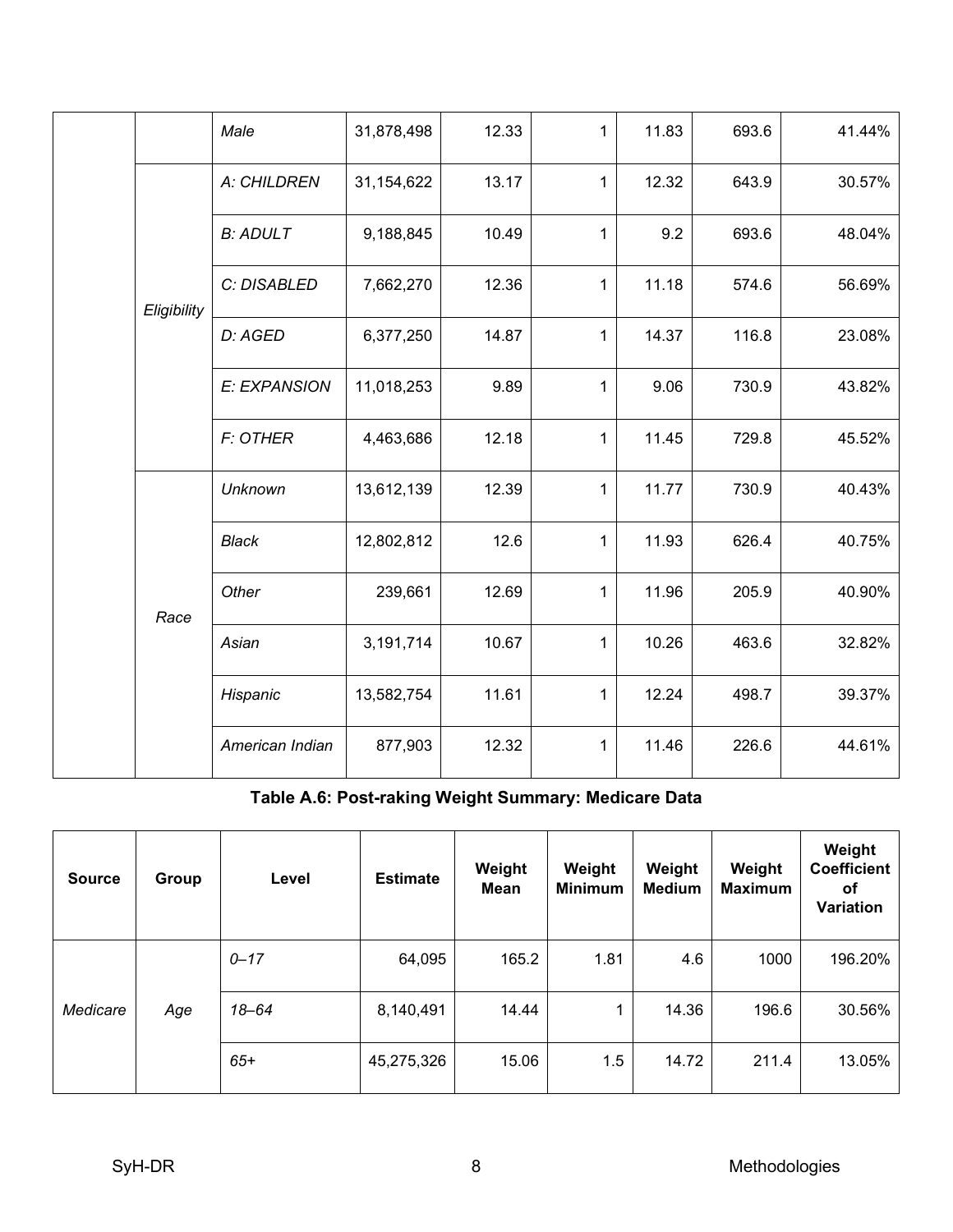|             | Male            | 31,878,498 | 12.33 | 1            | 11.83 | 693.6 | 41.44% |
|-------------|-----------------|------------|-------|--------------|-------|-------|--------|
|             | A: CHILDREN     | 31,154,622 | 13.17 | 1            | 12.32 | 643.9 | 30.57% |
|             | <b>B: ADULT</b> | 9,188,845  | 10.49 | 1            | 9.2   | 693.6 | 48.04% |
| Eligibility | C: DISABLED     | 7,662,270  | 12.36 | 1            | 11.18 | 574.6 | 56.69% |
|             | D: AGED         | 6,377,250  | 14.87 | 1            | 14.37 | 116.8 | 23.08% |
|             | E: EXPANSION    | 11,018,253 | 9.89  | $\mathbf{1}$ | 9.06  | 730.9 | 43.82% |
|             | <b>F: OTHER</b> | 4,463,686  | 12.18 | $\mathbf{1}$ | 11.45 | 729.8 | 45.52% |
|             | <b>Unknown</b>  | 13,612,139 | 12.39 | $\mathbf 1$  | 11.77 | 730.9 | 40.43% |
|             | <b>Black</b>    | 12,802,812 | 12.6  | $\mathbf{1}$ | 11.93 | 626.4 | 40.75% |
| Race        | Other           | 239,661    | 12.69 | $\mathbf{1}$ | 11.96 | 205.9 | 40.90% |
|             | Asian           | 3,191,714  | 10.67 | $\mathbf{1}$ | 10.26 | 463.6 | 32.82% |
|             | Hispanic        | 13,582,754 | 11.61 | 1            | 12.24 | 498.7 | 39.37% |
|             | American Indian | 877,903    | 12.32 | 1            | 11.46 | 226.6 | 44.61% |

## **Table A.6: Post-raking Weight Summary: Medicare Data**

| <b>Source</b> | Group | Level    | <b>Estimate</b> | Weight<br><b>Mean</b> | Weight<br><b>Minimum</b> | Weight<br><b>Medium</b> | Weight<br><b>Maximum</b> | Weight<br><b>Coefficient</b><br>οf<br>Variation |
|---------------|-------|----------|-----------------|-----------------------|--------------------------|-------------------------|--------------------------|-------------------------------------------------|
| Medicare      |       | $0 - 17$ | 64,095          | 165.2                 | 1.81                     | 4.6                     | 1000                     | 196.20%                                         |
|               | Age   | 18-64    | 8,140,491       | 14.44                 | $\mathbf{1}$             | 14.36                   | 196.6                    | 30.56%                                          |
|               |       | $65+$    | 45,275,326      | 15.06                 | 1.5                      | 14.72                   | 211.4                    | 13.05%                                          |